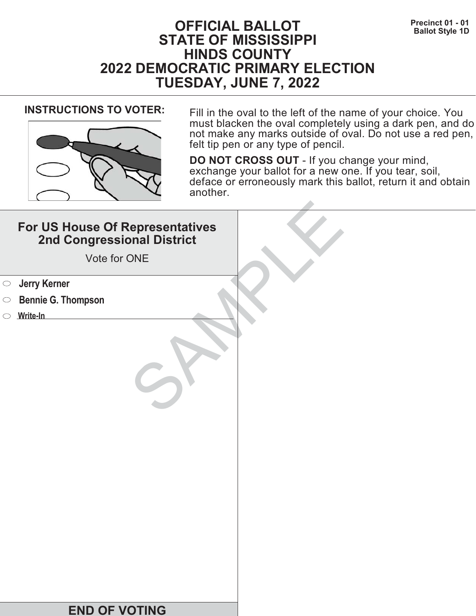# **Precinct 01 - 01**<br>Ballot Style 1D **STATE OF MISSISSIPPI HINDS COUNTY 2022 DEMOCRATIC PRIMARY ELECTION TUESDAY, JUNE 7, 2022**



**INSTRUCTIONS TO VOTER:** Fill in the oval to the left of the name of your choice. You must blacken the oval completely using a dark pen, and do not make any marks outside of oval. Do not use a red pen, felt tip pen or any type of pencil.

| For US House Of Representatives<br>2nd Congressional District<br>Vote for ONE |  |
|-------------------------------------------------------------------------------|--|
| <b>Starf</b> Serner                                                           |  |
| <b>Bennie G. Thompson</b><br>$\bigcirc$                                       |  |
| Write-In                                                                      |  |
|                                                                               |  |
| <b>END OF VOTING</b>                                                          |  |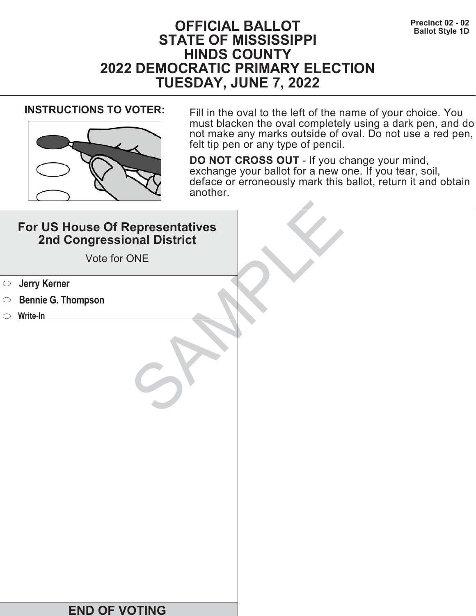# **Precinct 02 - 02**<br>Ballot Style 1D **STATE OF MISSISSIPPI HINDS COUNTY 2022 DEMOCRATIC PRIMARY ELECTION TUESDAY, JUNE 7, 2022**



**INSTRUCTIONS TO VOTER:** Fill in the oval to the left of the name of your choice. You must blacken the oval completely using a dark pen, and do not make any marks outside of oval. Do not use a red pen, felt tip pen or any type of pencil.

| For US House Of Representatives<br>2nd Congressional District<br>Vote for ONE |  |
|-------------------------------------------------------------------------------|--|
| <b>Starf</b> Serner                                                           |  |
| <b>Bennie G. Thompson</b><br>$\bigcirc$                                       |  |
| Write-In                                                                      |  |
|                                                                               |  |
| <b>END OF VOTING</b>                                                          |  |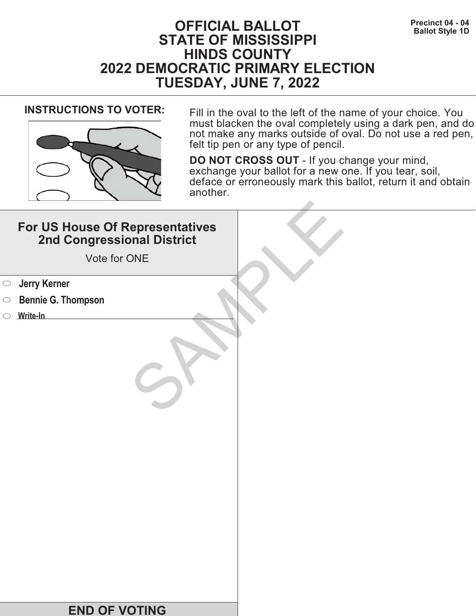# **Precinct 04 - 04**<br>Ballot Style 1D **STATE OF MISSISSIPPI HINDS COUNTY 2022 DEMOCRATIC PRIMARY ELECTION TUESDAY, JUNE 7, 2022**



**INSTRUCTIONS TO VOTER:** Fill in the oval to the left of the name of your choice. You must blacken the oval completely using a dark pen, and do not make any marks outside of oval. Do not use a red pen, felt tip pen or any type of pencil.

| For US House Of Representatives<br>2nd Congressional District<br>Vote for ONE |  |
|-------------------------------------------------------------------------------|--|
| <b>Starf</b> Serner                                                           |  |
| <b>Bennie G. Thompson</b><br>$\bigcirc$                                       |  |
| Write-In                                                                      |  |
|                                                                               |  |
| <b>END OF VOTING</b>                                                          |  |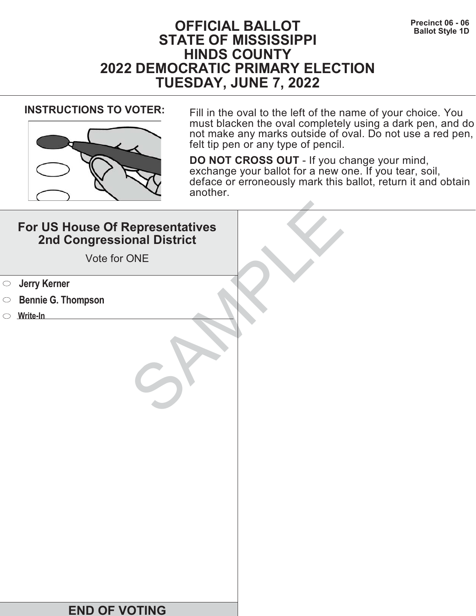# **Precinct 06 - 06**<br>Ballot Style 1D **STATE OF MISSISSIPPI HINDS COUNTY 2022 DEMOCRATIC PRIMARY ELECTION TUESDAY, JUNE 7, 2022**



**INSTRUCTIONS TO VOTER:** Fill in the oval to the left of the name of your choice. You must blacken the oval completely using a dark pen, and do not make any marks outside of oval. Do not use a red pen, felt tip pen or any type of pencil.

| For US House Of Representatives<br>2nd Congressional District<br>Vote for ONE |  |
|-------------------------------------------------------------------------------|--|
| <b>Jerry Kerner</b><br>$\bigcirc$                                             |  |
| <b>Bennie G. Thompson</b><br>$\circ$                                          |  |
| $\circ$ Write-In                                                              |  |
|                                                                               |  |
| <b>END OF VOTING</b>                                                          |  |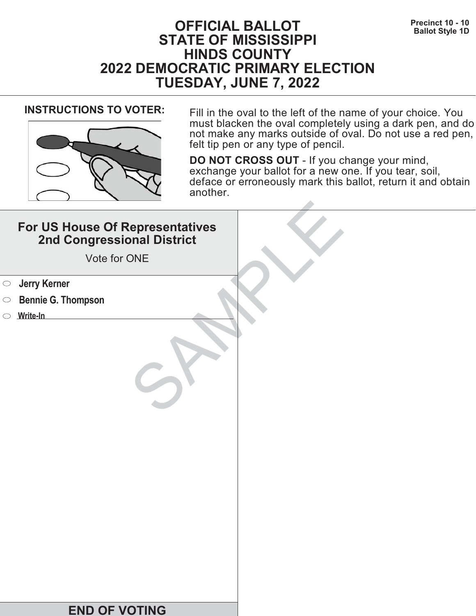# **Precinct 10 - 10**<br>Ballot Style 1D **STATE OF MISSISSIPPI HINDS COUNTY 2022 DEMOCRATIC PRIMARY ELECTION TUESDAY, JUNE 7, 2022**



**INSTRUCTIONS TO VOTER:** Fill in the oval to the left of the name of your choice. You must blacken the oval completely using a dark pen, and do not make any marks outside of oval. Do not use a red pen, felt tip pen or any type of pencil.

|            | For US House Of Representatives<br>2nd Congressional District<br>Vote for ONE |  |
|------------|-------------------------------------------------------------------------------|--|
| $\bigcirc$ | <b>Jerry Kerner</b>                                                           |  |
| $\circ$    | <b>Bennie G. Thompson</b>                                                     |  |
|            | $\circ$ Write-In                                                              |  |
|            |                                                                               |  |
|            | <b>END OF VOTING</b>                                                          |  |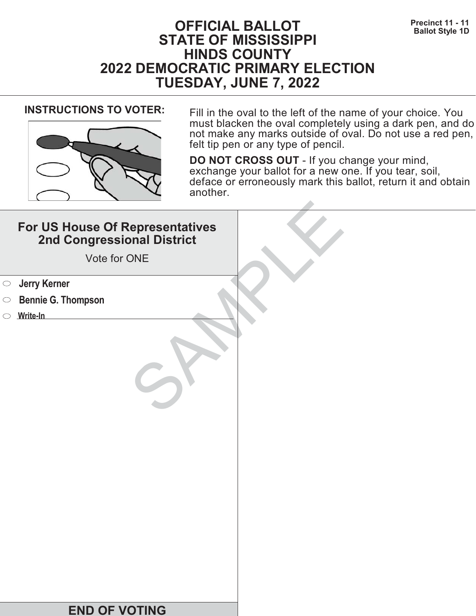# **Precinct 11 - 11 Precinct 11 - 11 Ballot Style 1D STATE OF MISSISSIPPI HINDS COUNTY 2022 DEMOCRATIC PRIMARY ELECTION TUESDAY, JUNE 7, 2022**



**INSTRUCTIONS TO VOTER:** Fill in the oval to the left of the name of your choice. You must blacken the oval completely using a dark pen, and do not make any marks outside of oval. Do not use a red pen, felt tip pen or any type of pencil.

| For US House Of Representatives<br>2nd Congressional District<br>Vote for ONE |  |
|-------------------------------------------------------------------------------|--|
| <b>Starf</b> Serner                                                           |  |
| <b>Bennie G. Thompson</b><br>$\bigcirc$                                       |  |
| Write-In                                                                      |  |
|                                                                               |  |
| <b>END OF VOTING</b>                                                          |  |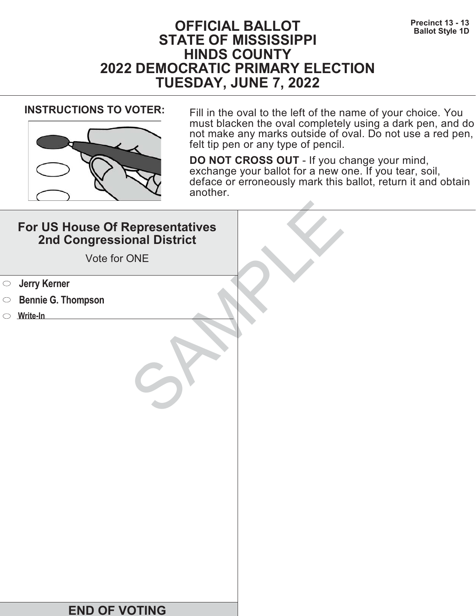# **Precinct 13 - 13**<br>Ballot Style 1D **STATE OF MISSISSIPPI HINDS COUNTY 2022 DEMOCRATIC PRIMARY ELECTION TUESDAY, JUNE 7, 2022**



**INSTRUCTIONS TO VOTER:** Fill in the oval to the left of the name of your choice. You must blacken the oval completely using a dark pen, and do not make any marks outside of oval. Do not use a red pen, felt tip pen or any type of pencil.

| For US House Of Representatives<br>2nd Congressional District<br>Vote for ONE |  |
|-------------------------------------------------------------------------------|--|
| <b>Starf</b> Serner                                                           |  |
| <b>Bennie G. Thompson</b><br>$\bigcirc$                                       |  |
| Write-In                                                                      |  |
|                                                                               |  |
| <b>END OF VOTING</b>                                                          |  |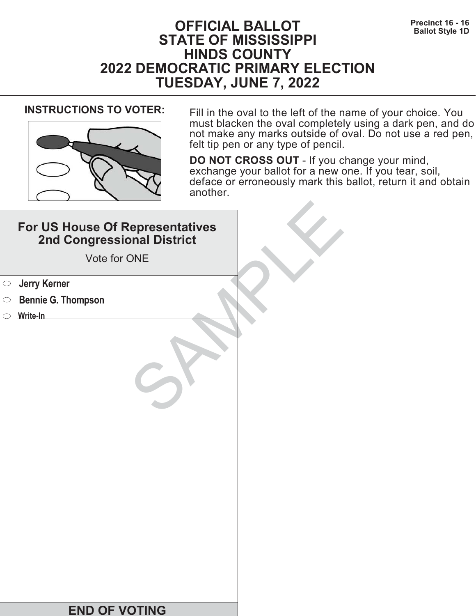# **Precinct 16 - 16 Precinct 16 - 16 Ballot Style 1D STATE OF MISSISSIPPI HINDS COUNTY 2022 DEMOCRATIC PRIMARY ELECTION TUESDAY, JUNE 7, 2022**



**INSTRUCTIONS TO VOTER:** Fill in the oval to the left of the name of your choice. You must blacken the oval completely using a dark pen, and do not make any marks outside of oval. Do not use a red pen, felt tip pen or any type of pencil.

| For US House Of Representatives<br>2nd Congressional District<br>Vote for ONE |  |
|-------------------------------------------------------------------------------|--|
| <b>Jerry Kerner</b><br>$\bigcirc$                                             |  |
| <b>Bennie G. Thompson</b><br>$\circ$                                          |  |
| $\circ$ Write-In                                                              |  |
|                                                                               |  |
| <b>END OF VOTING</b>                                                          |  |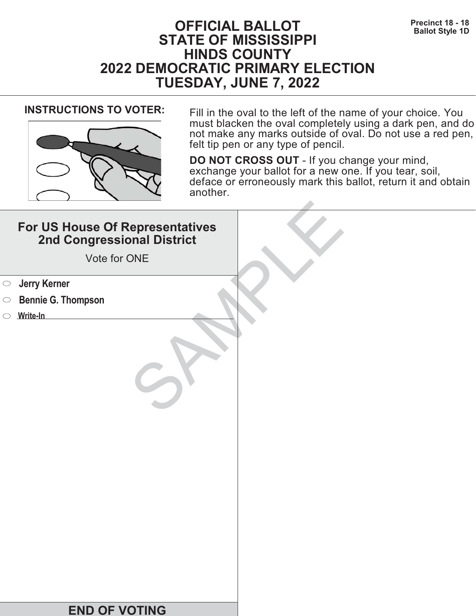# **Precinct 18 - 18 Precinct 18 - 18 Ballot Style 1D STATE OF MISSISSIPPI HINDS COUNTY 2022 DEMOCRATIC PRIMARY ELECTION TUESDAY, JUNE 7, 2022**



**INSTRUCTIONS TO VOTER:** Fill in the oval to the left of the name of your choice. You must blacken the oval completely using a dark pen, and do not make any marks outside of oval. Do not use a red pen, felt tip pen or any type of pencil.

| For US House Of Representatives<br>2nd Congressional District<br>Vote for ONE |  |
|-------------------------------------------------------------------------------|--|
| <b>Jerry Kerner</b><br>$\bigcirc$                                             |  |
| <b>Bennie G. Thompson</b><br>$\circ$                                          |  |
| $\circ$ Write-In                                                              |  |
|                                                                               |  |
| <b>END OF VOTING</b>                                                          |  |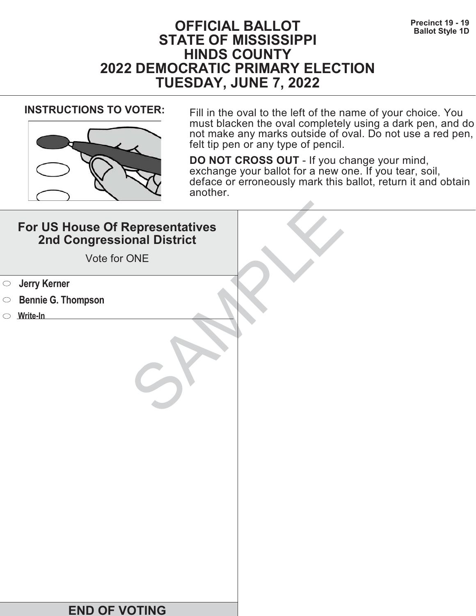# **Precinct 19 - 19**<br>Ballot Style 1D **STATE OF MISSISSIPPI HINDS COUNTY 2022 DEMOCRATIC PRIMARY ELECTION TUESDAY, JUNE 7, 2022**



**INSTRUCTIONS TO VOTER:** Fill in the oval to the left of the name of your choice. You must blacken the oval completely using a dark pen, and do not make any marks outside of oval. Do not use a red pen, felt tip pen or any type of pencil.

| For US House Of Representatives<br>2nd Congressional District<br>Vote for ONE |  |
|-------------------------------------------------------------------------------|--|
| <b>Starf</b> Serner                                                           |  |
| <b>Bennie G. Thompson</b><br>$\bigcirc$                                       |  |
| Write-In                                                                      |  |
|                                                                               |  |
| <b>END OF VOTING</b>                                                          |  |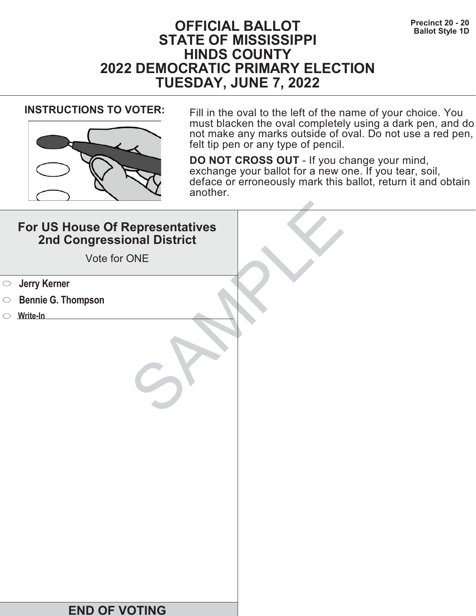# **Precinct 20 - 20**<br>Ballot Style 1D **STATE OF MISSISSIPPI HINDS COUNTY 2022 DEMOCRATIC PRIMARY ELECTION TUESDAY, JUNE 7, 2022**



**INSTRUCTIONS TO VOTER:** Fill in the oval to the left of the name of your choice. You must blacken the oval completely using a dark pen, and do not make any marks outside of oval. Do not use a red pen, felt tip pen or any type of pencil.

| For US House Of Representatives<br>2nd Congressional District<br>Vote for ONE |  |
|-------------------------------------------------------------------------------|--|
| <b>Jerry Kerner</b><br>$\bigcirc$                                             |  |
| <b>Bennie G. Thompson</b><br>$\circ$                                          |  |
| $\circ$ Write-In                                                              |  |
|                                                                               |  |
| <b>END OF VOTING</b>                                                          |  |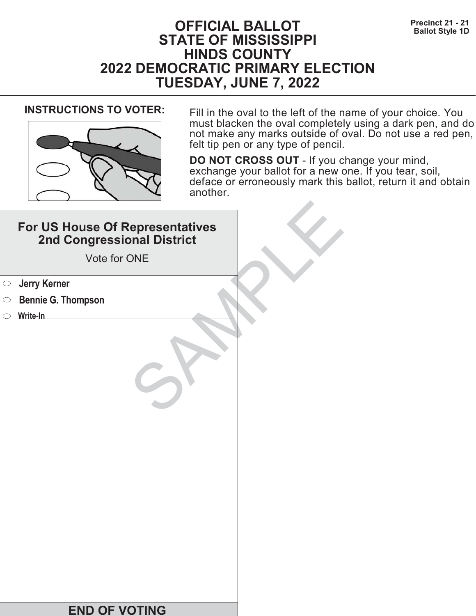# **Precinct 21 - 21 Precinct 21 - 21 Ballot Style 1D STATE OF MISSISSIPPI HINDS COUNTY 2022 DEMOCRATIC PRIMARY ELECTION TUESDAY, JUNE 7, 2022**



**INSTRUCTIONS TO VOTER:** Fill in the oval to the left of the name of your choice. You must blacken the oval completely using a dark pen, and do not make any marks outside of oval. Do not use a red pen, felt tip pen or any type of pencil.

| For US House Of Representatives<br>2nd Congressional District<br>Vote for ONE |  |
|-------------------------------------------------------------------------------|--|
| <b>Starf</b> Serner                                                           |  |
| <b>Bennie G. Thompson</b><br>$\bigcirc$                                       |  |
| Write-In                                                                      |  |
|                                                                               |  |
| <b>END OF VOTING</b>                                                          |  |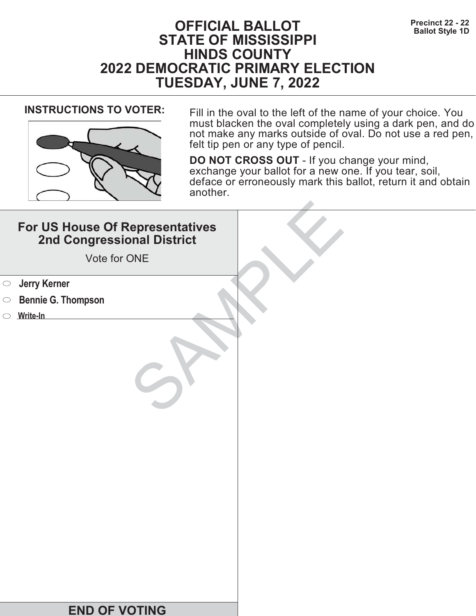# **Precinct 22 - 22**<br>Ballot Style 1D **STATE OF MISSISSIPPI HINDS COUNTY 2022 DEMOCRATIC PRIMARY ELECTION TUESDAY, JUNE 7, 2022**



**INSTRUCTIONS TO VOTER:** Fill in the oval to the left of the name of your choice. You must blacken the oval completely using a dark pen, and do not make any marks outside of oval. Do not use a red pen, felt tip pen or any type of pencil.

| For US House Of Representatives<br>2nd Congressional District<br>Vote for ONE |  |
|-------------------------------------------------------------------------------|--|
| <b>Starf</b> Serner                                                           |  |
| <b>Bennie G. Thompson</b><br>$\bigcirc$                                       |  |
| Write-In                                                                      |  |
|                                                                               |  |
| <b>END OF VOTING</b>                                                          |  |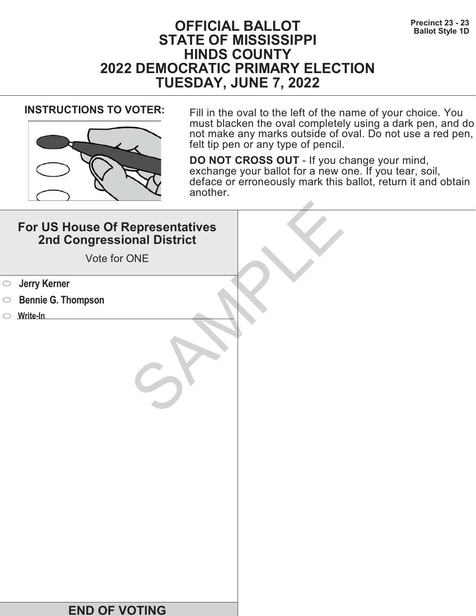# **Precinct 23 - 23**<br>Ballot Style 1D **STATE OF MISSISSIPPI HINDS COUNTY 2022 DEMOCRATIC PRIMARY ELECTION TUESDAY, JUNE 7, 2022**



**INSTRUCTIONS TO VOTER:** Fill in the oval to the left of the name of your choice. You must blacken the oval completely using a dark pen, and do not make any marks outside of oval. Do not use a red pen, felt tip pen or any type of pencil.

| For US House Of Representatives<br>2nd Congressional District<br>Vote for ONE |  |
|-------------------------------------------------------------------------------|--|
| <b>Starf</b> Serner                                                           |  |
| <b>Bennie G. Thompson</b><br>$\bigcirc$                                       |  |
| Write-In                                                                      |  |
|                                                                               |  |
| <b>END OF VOTING</b>                                                          |  |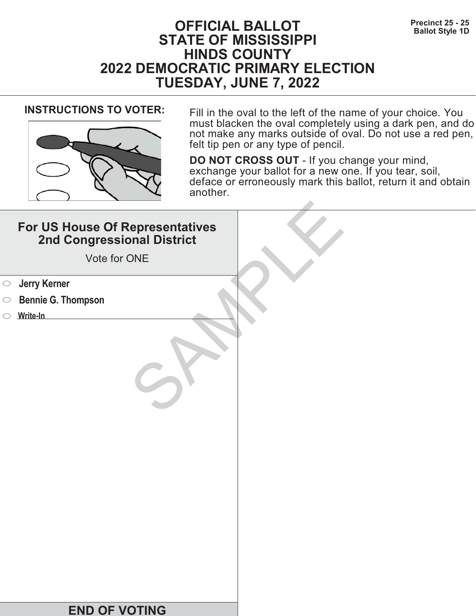# **Precinct 25 - 25**<br>Ballot Style 1D **STATE OF MISSISSIPPI HINDS COUNTY 2022 DEMOCRATIC PRIMARY ELECTION TUESDAY, JUNE 7, 2022**



**INSTRUCTIONS TO VOTER:** Fill in the oval to the left of the name of your choice. You must blacken the oval completely using a dark pen, and do not make any marks outside of oval. Do not use a red pen, felt tip pen or any type of pencil.

|            | For US House Of Representatives<br>2nd Congressional District<br>Vote for ONE |  |
|------------|-------------------------------------------------------------------------------|--|
| $\bigcirc$ | <b>Jerry Kerner</b>                                                           |  |
| $\circ$    | <b>Bennie G. Thompson</b>                                                     |  |
|            | $\circ$ Write-In                                                              |  |
|            |                                                                               |  |
|            | <b>END OF VOTING</b>                                                          |  |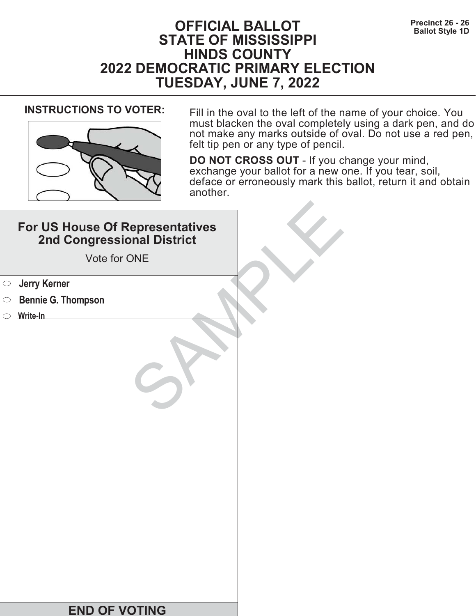# **Precinct 26 - 26 Precinct 26 - 26 Ballot Style 1D STATE OF MISSISSIPPI HINDS COUNTY 2022 DEMOCRATIC PRIMARY ELECTION TUESDAY, JUNE 7, 2022**



**INSTRUCTIONS TO VOTER:** Fill in the oval to the left of the name of your choice. You must blacken the oval completely using a dark pen, and do not make any marks outside of oval. Do not use a red pen, felt tip pen or any type of pencil.

| For US House Of Representatives<br>2nd Congressional District<br>Vote for ONE |  |
|-------------------------------------------------------------------------------|--|
| <b>Jerry Kerner</b><br>$\bigcirc$                                             |  |
| <b>Bennie G. Thompson</b><br>$\circ$                                          |  |
| Write-In                                                                      |  |
|                                                                               |  |
| <b>END OF VOTING</b>                                                          |  |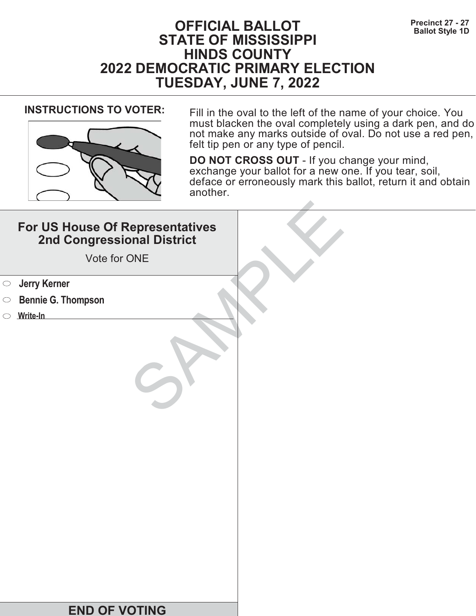# **Precinct 27 - 27<br>Ballot Style 1D**<br>**Ballot Style 1D STATE OF MISSISSIPPI HINDS COUNTY 2022 DEMOCRATIC PRIMARY ELECTION TUESDAY, JUNE 7, 2022**



**INSTRUCTIONS TO VOTER:** Fill in the oval to the left of the name of your choice. You must blacken the oval completely using a dark pen, and do not make any marks outside of oval. Do not use a red pen, felt tip pen or any type of pencil.

| For US House Of Representatives<br>2nd Congressional District<br>Vote for ONE |  |
|-------------------------------------------------------------------------------|--|
| <b>Jerry Kerner</b><br>$\bigcirc$                                             |  |
| <b>Bennie G. Thompson</b><br>$\circ$                                          |  |
| Write-In                                                                      |  |
|                                                                               |  |
| <b>END OF VOTING</b>                                                          |  |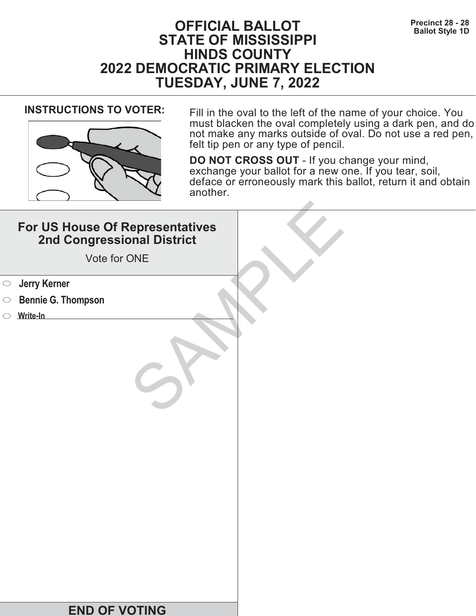# **Precinct 28 - 28**<br>Ballot Style 1D **STATE OF MISSISSIPPI HINDS COUNTY 2022 DEMOCRATIC PRIMARY ELECTION TUESDAY, JUNE 7, 2022**



**INSTRUCTIONS TO VOTER:** Fill in the oval to the left of the name of your choice. You must blacken the oval completely using a dark pen, and do not make any marks outside of oval. Do not use a red pen, felt tip pen or any type of pencil.

| For US House Of Representatives<br>2nd Congressional District<br>Vote for ONE |  |
|-------------------------------------------------------------------------------|--|
| <b>Jerry Kerner</b><br>$\bigcirc$                                             |  |
| <b>Bennie G. Thompson</b><br>$\circ$                                          |  |
| $\circ$ Write-In                                                              |  |
|                                                                               |  |
| <b>END OF VOTING</b>                                                          |  |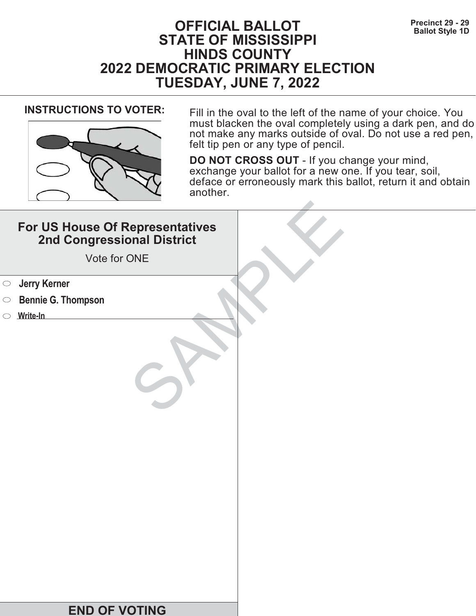# **Precinct 29 - 29**<br>Ballot Style 1D **STATE OF MISSISSIPPI HINDS COUNTY 2022 DEMOCRATIC PRIMARY ELECTION TUESDAY, JUNE 7, 2022**



**INSTRUCTIONS TO VOTER:** Fill in the oval to the left of the name of your choice. You must blacken the oval completely using a dark pen, and do not make any marks outside of oval. Do not use a red pen, felt tip pen or any type of pencil.

| For US House Of Representatives<br>2nd Congressional District<br>Vote for ONE |  |
|-------------------------------------------------------------------------------|--|
| <b>Starf</b> Serner                                                           |  |
| <b>Bennie G. Thompson</b><br>$\bigcirc$                                       |  |
| Write-In                                                                      |  |
|                                                                               |  |
| <b>END OF VOTING</b>                                                          |  |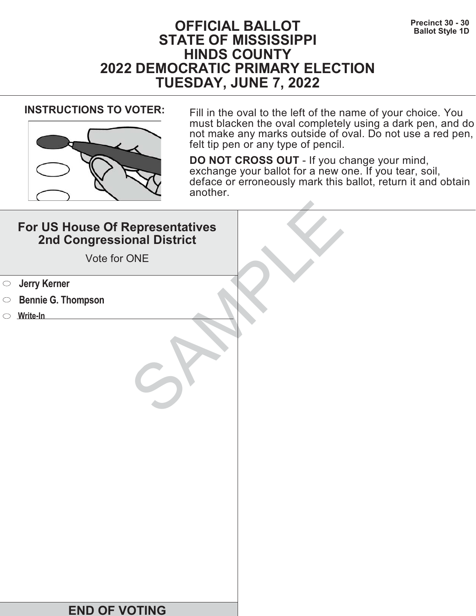# **Precinct 30 - 30**<br>Ballot Style 1D **STATE OF MISSISSIPPI HINDS COUNTY 2022 DEMOCRATIC PRIMARY ELECTION TUESDAY, JUNE 7, 2022**



**INSTRUCTIONS TO VOTER:** Fill in the oval to the left of the name of your choice. You must blacken the oval completely using a dark pen, and do not make any marks outside of oval. Do not use a red pen, felt tip pen or any type of pencil.

| For US House Of Representatives<br>2nd Congressional District<br>Vote for ONE |  |
|-------------------------------------------------------------------------------|--|
| <b>Starf</b> Serner                                                           |  |
| <b>Bennie G. Thompson</b><br>$\bigcirc$                                       |  |
| Write-In                                                                      |  |
|                                                                               |  |
| <b>END OF VOTING</b>                                                          |  |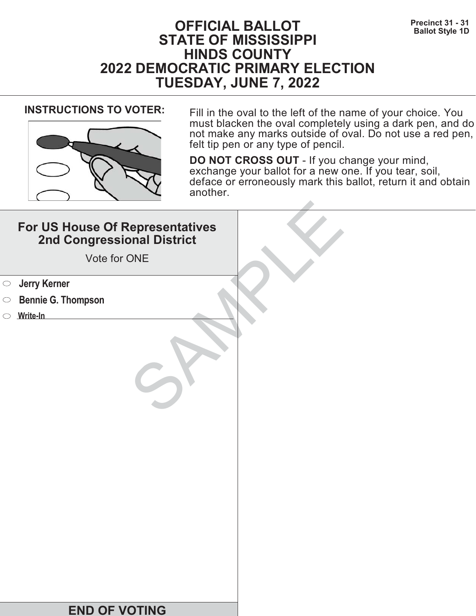# **Precinct 31 - 31**<br>Ballot Style 1D **STATE OF MISSISSIPPI HINDS COUNTY 2022 DEMOCRATIC PRIMARY ELECTION TUESDAY, JUNE 7, 2022**



**INSTRUCTIONS TO VOTER:** Fill in the oval to the left of the name of your choice. You must blacken the oval completely using a dark pen, and do not make any marks outside of oval. Do not use a red pen, felt tip pen or any type of pencil.

| For US House Of Representatives<br>2nd Congressional District<br>Vote for ONE |  |
|-------------------------------------------------------------------------------|--|
| <b>Starf</b> Serner                                                           |  |
| <b>Bennie G. Thompson</b><br>$\bigcirc$                                       |  |
| Write-In                                                                      |  |
|                                                                               |  |
| <b>END OF VOTING</b>                                                          |  |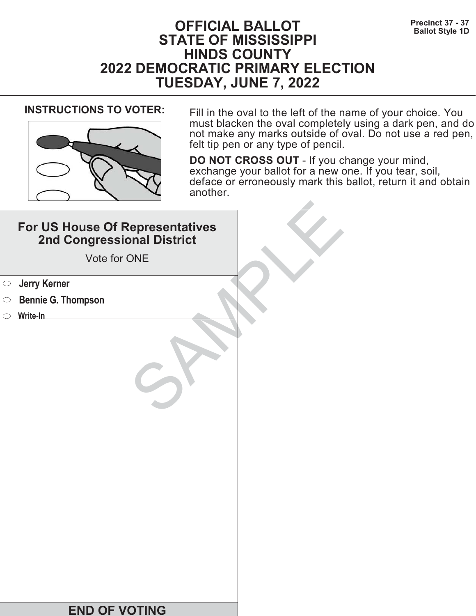# **Precinct 37 - 37**<br>Ballot Style 1D **STATE OF MISSISSIPPI HINDS COUNTY 2022 DEMOCRATIC PRIMARY ELECTION TUESDAY, JUNE 7, 2022**



**INSTRUCTIONS TO VOTER:** Fill in the oval to the left of the name of your choice. You must blacken the oval completely using a dark pen, and do not make any marks outside of oval. Do not use a red pen, felt tip pen or any type of pencil.

| For US House Of Representatives<br>2nd Congressional District<br>Vote for ONE |  |
|-------------------------------------------------------------------------------|--|
| <b>Starf</b> Serner                                                           |  |
| <b>Bennie G. Thompson</b><br>$\bigcirc$                                       |  |
| Write-In                                                                      |  |
|                                                                               |  |
| <b>END OF VOTING</b>                                                          |  |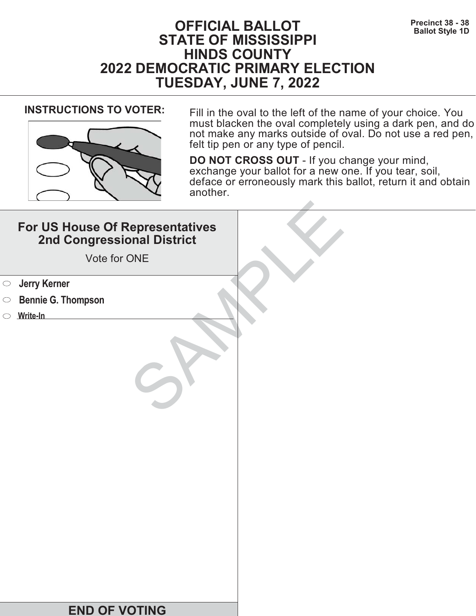# **Precinct 38 - 38**<br>Ballot Style 1D **STATE OF MISSISSIPPI HINDS COUNTY 2022 DEMOCRATIC PRIMARY ELECTION TUESDAY, JUNE 7, 2022**



**INSTRUCTIONS TO VOTER:** Fill in the oval to the left of the name of your choice. You must blacken the oval completely using a dark pen, and do not make any marks outside of oval. Do not use a red pen, felt tip pen or any type of pencil.

| For US House Of Representatives<br>2nd Congressional District<br>Vote for ONE |  |
|-------------------------------------------------------------------------------|--|
| <b>Starf</b> Serner                                                           |  |
| <b>Bennie G. Thompson</b><br>$\bigcirc$                                       |  |
| Write-In                                                                      |  |
|                                                                               |  |
| <b>END OF VOTING</b>                                                          |  |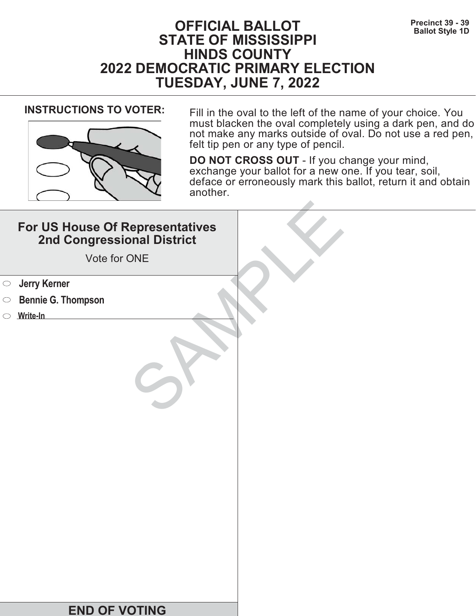# **Precinct 39 - 39**<br>Ballot Style 1D **STATE OF MISSISSIPPI HINDS COUNTY 2022 DEMOCRATIC PRIMARY ELECTION TUESDAY, JUNE 7, 2022**



**INSTRUCTIONS TO VOTER:** Fill in the oval to the left of the name of your choice. You must blacken the oval completely using a dark pen, and do not make any marks outside of oval. Do not use a red pen, felt tip pen or any type of pencil.

| For US House Of Representatives<br>2nd Congressional District<br>Vote for ONE |  |
|-------------------------------------------------------------------------------|--|
| <b>Starf</b> Serner                                                           |  |
| <b>Bennie G. Thompson</b><br>$\bigcirc$                                       |  |
| Write-In                                                                      |  |
|                                                                               |  |
| <b>END OF VOTING</b>                                                          |  |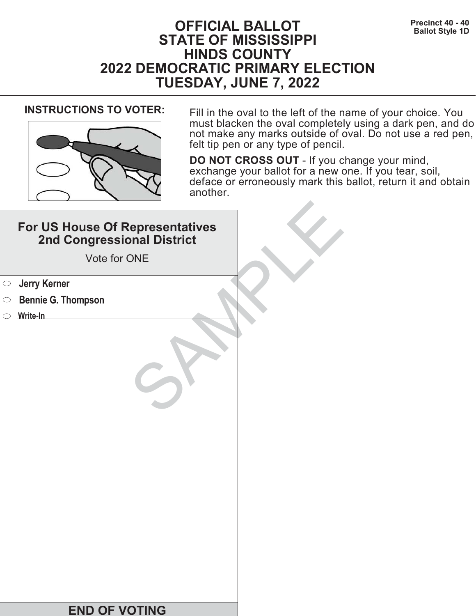# **Precinct 40 - 40**<br>Ballot Style 1D **STATE OF MISSISSIPPI HINDS COUNTY 2022 DEMOCRATIC PRIMARY ELECTION TUESDAY, JUNE 7, 2022**



**INSTRUCTIONS TO VOTER:** Fill in the oval to the left of the name of your choice. You must blacken the oval completely using a dark pen, and do not make any marks outside of oval. Do not use a red pen, felt tip pen or any type of pencil.

| For US House Of Representatives<br>2nd Congressional District<br>Vote for ONE |  |
|-------------------------------------------------------------------------------|--|
| <b>Jerry Kerner</b><br>$\bigcirc$                                             |  |
| <b>Bennie G. Thompson</b><br>$\circ$                                          |  |
| Write-In                                                                      |  |
|                                                                               |  |
| <b>END OF VOTING</b>                                                          |  |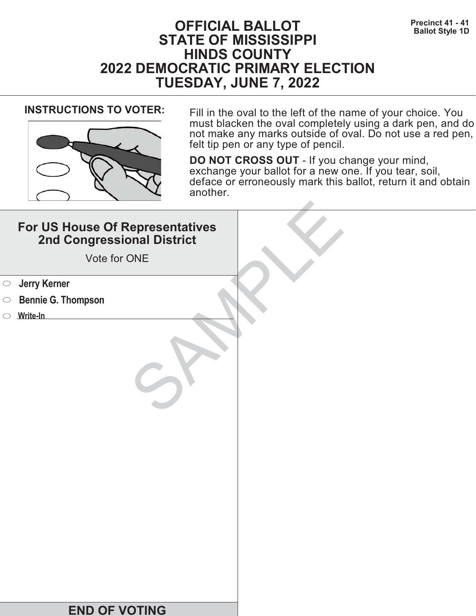# **Precinct 41 - 41 Precinct 41 - 41 BALLOT Ballot Style 1D STATE OF MISSISSIPPI HINDS COUNTY 2022 DEMOCRATIC PRIMARY ELECTION TUESDAY, JUNE 7, 2022**



**INSTRUCTIONS TO VOTER:** Fill in the oval to the left of the name of your choice. You must blacken the oval completely using a dark pen, and do not make any marks outside of oval. Do not use a red pen, felt tip pen or any type of pencil.

| For US House Of Representatives<br>2nd Congressional District<br>Vote for ONE |  |
|-------------------------------------------------------------------------------|--|
| <b>Starf</b> Serner                                                           |  |
| <b>Bennie G. Thompson</b><br>$\bigcirc$                                       |  |
| Write-In                                                                      |  |
|                                                                               |  |
| <b>END OF VOTING</b>                                                          |  |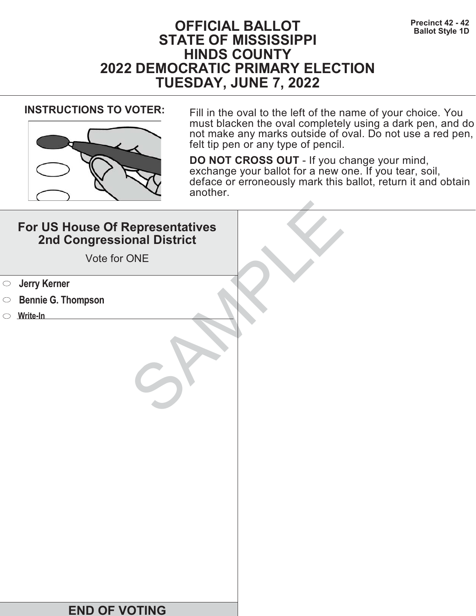# **Precinct 42 - 42**<br>Ballot Style 1D **STATE OF MISSISSIPPI HINDS COUNTY 2022 DEMOCRATIC PRIMARY ELECTION TUESDAY, JUNE 7, 2022**



**INSTRUCTIONS TO VOTER:** Fill in the oval to the left of the name of your choice. You must blacken the oval completely using a dark pen, and do not make any marks outside of oval. Do not use a red pen, felt tip pen or any type of pencil.

| For US House Of Representatives<br>2nd Congressional District<br>Vote for ONE |  |
|-------------------------------------------------------------------------------|--|
| <b>Starf</b> Serner                                                           |  |
| <b>Bennie G. Thompson</b><br>$\bigcirc$                                       |  |
| Write-In                                                                      |  |
|                                                                               |  |
| <b>END OF VOTING</b>                                                          |  |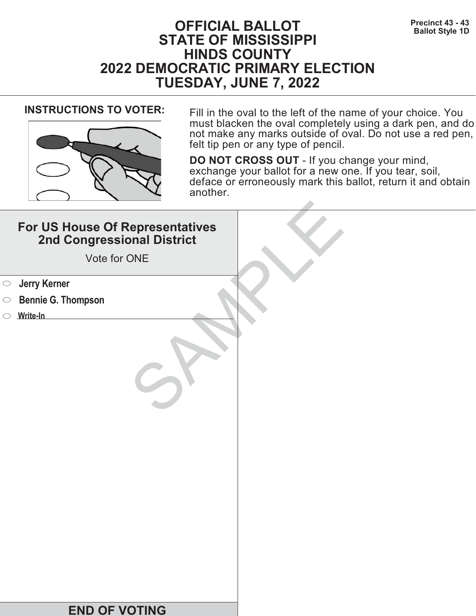# **Precinct 43 - 43**<br>Ballot Style 1D **STATE OF MISSISSIPPI HINDS COUNTY 2022 DEMOCRATIC PRIMARY ELECTION TUESDAY, JUNE 7, 2022**



**INSTRUCTIONS TO VOTER:** Fill in the oval to the left of the name of your choice. You must blacken the oval completely using a dark pen, and do not make any marks outside of oval. Do not use a red pen, felt tip pen or any type of pencil.

| For US House Of Representatives<br>2nd Congressional District<br>Vote for ONE |  |
|-------------------------------------------------------------------------------|--|
| <b>Starf</b> Serner                                                           |  |
| <b>Bennie G. Thompson</b><br>$\bigcirc$                                       |  |
| Write-In                                                                      |  |
|                                                                               |  |
| <b>END OF VOTING</b>                                                          |  |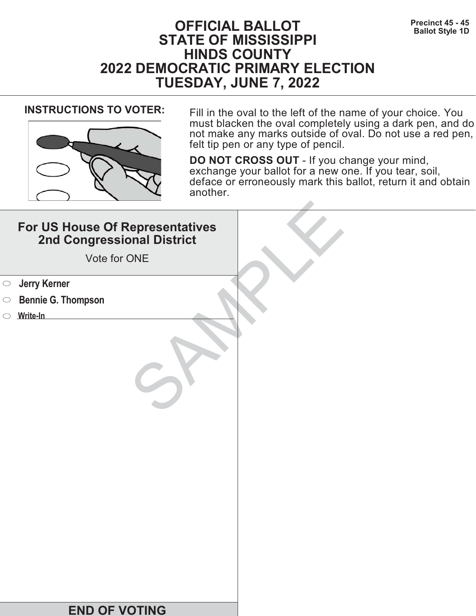# **Precinct 45 - 45**<br>Ballot Style 1D **STATE OF MISSISSIPPI HINDS COUNTY 2022 DEMOCRATIC PRIMARY ELECTION TUESDAY, JUNE 7, 2022**



**INSTRUCTIONS TO VOTER:** Fill in the oval to the left of the name of your choice. You must blacken the oval completely using a dark pen, and do not make any marks outside of oval. Do not use a red pen, felt tip pen or any type of pencil.

| For US House Of Representatives<br>2nd Congressional District<br>Vote for ONE |  |
|-------------------------------------------------------------------------------|--|
| <b>Starf</b> Serner                                                           |  |
| <b>Bennie G. Thompson</b><br>$\bigcirc$                                       |  |
| Write-In                                                                      |  |
|                                                                               |  |
| <b>END OF VOTING</b>                                                          |  |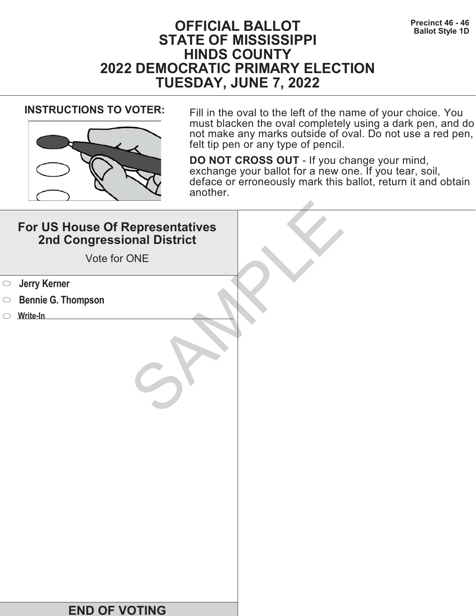# **Precinct 46 - 46 Precinct 46 - 46 Precinct 46 - 46 Ballot Style 1D STATE OF MISSISSIPPI HINDS COUNTY 2022 DEMOCRATIC PRIMARY ELECTION TUESDAY, JUNE 7, 2022**



**INSTRUCTIONS TO VOTER:** Fill in the oval to the left of the name of your choice. You must blacken the oval completely using a dark pen, and do not make any marks outside of oval. Do not use a red pen, felt tip pen or any type of pencil.

| For US House Of Representatives<br>2nd Congressional District<br>Vote for ONE |  |
|-------------------------------------------------------------------------------|--|
| <b>Jerry Kerner</b><br>$\bigcirc$                                             |  |
| <b>Bennie G. Thompson</b><br>$\circ$                                          |  |
| $\circ$ Write-In                                                              |  |
|                                                                               |  |
| <b>END OF VOTING</b>                                                          |  |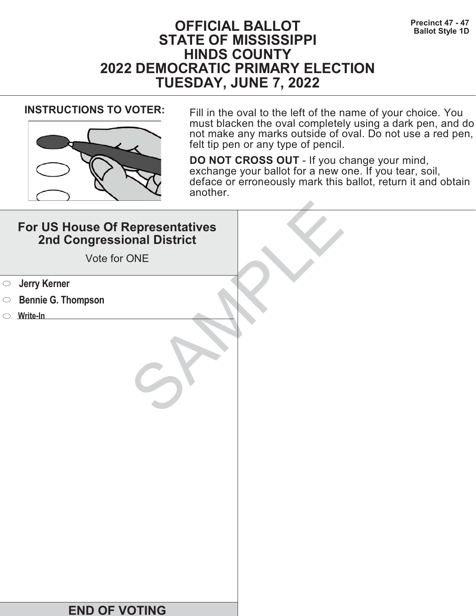# **Precinct 47 - 47<br>Ballot Style 1D**<br>**Ballot Style 1D STATE OF MISSISSIPPI HINDS COUNTY 2022 DEMOCRATIC PRIMARY ELECTION TUESDAY, JUNE 7, 2022**



**INSTRUCTIONS TO VOTER:** Fill in the oval to the left of the name of your choice. You must blacken the oval completely using a dark pen, and do not make any marks outside of oval. Do not use a red pen, felt tip pen or any type of pencil.

| For US House Of Representatives<br>2nd Congressional District<br>Vote for ONE |  |
|-------------------------------------------------------------------------------|--|
| <b>Starf</b> Serner                                                           |  |
| <b>Bennie G. Thompson</b><br>$\bigcirc$                                       |  |
| Write-In                                                                      |  |
|                                                                               |  |
| <b>END OF VOTING</b>                                                          |  |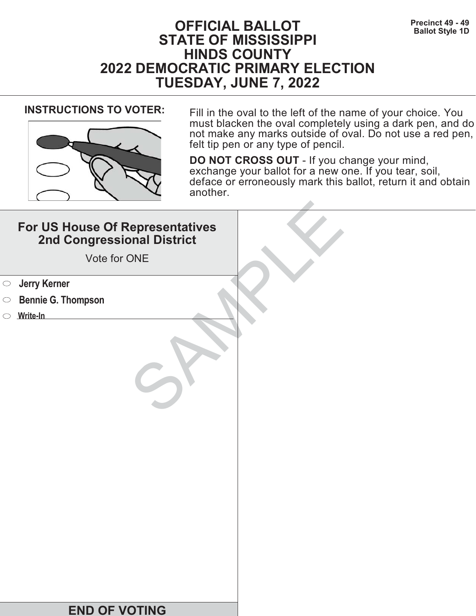# **Precinct 49 - 49**<br>Ballot Style 1D **STATE OF MISSISSIPPI HINDS COUNTY 2022 DEMOCRATIC PRIMARY ELECTION TUESDAY, JUNE 7, 2022**



**INSTRUCTIONS TO VOTER:** Fill in the oval to the left of the name of your choice. You must blacken the oval completely using a dark pen, and do not make any marks outside of oval. Do not use a red pen, felt tip pen or any type of pencil.

| For US House Of Representatives<br>2nd Congressional District<br>Vote for ONE |  |
|-------------------------------------------------------------------------------|--|
| <b>Jerry Kerner</b><br>$\bigcirc$                                             |  |
| <b>Bennie G. Thompson</b><br>$\circ$                                          |  |
| $\circ$ Write-In                                                              |  |
|                                                                               |  |
| <b>END OF VOTING</b>                                                          |  |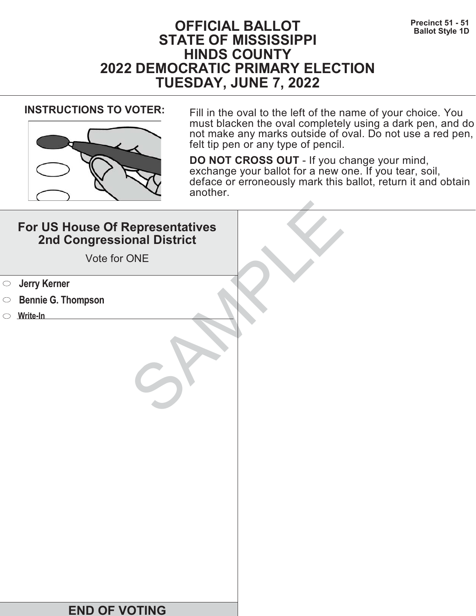# **Precinct 51 - 51**<br>Ballot Style 1D **STATE OF MISSISSIPPI HINDS COUNTY 2022 DEMOCRATIC PRIMARY ELECTION TUESDAY, JUNE 7, 2022**



**INSTRUCTIONS TO VOTER:** Fill in the oval to the left of the name of your choice. You must blacken the oval completely using a dark pen, and do not make any marks outside of oval. Do not use a red pen, felt tip pen or any type of pencil.

| For US House Of Representatives<br>2nd Congressional District<br>Vote for ONE |  |
|-------------------------------------------------------------------------------|--|
| <b>Starf</b> Serner                                                           |  |
| <b>Bennie G. Thompson</b><br>$\bigcirc$                                       |  |
| Write-In                                                                      |  |
|                                                                               |  |
| <b>END OF VOTING</b>                                                          |  |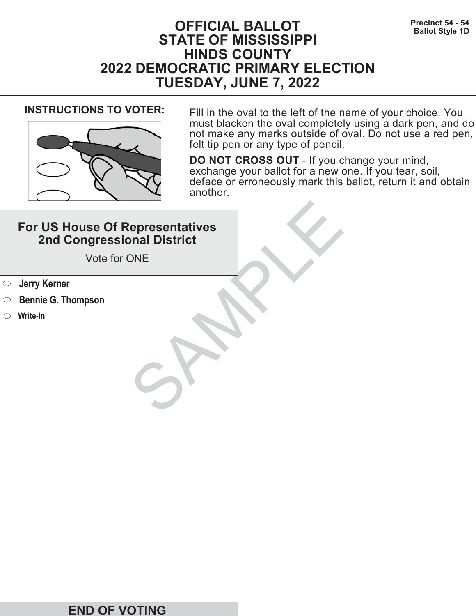# **Precinct 54 - 54 Precinct 54 - 54 Ballot Style 1D STATE OF MISSISSIPPI HINDS COUNTY 2022 DEMOCRATIC PRIMARY ELECTION TUESDAY, JUNE 7, 2022**



**INSTRUCTIONS TO VOTER:** Fill in the oval to the left of the name of your choice. You must blacken the oval completely using a dark pen, and do not make any marks outside of oval. Do not use a red pen, felt tip pen or any type of pencil.

| For US House Of Representatives<br>2nd Congressional District<br>Vote for ONE |  |
|-------------------------------------------------------------------------------|--|
| <b>Jerry Kerner</b><br>$\bigcirc$                                             |  |
| <b>Bennie G. Thompson</b><br>$\circ$                                          |  |
| Write-In                                                                      |  |
|                                                                               |  |
| <b>END OF VOTING</b>                                                          |  |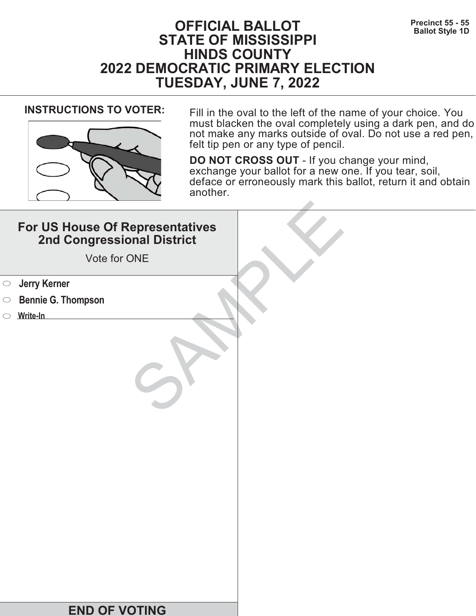# **Precinct 55 - 55**<br>Ballot Style 1D **STATE OF MISSISSIPPI HINDS COUNTY 2022 DEMOCRATIC PRIMARY ELECTION TUESDAY, JUNE 7, 2022**



**INSTRUCTIONS TO VOTER:** Fill in the oval to the left of the name of your choice. You must blacken the oval completely using a dark pen, and do not make any marks outside of oval. Do not use a red pen, felt tip pen or any type of pencil.

| For US House Of Representatives<br>2nd Congressional District<br>Vote for ONE |  |
|-------------------------------------------------------------------------------|--|
| <b>Starf</b> Serner                                                           |  |
| <b>Bennie G. Thompson</b><br>$\bigcirc$                                       |  |
| Write-In                                                                      |  |
|                                                                               |  |
| <b>END OF VOTING</b>                                                          |  |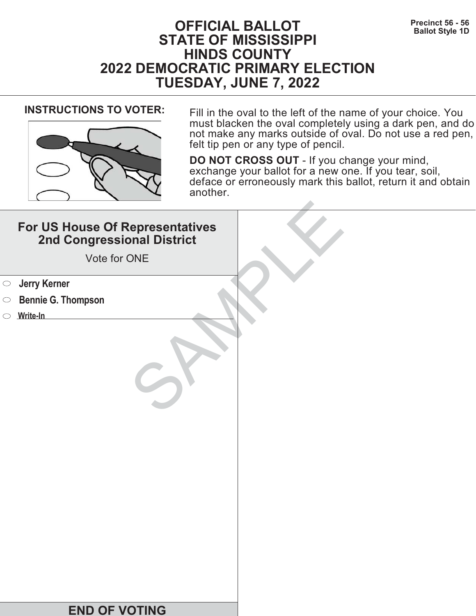# **Precinct 56 - 56**<br>Ballot Style 1D **STATE OF MISSISSIPPI HINDS COUNTY 2022 DEMOCRATIC PRIMARY ELECTION TUESDAY, JUNE 7, 2022**



**INSTRUCTIONS TO VOTER:** Fill in the oval to the left of the name of your choice. You must blacken the oval completely using a dark pen, and do not make any marks outside of oval. Do not use a red pen, felt tip pen or any type of pencil.

| For US House Of Representatives<br>2nd Congressional District<br>Vote for ONE |  |
|-------------------------------------------------------------------------------|--|
| <b>Jerry Kerner</b><br>$\bigcirc$                                             |  |
| <b>Bennie G. Thompson</b><br>$\circ$                                          |  |
| $\circ$ Write-In                                                              |  |
|                                                                               |  |
| <b>END OF VOTING</b>                                                          |  |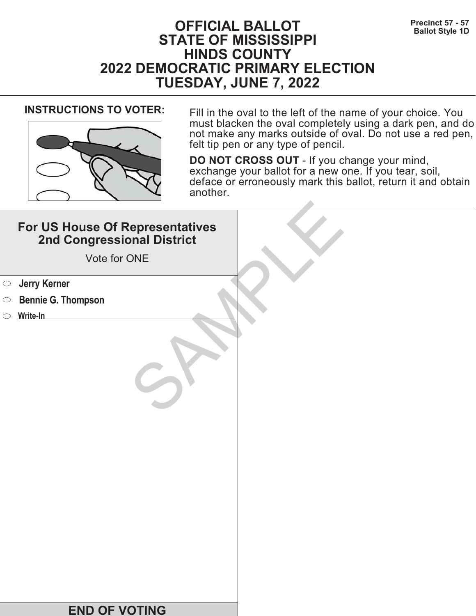# **Precinct 57 - 57**<br>Ballot Style 1D **STATE OF MISSISSIPPI HINDS COUNTY 2022 DEMOCRATIC PRIMARY ELECTION TUESDAY, JUNE 7, 2022**



**INSTRUCTIONS TO VOTER:** Fill in the oval to the left of the name of your choice. You must blacken the oval completely using a dark pen, and do not make any marks outside of oval. Do not use a red pen, felt tip pen or any type of pencil.

| For US House Of Representatives<br>2nd Congressional District<br>Vote for ONE |  |
|-------------------------------------------------------------------------------|--|
| <b>Starf</b> Serner                                                           |  |
| <b>Bennie G. Thompson</b><br>$\bigcirc$                                       |  |
| Write-In                                                                      |  |
|                                                                               |  |
| <b>END OF VOTING</b>                                                          |  |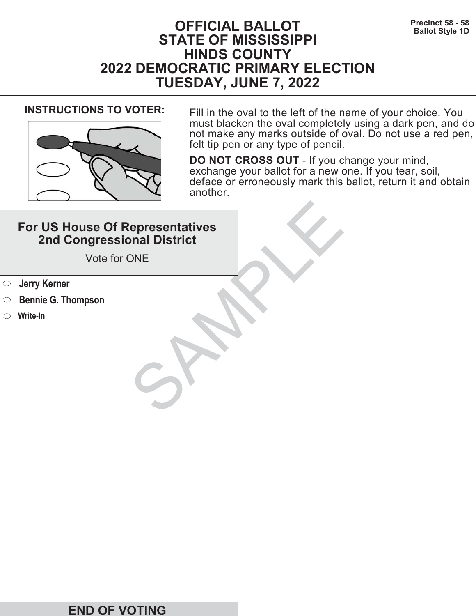# **Precinct 58 - 58**<br>Ballot Style 1D **STATE OF MISSISSIPPI HINDS COUNTY 2022 DEMOCRATIC PRIMARY ELECTION TUESDAY, JUNE 7, 2022**



**INSTRUCTIONS TO VOTER:** Fill in the oval to the left of the name of your choice. You must blacken the oval completely using a dark pen, and do not make any marks outside of oval. Do not use a red pen, felt tip pen or any type of pencil.

| For US House Of Representatives<br>2nd Congressional District<br>Vote for ONE |  |
|-------------------------------------------------------------------------------|--|
| <b>Jerry Kerner</b><br>$\bigcirc$                                             |  |
| <b>Bennie G. Thompson</b><br>$\circ$                                          |  |
| $\circ$ Write-In                                                              |  |
|                                                                               |  |
| <b>END OF VOTING</b>                                                          |  |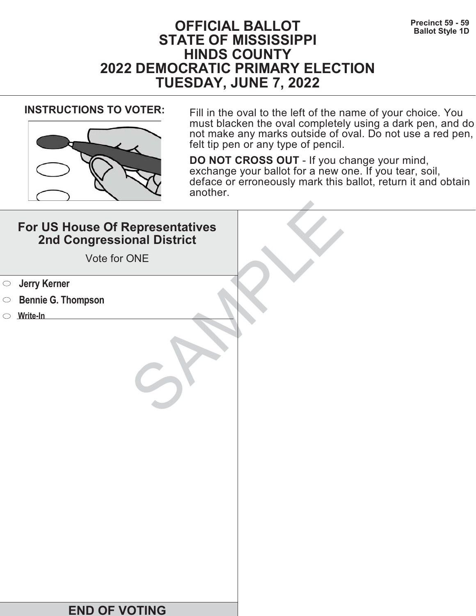# **Precinct 59 - 59**<br>Ballot Style 1D **STATE OF MISSISSIPPI HINDS COUNTY 2022 DEMOCRATIC PRIMARY ELECTION TUESDAY, JUNE 7, 2022**



**INSTRUCTIONS TO VOTER:** Fill in the oval to the left of the name of your choice. You must blacken the oval completely using a dark pen, and do not make any marks outside of oval. Do not use a red pen, felt tip pen or any type of pencil.

| For US House Of Representatives<br>2nd Congressional District<br>Vote for ONE |  |
|-------------------------------------------------------------------------------|--|
| <b>Jerry Kerner</b><br>$\bigcirc$                                             |  |
| <b>Bennie G. Thompson</b><br>$\circ$                                          |  |
| Write-In                                                                      |  |
|                                                                               |  |
| <b>END OF VOTING</b>                                                          |  |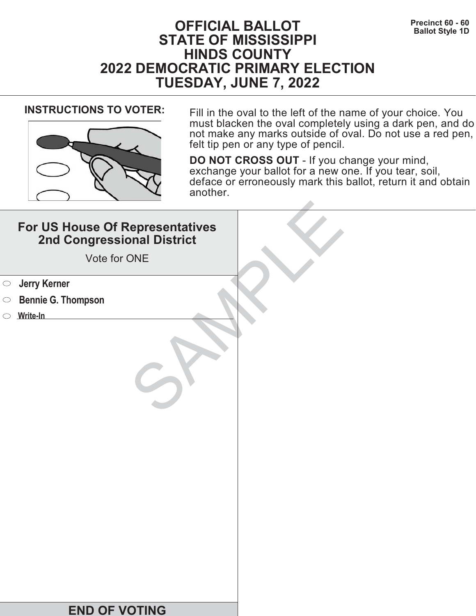# **Precinct 60 - 60**<br>Ballot Style 1D **STATE OF MISSISSIPPI HINDS COUNTY 2022 DEMOCRATIC PRIMARY ELECTION TUESDAY, JUNE 7, 2022**



**INSTRUCTIONS TO VOTER:** Fill in the oval to the left of the name of your choice. You must blacken the oval completely using a dark pen, and do not make any marks outside of oval. Do not use a red pen, felt tip pen or any type of pencil.

| For US House Of Representatives<br>2nd Congressional District<br>Vote for ONE |  |
|-------------------------------------------------------------------------------|--|
| <b>Jerry Kerner</b><br>$\bigcirc$                                             |  |
| <b>Bennie G. Thompson</b><br>$\circ$                                          |  |
| $\circ$ Write-In                                                              |  |
|                                                                               |  |
| <b>END OF VOTING</b>                                                          |  |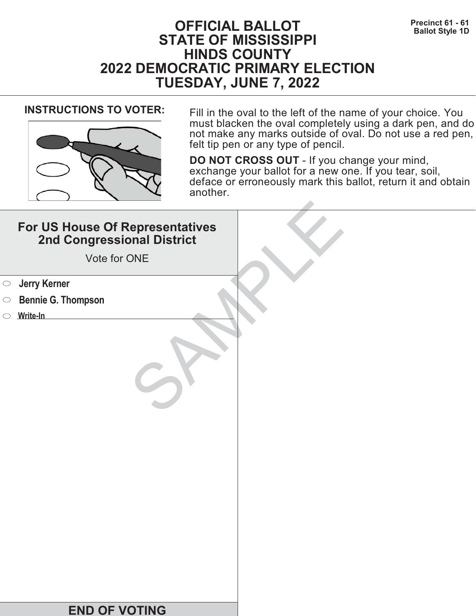# **Precinct 61 - 61**<br>Ballot Style 1D **STATE OF MISSISSIPPI HINDS COUNTY 2022 DEMOCRATIC PRIMARY ELECTION TUESDAY, JUNE 7, 2022**



**INSTRUCTIONS TO VOTER:** Fill in the oval to the left of the name of your choice. You must blacken the oval completely using a dark pen, and do not make any marks outside of oval. Do not use a red pen, felt tip pen or any type of pencil.

| For US House Of Representatives<br>2nd Congressional District<br>Vote for ONE |  |
|-------------------------------------------------------------------------------|--|
| <b>Starf</b> Serner                                                           |  |
| <b>Bennie G. Thompson</b><br>$\bigcirc$                                       |  |
| Write-In                                                                      |  |
|                                                                               |  |
| <b>END OF VOTING</b>                                                          |  |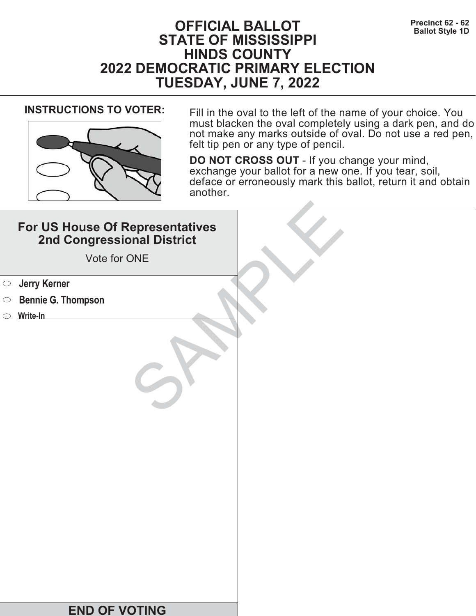# **Precinct 62 - 62**<br>Ballot Style 1D **STATE OF MISSISSIPPI HINDS COUNTY 2022 DEMOCRATIC PRIMARY ELECTION TUESDAY, JUNE 7, 2022**



**INSTRUCTIONS TO VOTER:** Fill in the oval to the left of the name of your choice. You must blacken the oval completely using a dark pen, and do not make any marks outside of oval. Do not use a red pen, felt tip pen or any type of pencil.

| For US House Of Representatives<br>2nd Congressional District<br>Vote for ONE |  |
|-------------------------------------------------------------------------------|--|
| <b>Starf</b> Serner                                                           |  |
| <b>Bennie G. Thompson</b><br>$\bigcirc$                                       |  |
| Write-In                                                                      |  |
|                                                                               |  |
| <b>END OF VOTING</b>                                                          |  |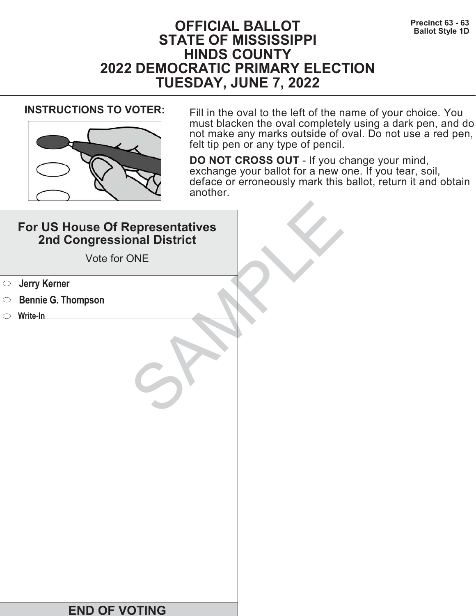# **Precinct 63 - 63**<br>Ballot Style 1D **STATE OF MISSISSIPPI HINDS COUNTY 2022 DEMOCRATIC PRIMARY ELECTION TUESDAY, JUNE 7, 2022**



**INSTRUCTIONS TO VOTER:** Fill in the oval to the left of the name of your choice. You must blacken the oval completely using a dark pen, and do not make any marks outside of oval. Do not use a red pen, felt tip pen or any type of pencil.

| For US House Of Representatives<br>2nd Congressional District<br>Vote for ONE |  |
|-------------------------------------------------------------------------------|--|
| <b>Starf</b> Serner                                                           |  |
| <b>Bennie G. Thompson</b><br>$\bigcirc$                                       |  |
| Write-In                                                                      |  |
|                                                                               |  |
| <b>END OF VOTING</b>                                                          |  |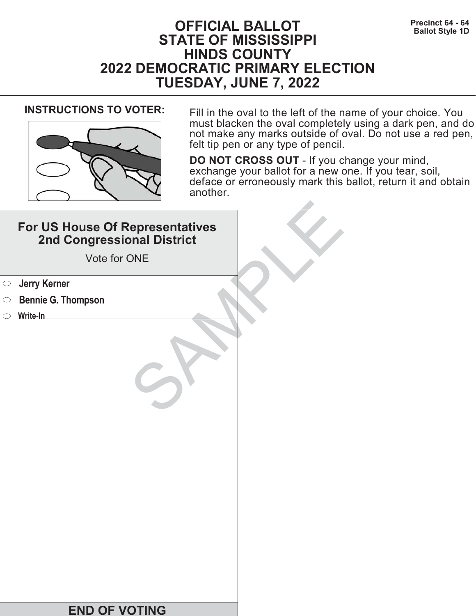# **Precinct 64 - 64**<br>Ballot Style 1D **STATE OF MISSISSIPPI HINDS COUNTY 2022 DEMOCRATIC PRIMARY ELECTION TUESDAY, JUNE 7, 2022**



**INSTRUCTIONS TO VOTER:** Fill in the oval to the left of the name of your choice. You must blacken the oval completely using a dark pen, and do not make any marks outside of oval. Do not use a red pen, felt tip pen or any type of pencil.

| For US House Of Representatives<br>2nd Congressional District<br>Vote for ONE |  |
|-------------------------------------------------------------------------------|--|
| <b>Jerry Kerner</b><br>$\bigcirc$                                             |  |
| <b>Bennie G. Thompson</b><br>$\circ$                                          |  |
| Write-In                                                                      |  |
|                                                                               |  |
| <b>END OF VOTING</b>                                                          |  |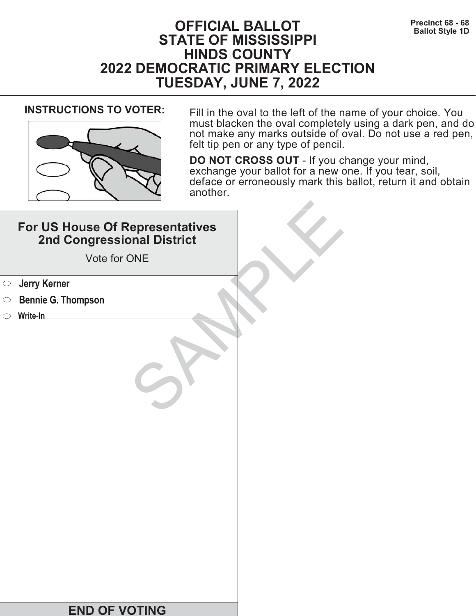# **Precinct 68 - 68**<br>Ballot Style 1D **STATE OF MISSISSIPPI HINDS COUNTY 2022 DEMOCRATIC PRIMARY ELECTION TUESDAY, JUNE 7, 2022**



**INSTRUCTIONS TO VOTER:** Fill in the oval to the left of the name of your choice. You must blacken the oval completely using a dark pen, and do not make any marks outside of oval. Do not use a red pen, felt tip pen or any type of pencil.

| For US House Of Representatives<br>2nd Congressional District<br>Vote for ONE |  |
|-------------------------------------------------------------------------------|--|
| <b>Jerry Kerner</b><br>$\bigcirc$                                             |  |
| <b>Bennie G. Thompson</b><br>$\circ$                                          |  |
| Write-In                                                                      |  |
|                                                                               |  |
| <b>END OF VOTING</b>                                                          |  |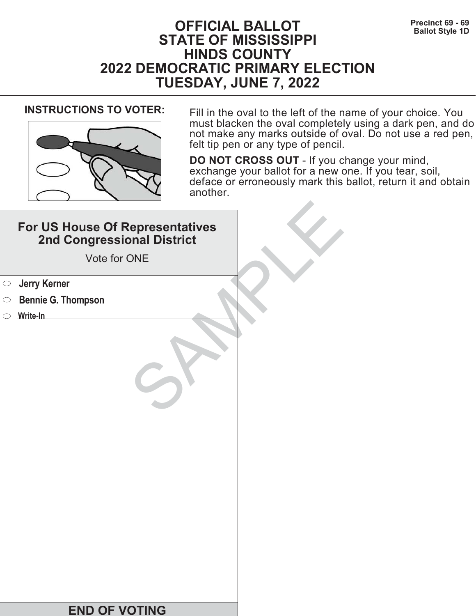# **Precinct 69 - 69**<br>Ballot Style 1D **STATE OF MISSISSIPPI HINDS COUNTY 2022 DEMOCRATIC PRIMARY ELECTION TUESDAY, JUNE 7, 2022**



**INSTRUCTIONS TO VOTER:** Fill in the oval to the left of the name of your choice. You must blacken the oval completely using a dark pen, and do not make any marks outside of oval. Do not use a red pen, felt tip pen or any type of pencil.

| For US House Of Representatives<br>2nd Congressional District<br>Vote for ONE |  |
|-------------------------------------------------------------------------------|--|
| <b>Starf</b> Serner                                                           |  |
| <b>Bennie G. Thompson</b><br>$\bigcirc$                                       |  |
| Write-In                                                                      |  |
|                                                                               |  |
| <b>END OF VOTING</b>                                                          |  |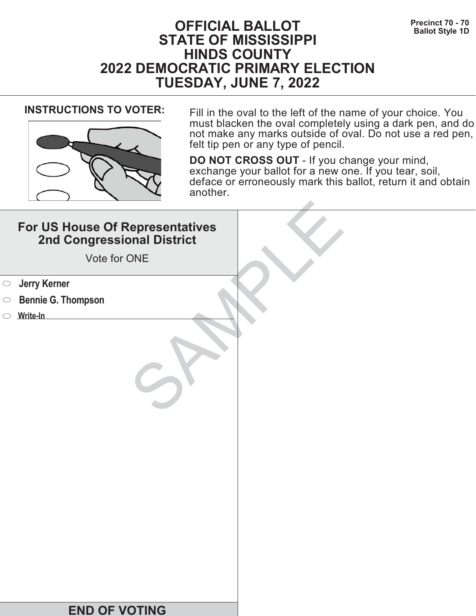# **Precinct 70 - 70**<br>Ballot Style 1D **STATE OF MISSISSIPPI HINDS COUNTY 2022 DEMOCRATIC PRIMARY ELECTION TUESDAY, JUNE 7, 2022**



**INSTRUCTIONS TO VOTER:** Fill in the oval to the left of the name of your choice. You must blacken the oval completely using a dark pen, and do not make any marks outside of oval. Do not use a red pen, felt tip pen or any type of pencil.

| For US House Of Representatives<br>2nd Congressional District<br>Vote for ONE |  |
|-------------------------------------------------------------------------------|--|
| <b>Jerry Kerner</b><br>$\bigcirc$                                             |  |
| <b>Bennie G. Thompson</b><br>$\circ$                                          |  |
| $\circ$ Write-In                                                              |  |
|                                                                               |  |
| <b>END OF VOTING</b>                                                          |  |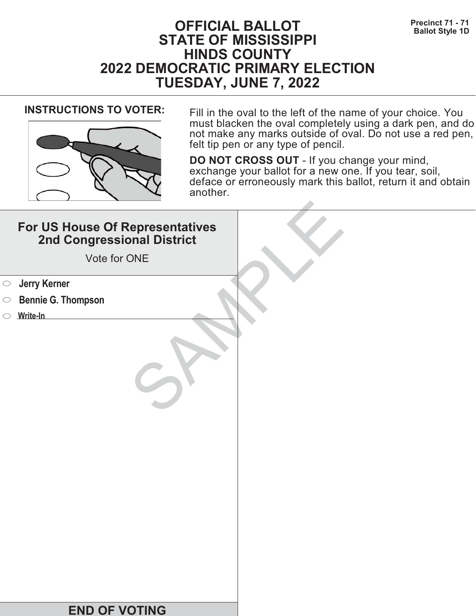# **Precinct 71 - 71 Precinct 71 - 71 Ballot Style 1D STATE OF MISSISSIPPI HINDS COUNTY 2022 DEMOCRATIC PRIMARY ELECTION TUESDAY, JUNE 7, 2022**



**INSTRUCTIONS TO VOTER:** Fill in the oval to the left of the name of your choice. You must blacken the oval completely using a dark pen, and do not make any marks outside of oval. Do not use a red pen, felt tip pen or any type of pencil.

| For US House Of Representatives<br>2nd Congressional District<br>Vote for ONE |  |
|-------------------------------------------------------------------------------|--|
| <b>Jerry Kerner</b><br>$\bigcirc$                                             |  |
| <b>Bennie G. Thompson</b><br>$\circ$                                          |  |
| $\circ$ Write-In                                                              |  |
|                                                                               |  |
| <b>END OF VOTING</b>                                                          |  |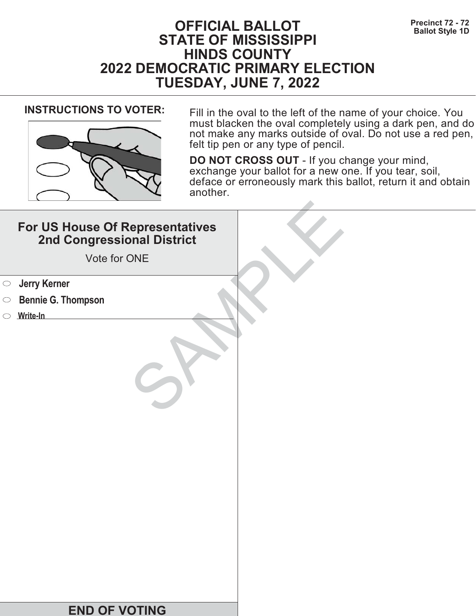# **Precinct 72 - 72**<br>Ballot Style 1D **STATE OF MISSISSIPPI HINDS COUNTY 2022 DEMOCRATIC PRIMARY ELECTION TUESDAY, JUNE 7, 2022**



**INSTRUCTIONS TO VOTER:** Fill in the oval to the left of the name of your choice. You must blacken the oval completely using a dark pen, and do not make any marks outside of oval. Do not use a red pen, felt tip pen or any type of pencil.

| For US House Of Representatives<br>2nd Congressional District<br>Vote for ONE |  |
|-------------------------------------------------------------------------------|--|
| <b>Jerry Kerner</b><br>$\bigcirc$                                             |  |
| <b>Bennie G. Thompson</b><br>$\circ$                                          |  |
| $\circ$ Write-In                                                              |  |
|                                                                               |  |
| <b>END OF VOTING</b>                                                          |  |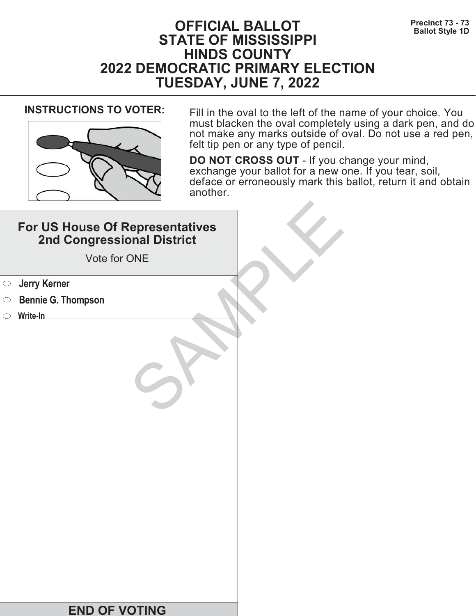# **Precinct 73 - 73**<br>Ballot Style 1D **STATE OF MISSISSIPPI HINDS COUNTY 2022 DEMOCRATIC PRIMARY ELECTION TUESDAY, JUNE 7, 2022**



**INSTRUCTIONS TO VOTER:** Fill in the oval to the left of the name of your choice. You must blacken the oval completely using a dark pen, and do not make any marks outside of oval. Do not use a red pen, felt tip pen or any type of pencil.

| For US House Of Representatives<br>2nd Congressional District<br>Vote for ONE |  |
|-------------------------------------------------------------------------------|--|
| <b>Starf</b> Serner                                                           |  |
| <b>Bennie G. Thompson</b><br>$\bigcirc$                                       |  |
| Write-In                                                                      |  |
|                                                                               |  |
| <b>END OF VOTING</b>                                                          |  |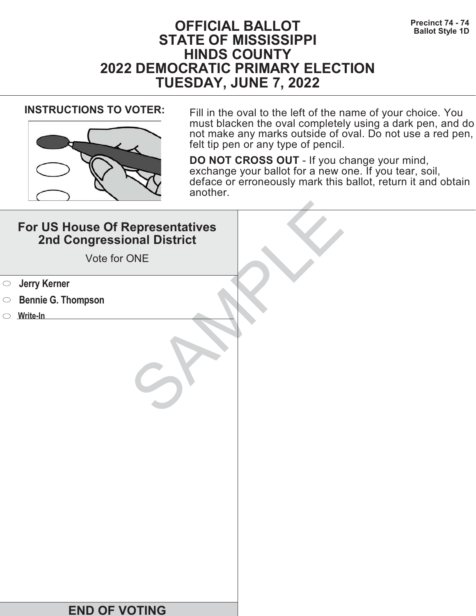# **Precinct 74 - 74 Precinct 74 - 74 Ballot Style 1D STATE OF MISSISSIPPI HINDS COUNTY 2022 DEMOCRATIC PRIMARY ELECTION TUESDAY, JUNE 7, 2022**



**INSTRUCTIONS TO VOTER:** Fill in the oval to the left of the name of your choice. You must blacken the oval completely using a dark pen, and do not make any marks outside of oval. Do not use a red pen, felt tip pen or any type of pencil.

| For US House Of Representatives<br>2nd Congressional District<br>Vote for ONE |  |
|-------------------------------------------------------------------------------|--|
| <b>Jerry Kerner</b><br>$\bigcirc$                                             |  |
| <b>Bennie G. Thompson</b><br>$\circ$                                          |  |
| $\circ$ Write-In                                                              |  |
|                                                                               |  |
| <b>END OF VOTING</b>                                                          |  |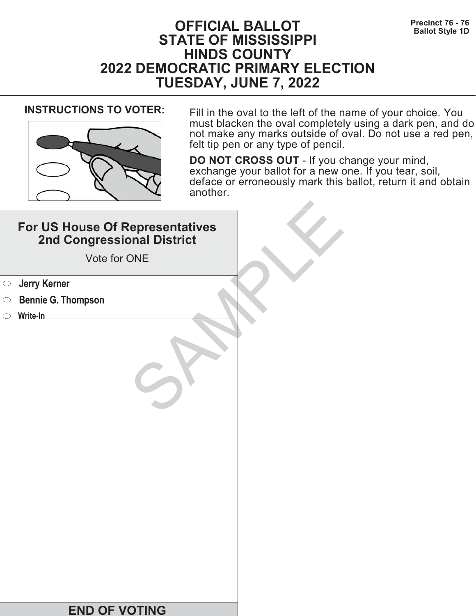# **Precinct 76 - 76 Precinct 76 - 76 Ballot Style 1D STATE OF MISSISSIPPI HINDS COUNTY 2022 DEMOCRATIC PRIMARY ELECTION TUESDAY, JUNE 7, 2022**



**INSTRUCTIONS TO VOTER:** Fill in the oval to the left of the name of your choice. You must blacken the oval completely using a dark pen, and do not make any marks outside of oval. Do not use a red pen, felt tip pen or any type of pencil.

| For US House Of Representatives<br>2nd Congressional District<br>Vote for ONE |  |
|-------------------------------------------------------------------------------|--|
| <b>Jerry Kerner</b><br>$\bigcirc$                                             |  |
| <b>Bennie G. Thompson</b><br>$\circ$                                          |  |
| $\circ$ Write-In                                                              |  |
|                                                                               |  |
| <b>END OF VOTING</b>                                                          |  |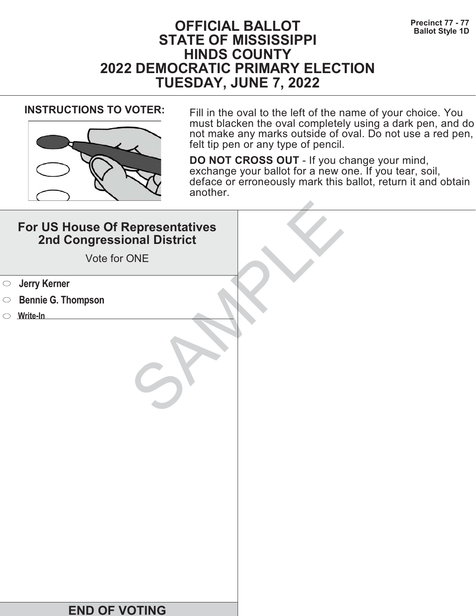# **Precinct 77 - 77**<br>Ballot Style 1D **STATE OF MISSISSIPPI HINDS COUNTY 2022 DEMOCRATIC PRIMARY ELECTION TUESDAY, JUNE 7, 2022**



**INSTRUCTIONS TO VOTER:** Fill in the oval to the left of the name of your choice. You must blacken the oval completely using a dark pen, and do not make any marks outside of oval. Do not use a red pen, felt tip pen or any type of pencil.

| For US House Of Representatives<br>2nd Congressional District<br>Vote for ONE |  |
|-------------------------------------------------------------------------------|--|
| <b>Jerry Kerner</b><br>$\bigcirc$                                             |  |
| <b>Bennie G. Thompson</b><br>$\circ$                                          |  |
| Write-In                                                                      |  |
|                                                                               |  |
| <b>END OF VOTING</b>                                                          |  |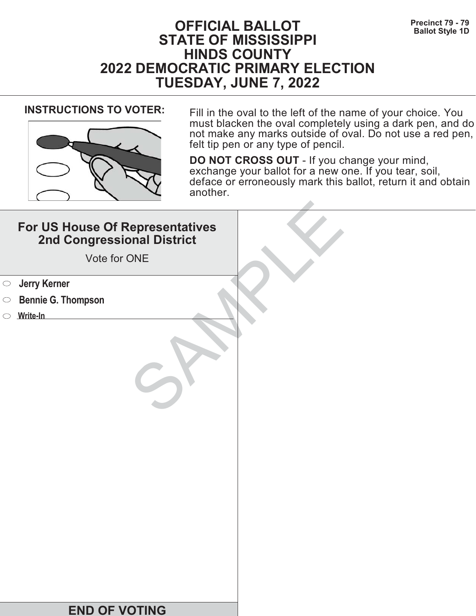# **Precinct 79 - 79**<br>Ballot Style 1D **STATE OF MISSISSIPPI HINDS COUNTY 2022 DEMOCRATIC PRIMARY ELECTION TUESDAY, JUNE 7, 2022**



**INSTRUCTIONS TO VOTER:** Fill in the oval to the left of the name of your choice. You must blacken the oval completely using a dark pen, and do not make any marks outside of oval. Do not use a red pen, felt tip pen or any type of pencil.

| For US House Of Representatives<br>2nd Congressional District<br>Vote for ONE |  |
|-------------------------------------------------------------------------------|--|
| <b>Starf</b> Serner                                                           |  |
| <b>Bennie G. Thompson</b><br>$\bigcirc$                                       |  |
| Write-In                                                                      |  |
|                                                                               |  |
| <b>END OF VOTING</b>                                                          |  |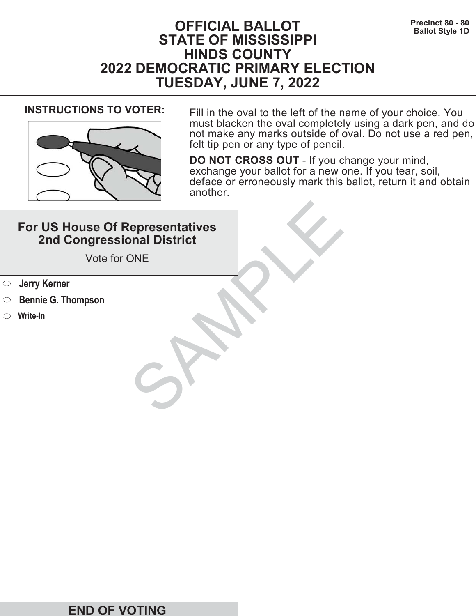# **Precinct 80 - 80**<br>Ballot Style 1D **STATE OF MISSISSIPPI HINDS COUNTY 2022 DEMOCRATIC PRIMARY ELECTION TUESDAY, JUNE 7, 2022**



**INSTRUCTIONS TO VOTER:** Fill in the oval to the left of the name of your choice. You must blacken the oval completely using a dark pen, and do not make any marks outside of oval. Do not use a red pen, felt tip pen or any type of pencil.

| For US House Of Representatives<br>2nd Congressional District<br>Vote for ONE |  |
|-------------------------------------------------------------------------------|--|
| <b>Starf</b> Serner                                                           |  |
| <b>Bennie G. Thompson</b><br>$\bigcirc$                                       |  |
| Write-In                                                                      |  |
|                                                                               |  |
| <b>END OF VOTING</b>                                                          |  |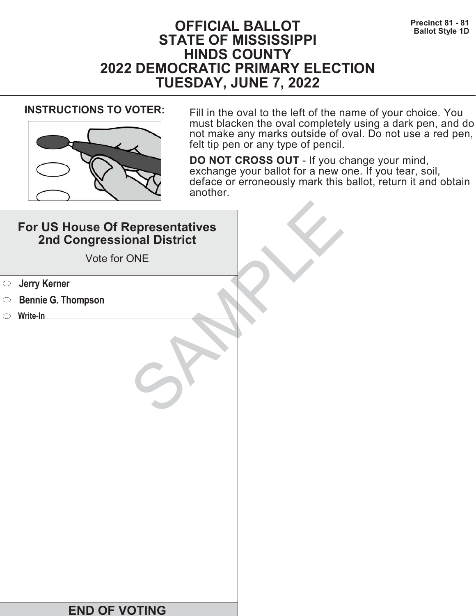# **Precinct 81 - 81 Precinct 81 - 81 Ballot Style 1D STATE OF MISSISSIPPI HINDS COUNTY 2022 DEMOCRATIC PRIMARY ELECTION TUESDAY, JUNE 7, 2022**



**INSTRUCTIONS TO VOTER:** Fill in the oval to the left of the name of your choice. You must blacken the oval completely using a dark pen, and do not make any marks outside of oval. Do not use a red pen, felt tip pen or any type of pencil.

| For US House Of Representatives<br>2nd Congressional District<br>Vote for ONE |  |
|-------------------------------------------------------------------------------|--|
| <b>Starf</b> Serner                                                           |  |
| <b>Bennie G. Thompson</b><br>$\bigcirc$                                       |  |
| Write-In                                                                      |  |
|                                                                               |  |
| <b>END OF VOTING</b>                                                          |  |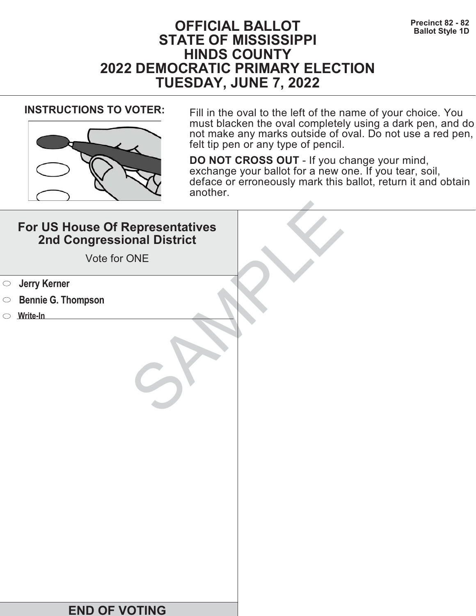# **Precinct 82 - 82**<br>Ballot Style 1D **STATE OF MISSISSIPPI HINDS COUNTY 2022 DEMOCRATIC PRIMARY ELECTION TUESDAY, JUNE 7, 2022**



**INSTRUCTIONS TO VOTER:** Fill in the oval to the left of the name of your choice. You must blacken the oval completely using a dark pen, and do not make any marks outside of oval. Do not use a red pen, felt tip pen or any type of pencil.

| For US House Of Representatives<br>2nd Congressional District<br>Vote for ONE |  |
|-------------------------------------------------------------------------------|--|
| <b>Starf</b> Serner                                                           |  |
| <b>Bennie G. Thompson</b><br>$\bigcirc$                                       |  |
| Write-In                                                                      |  |
|                                                                               |  |
| <b>END OF VOTING</b>                                                          |  |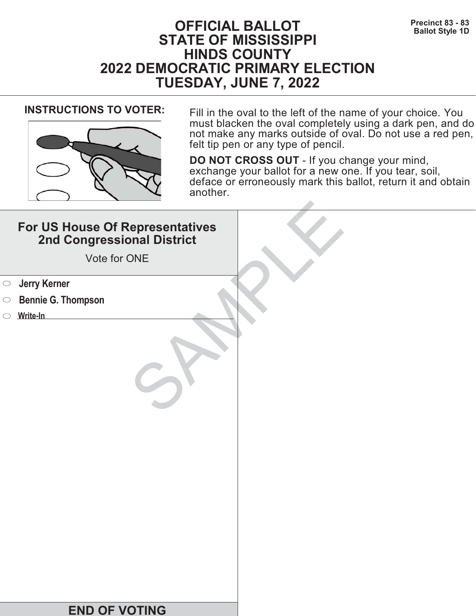# **Precinct 83 - 83**<br>Ballot Style 1D **STATE OF MISSISSIPPI HINDS COUNTY 2022 DEMOCRATIC PRIMARY ELECTION TUESDAY, JUNE 7, 2022**



**INSTRUCTIONS TO VOTER:** Fill in the oval to the left of the name of your choice. You must blacken the oval completely using a dark pen, and do not make any marks outside of oval. Do not use a red pen, felt tip pen or any type of pencil.

| For US House Of Representatives<br>2nd Congressional District<br>Vote for ONE |  |
|-------------------------------------------------------------------------------|--|
| <b>Starf</b> Serner                                                           |  |
| <b>Bennie G. Thompson</b><br>$\bigcirc$                                       |  |
| Write-In                                                                      |  |
|                                                                               |  |
| <b>END OF VOTING</b>                                                          |  |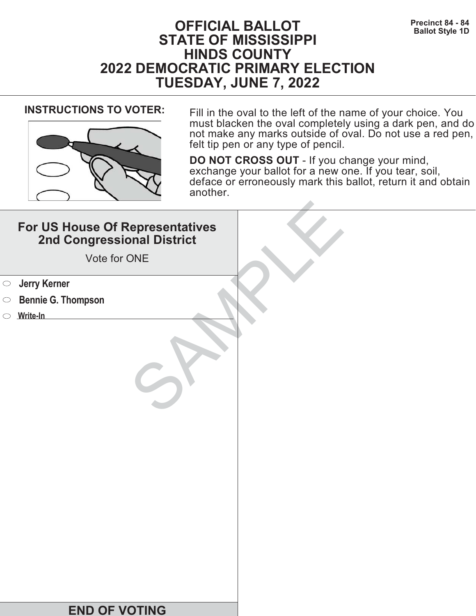# **Precinct 84 - 84 Precinct 84 - 84 Ballot Style 1D STATE OF MISSISSIPPI HINDS COUNTY 2022 DEMOCRATIC PRIMARY ELECTION TUESDAY, JUNE 7, 2022**



**INSTRUCTIONS TO VOTER:** Fill in the oval to the left of the name of your choice. You must blacken the oval completely using a dark pen, and do not make any marks outside of oval. Do not use a red pen, felt tip pen or any type of pencil.

| For US House Of Representatives<br>2nd Congressional District<br>Vote for ONE |  |
|-------------------------------------------------------------------------------|--|
| <b>Jerry Kerner</b><br>$\bigcirc$                                             |  |
| <b>Bennie G. Thompson</b><br>$\circ$                                          |  |
| Write-In                                                                      |  |
|                                                                               |  |
| <b>END OF VOTING</b>                                                          |  |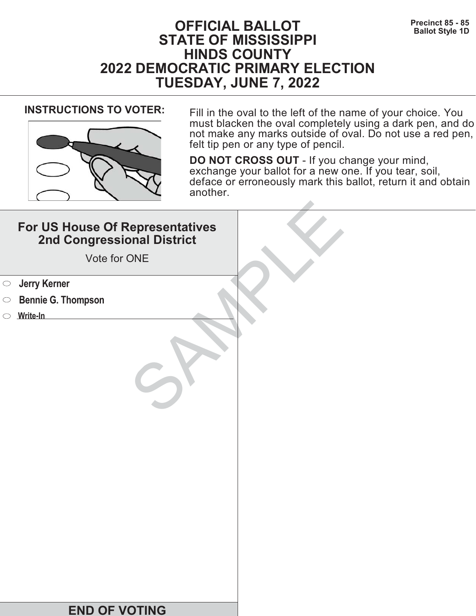# **Precinct 85 - 85**<br>Ballot Style 1D **STATE OF MISSISSIPPI HINDS COUNTY 2022 DEMOCRATIC PRIMARY ELECTION TUESDAY, JUNE 7, 2022**



**INSTRUCTIONS TO VOTER:** Fill in the oval to the left of the name of your choice. You must blacken the oval completely using a dark pen, and do not make any marks outside of oval. Do not use a red pen, felt tip pen or any type of pencil.

|            | For US House Of Representatives<br>2nd Congressional District<br>Vote for ONE |  |
|------------|-------------------------------------------------------------------------------|--|
| $\bigcirc$ | <b>Jerry Kerner</b>                                                           |  |
| $\circ$    | <b>Bennie G. Thompson</b>                                                     |  |
|            | $\circ$ Write-In                                                              |  |
|            |                                                                               |  |
|            | <b>END OF VOTING</b>                                                          |  |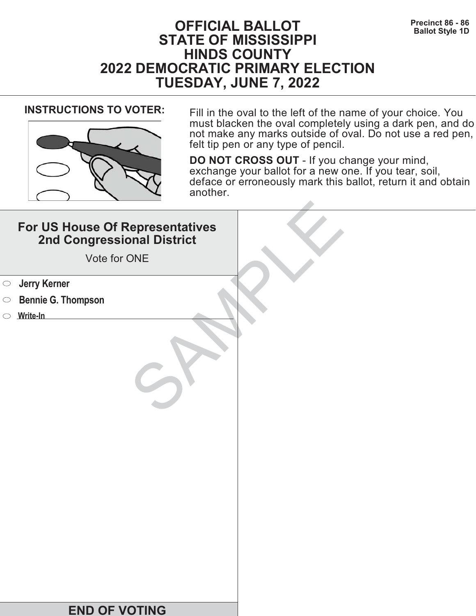# **Precinct 86 - 86 Precinct 86 - 86 Ballot Style 1D STATE OF MISSISSIPPI HINDS COUNTY 2022 DEMOCRATIC PRIMARY ELECTION TUESDAY, JUNE 7, 2022**



**INSTRUCTIONS TO VOTER:** Fill in the oval to the left of the name of your choice. You must blacken the oval completely using a dark pen, and do not make any marks outside of oval. Do not use a red pen, felt tip pen or any type of pencil.

| For US House Of Representatives<br>2nd Congressional District<br>Vote for ONE |  |
|-------------------------------------------------------------------------------|--|
| <b>Jerry Kerner</b><br>$\bigcirc$                                             |  |
| <b>Bennie G. Thompson</b><br>$\circ$                                          |  |
| $\circ$ Write-In                                                              |  |
|                                                                               |  |
| <b>END OF VOTING</b>                                                          |  |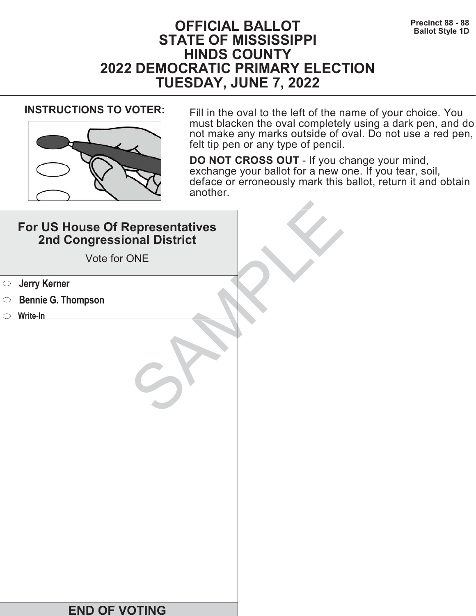# **Precinct 88 - 88**<br>Ballot Style 1D **STATE OF MISSISSIPPI HINDS COUNTY 2022 DEMOCRATIC PRIMARY ELECTION TUESDAY, JUNE 7, 2022**



**INSTRUCTIONS TO VOTER:** Fill in the oval to the left of the name of your choice. You must blacken the oval completely using a dark pen, and do not make any marks outside of oval. Do not use a red pen, felt tip pen or any type of pencil.

| For US House Of Representatives<br>2nd Congressional District<br>Vote for ONE |  |
|-------------------------------------------------------------------------------|--|
| <b>Starf</b> Serner                                                           |  |
| <b>Bennie G. Thompson</b><br>$\bigcirc$                                       |  |
| Write-In                                                                      |  |
|                                                                               |  |
| <b>END OF VOTING</b>                                                          |  |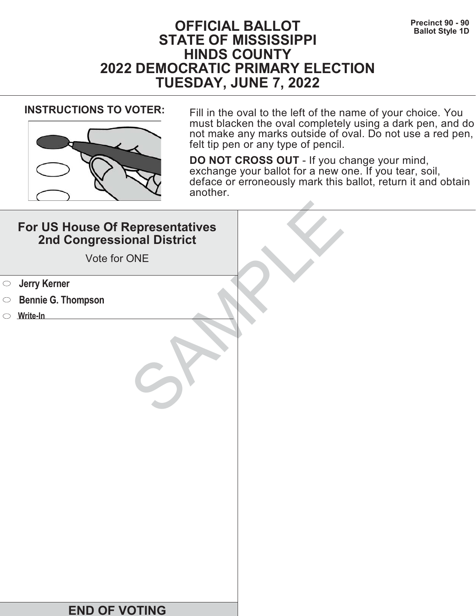# **Precinct 90 - 90**<br>Ballot Style 1D **STATE OF MISSISSIPPI HINDS COUNTY 2022 DEMOCRATIC PRIMARY ELECTION TUESDAY, JUNE 7, 2022**



**INSTRUCTIONS TO VOTER:** Fill in the oval to the left of the name of your choice. You must blacken the oval completely using a dark pen, and do not make any marks outside of oval. Do not use a red pen, felt tip pen or any type of pencil.

| For US House Of Representatives<br>2nd Congressional District<br>Vote for ONE |  |
|-------------------------------------------------------------------------------|--|
| <b>Jerry Kerner</b><br>$\bigcirc$                                             |  |
| <b>Bennie G. Thompson</b><br>$\circ$                                          |  |
| $\circ$ Write-In                                                              |  |
|                                                                               |  |
| <b>END OF VOTING</b>                                                          |  |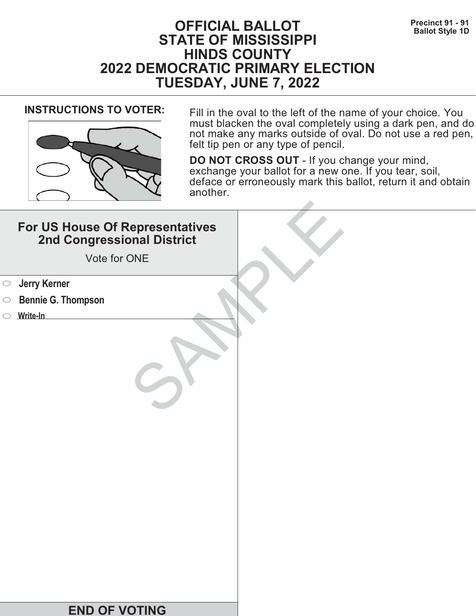# **Precinct 91 - 91**<br>Ballot Style 1D **STATE OF MISSISSIPPI HINDS COUNTY 2022 DEMOCRATIC PRIMARY ELECTION TUESDAY, JUNE 7, 2022**



**INSTRUCTIONS TO VOTER:** Fill in the oval to the left of the name of your choice. You must blacken the oval completely using a dark pen, and do not make any marks outside of oval. Do not use a red pen, felt tip pen or any type of pencil.

| For US House Of Representatives<br>2nd Congressional District<br>Vote for ONE |  |
|-------------------------------------------------------------------------------|--|
| <b>Jerry Kerner</b><br>$\bigcirc$                                             |  |
| <b>Bennie G. Thompson</b><br>$\circ$                                          |  |
| $\circ$ Write-In                                                              |  |
|                                                                               |  |
| <b>END OF VOTING</b>                                                          |  |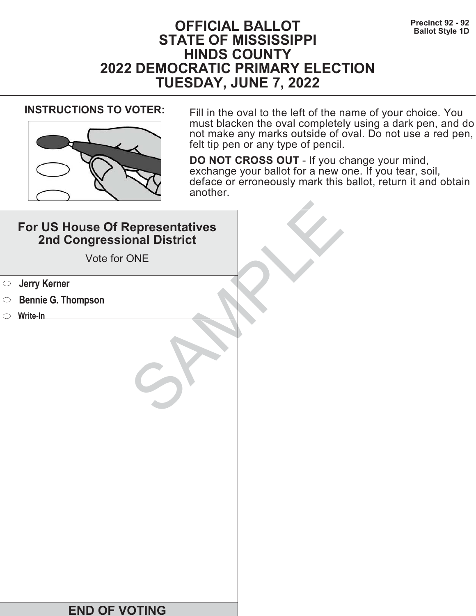# **Precinct 92 - 92**<br>Ballot Style 1D **STATE OF MISSISSIPPI HINDS COUNTY 2022 DEMOCRATIC PRIMARY ELECTION TUESDAY, JUNE 7, 2022**



**INSTRUCTIONS TO VOTER:** Fill in the oval to the left of the name of your choice. You must blacken the oval completely using a dark pen, and do not make any marks outside of oval. Do not use a red pen, felt tip pen or any type of pencil.

|            | For US House Of Representatives<br>2nd Congressional District<br>Vote for ONE |  |
|------------|-------------------------------------------------------------------------------|--|
| $\bigcirc$ | <b>Jerry Kerner</b>                                                           |  |
| $\circ$    | <b>Bennie G. Thompson</b>                                                     |  |
|            | $\circ$ Write-In                                                              |  |
|            |                                                                               |  |
|            | <b>END OF VOTING</b>                                                          |  |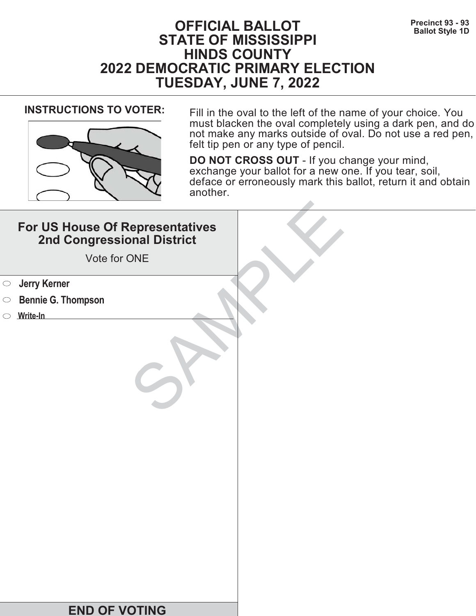# **Precinct 93 - 93**<br>Ballot Style 1D **STATE OF MISSISSIPPI HINDS COUNTY 2022 DEMOCRATIC PRIMARY ELECTION TUESDAY, JUNE 7, 2022**



**INSTRUCTIONS TO VOTER:** Fill in the oval to the left of the name of your choice. You must blacken the oval completely using a dark pen, and do not make any marks outside of oval. Do not use a red pen, felt tip pen or any type of pencil.

| For US House Of Representatives<br>2nd Congressional District<br>Vote for ONE |  |
|-------------------------------------------------------------------------------|--|
| <b>Starf</b> Serner                                                           |  |
| <b>Bennie G. Thompson</b><br>$\bigcirc$                                       |  |
| Write-In                                                                      |  |
|                                                                               |  |
| <b>END OF VOTING</b>                                                          |  |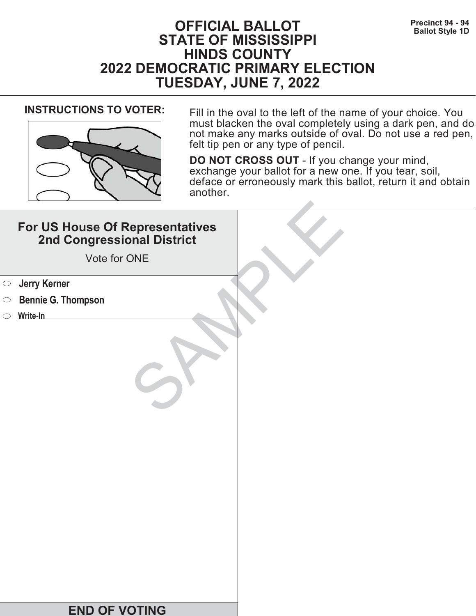# **Precinct 94 - 94**<br>Ballot Style 1D **STATE OF MISSISSIPPI HINDS COUNTY 2022 DEMOCRATIC PRIMARY ELECTION TUESDAY, JUNE 7, 2022**



**INSTRUCTIONS TO VOTER:** Fill in the oval to the left of the name of your choice. You must blacken the oval completely using a dark pen, and do not make any marks outside of oval. Do not use a red pen, felt tip pen or any type of pencil.

| For US House Of Representatives<br>2nd Congressional District<br>Vote for ONE |  |
|-------------------------------------------------------------------------------|--|
| <b>Jerry Kerner</b><br>$\bigcirc$                                             |  |
| <b>Bennie G. Thompson</b><br>$\circ$                                          |  |
| $\circ$ Write-In                                                              |  |
|                                                                               |  |
| <b>END OF VOTING</b>                                                          |  |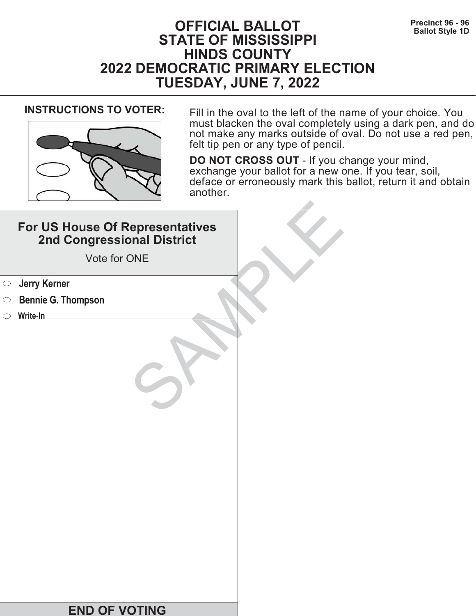# **Precinct 96 - 96**<br>Ballot Style 1D **STATE OF MISSISSIPPI HINDS COUNTY 2022 DEMOCRATIC PRIMARY ELECTION TUESDAY, JUNE 7, 2022**



**INSTRUCTIONS TO VOTER:** Fill in the oval to the left of the name of your choice. You must blacken the oval completely using a dark pen, and do not make any marks outside of oval. Do not use a red pen, felt tip pen or any type of pencil.

| For US House Of Representatives<br>2nd Congressional District<br>Vote for ONE |  |
|-------------------------------------------------------------------------------|--|
| <b>Jerry Kerner</b><br>$\bigcirc$                                             |  |
| <b>Bennie G. Thompson</b><br>$\circ$                                          |  |
| $\circ$ Write-In                                                              |  |
|                                                                               |  |
| <b>END OF VOTING</b>                                                          |  |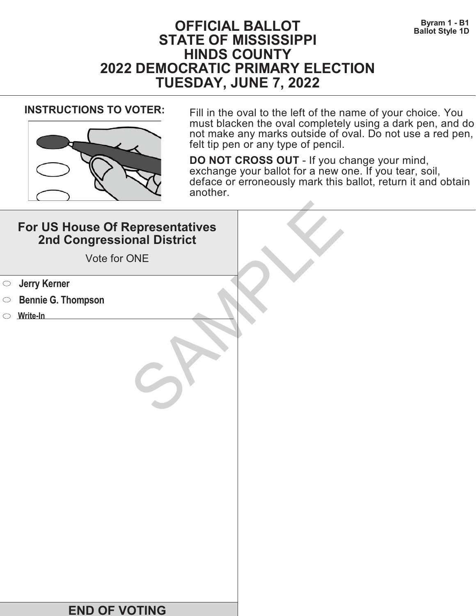# **DEFICIAL BALLOT** Byram 1 - B1<br>Ballot Style 1D **STATE OF MISSISSIPPI HINDS COUNTY 2022 DEMOCRATIC PRIMARY ELECTION TUESDAY, JUNE 7, 2022**



**INSTRUCTIONS TO VOTER:** Fill in the oval to the left of the name of your choice. You must blacken the oval completely using a dark pen, and do not make any marks outside of oval. Do not use a red pen, felt tip pen or any type of pencil.

| For US House Of Representatives<br>2nd Congressional District<br>Vote for ONE |  |
|-------------------------------------------------------------------------------|--|
| <b>Jerry Kerner</b><br>$\bigcirc$                                             |  |
| <b>Bennie G. Thompson</b><br>$\circ$                                          |  |
| Write-In                                                                      |  |
|                                                                               |  |
| <b>END OF VOTING</b>                                                          |  |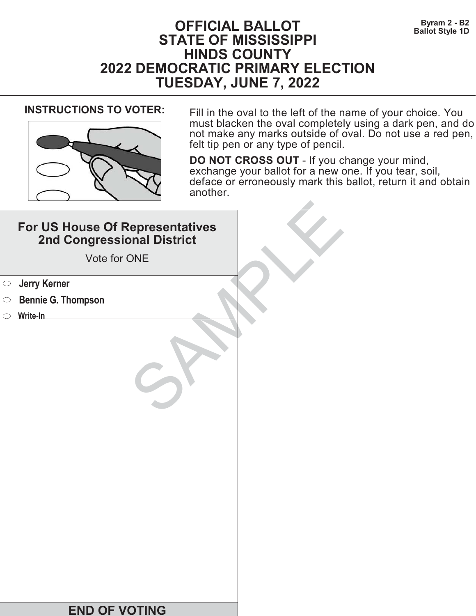# **DEFICIAL BALLOT** Byram 2 - B2<br>Ballot Style 1D **STATE OF MISSISSIPPI HINDS COUNTY 2022 DEMOCRATIC PRIMARY ELECTION TUESDAY, JUNE 7, 2022**



**INSTRUCTIONS TO VOTER:** Fill in the oval to the left of the name of your choice. You must blacken the oval completely using a dark pen, and do not make any marks outside of oval. Do not use a red pen, felt tip pen or any type of pencil.

| For US House Of Representatives<br>2nd Congressional District<br>Vote for ONE |  |
|-------------------------------------------------------------------------------|--|
| <b>Jerry Kerner</b><br>$\bigcirc$                                             |  |
| <b>Bennie G. Thompson</b><br>$\circ$                                          |  |
| Write-In                                                                      |  |
|                                                                               |  |
| <b>END OF VOTING</b>                                                          |  |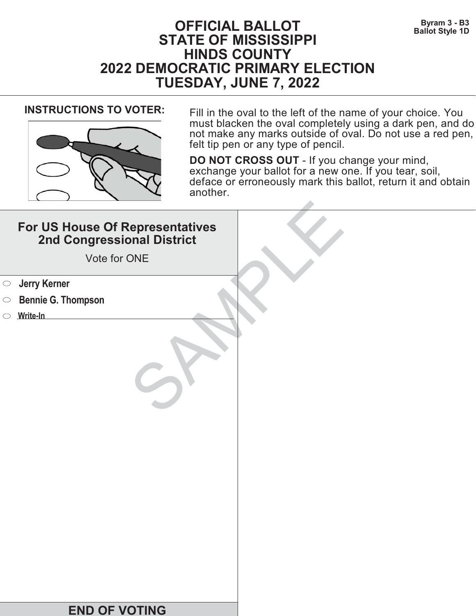# **DEFICIAL BALLOT** Byram 3 - B3<br>Ballot Style 1D **STATE OF MISSISSIPPI HINDS COUNTY 2022 DEMOCRATIC PRIMARY ELECTION TUESDAY, JUNE 7, 2022**



**INSTRUCTIONS TO VOTER:** Fill in the oval to the left of the name of your choice. You must blacken the oval completely using a dark pen, and do not make any marks outside of oval. Do not use a red pen, felt tip pen or any type of pencil.

|            | For US House Of Representatives<br>2nd Congressional District<br>Vote for ONE |  |
|------------|-------------------------------------------------------------------------------|--|
| $\bigcirc$ | <b>Jerry Kerner</b>                                                           |  |
| $\circ$    | <b>Bennie G. Thompson</b>                                                     |  |
|            | $\circ$ Write-In                                                              |  |
|            |                                                                               |  |
|            | <b>END OF VOTING</b>                                                          |  |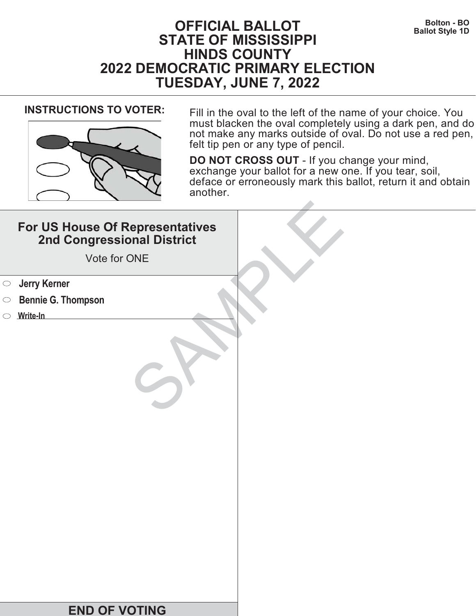# **DEFICIAL BALLOT Bolton - BOLTON Bolton - BO**<br>Ballot Style 1D **STATE OF MISSISSIPPI HINDS COUNTY 2022 DEMOCRATIC PRIMARY ELECTION TUESDAY, JUNE 7, 2022**



**INSTRUCTIONS TO VOTER:** Fill in the oval to the left of the name of your choice. You must blacken the oval completely using a dark pen, and do not make any marks outside of oval. Do not use a red pen, felt tip pen or any type of pencil.

|            | For US House Of Representatives<br>2nd Congressional District<br>Vote for ONE |  |
|------------|-------------------------------------------------------------------------------|--|
| $\bigcirc$ | <b>Jerry Kerner</b>                                                           |  |
| $\circ$    | <b>Bennie G. Thompson</b>                                                     |  |
|            | $\circ$ Write-In                                                              |  |
|            |                                                                               |  |
|            |                                                                               |  |
|            |                                                                               |  |
|            |                                                                               |  |
|            |                                                                               |  |
|            |                                                                               |  |
|            |                                                                               |  |
|            |                                                                               |  |
|            |                                                                               |  |
|            |                                                                               |  |
|            | <b>END OF VOTING</b>                                                          |  |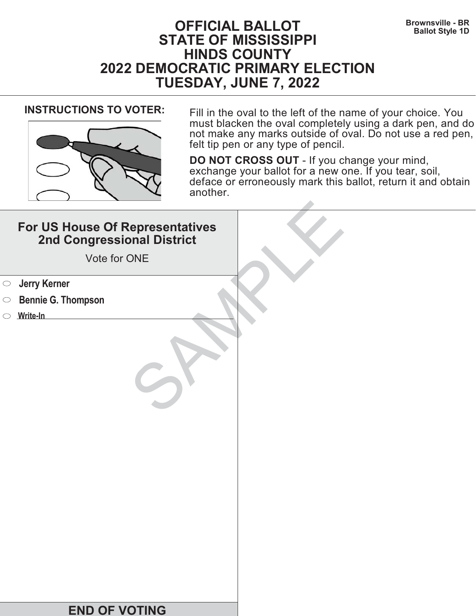# **Brownsville - BR Brownsville - BR Brownsville - BR Ballot Style 1D STATE OF MISSISSIPPI HINDS COUNTY 2022 DEMOCRATIC PRIMARY ELECTION TUESDAY, JUNE 7, 2022**



**INSTRUCTIONS TO VOTER:** Fill in the oval to the left of the name of your choice. You must blacken the oval completely using a dark pen, and do not make any marks outside of oval. Do not use a red pen, felt tip pen or any type of pencil.

|            | For US House Of Representatives<br>2nd Congressional District<br>Vote for ONE |  |
|------------|-------------------------------------------------------------------------------|--|
| $\bigcirc$ | <b>Jerry Kerner</b>                                                           |  |
| $\circ$    | <b>Bennie G. Thompson</b>                                                     |  |
|            | $\circ$ Write-In                                                              |  |
|            |                                                                               |  |
|            | <b>END OF VOTING</b>                                                          |  |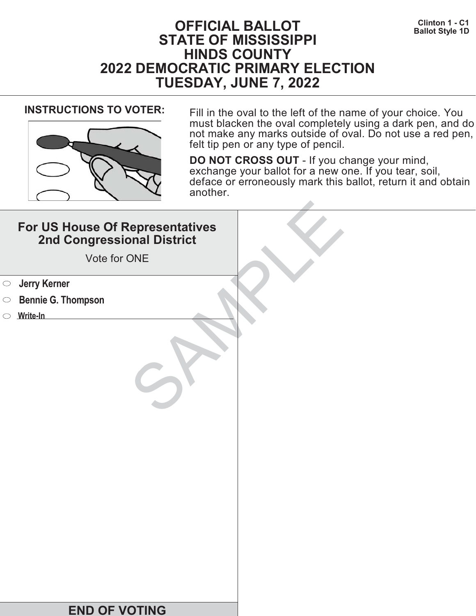

**INSTRUCTIONS TO VOTER:** Fill in the oval to the left of the name of your choice. You must blacken the oval completely using a dark pen, and do not make any marks outside of oval. Do not use a red pen, felt tip pen or any type of pencil.

| For US House Of Representatives<br>2nd Congressional District<br>Vote for ONE |  |
|-------------------------------------------------------------------------------|--|
| <b>Starf</b> Serner                                                           |  |
| <b>Bennie G. Thompson</b><br>$\bigcirc$                                       |  |
| Write-In                                                                      |  |
|                                                                               |  |
| <b>END OF VOTING</b>                                                          |  |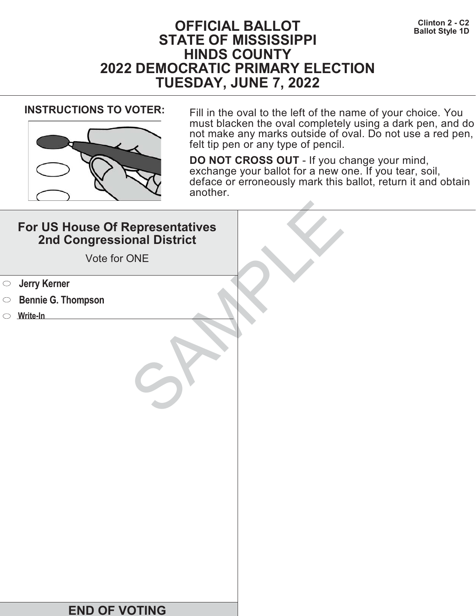

**INSTRUCTIONS TO VOTER:** Fill in the oval to the left of the name of your choice. You must blacken the oval completely using a dark pen, and do not make any marks outside of oval. Do not use a red pen, felt tip pen or any type of pencil.

| For US House Of Representatives<br>2nd Congressional District<br>Vote for ONE |  |
|-------------------------------------------------------------------------------|--|
| <b>Starf</b> Serner                                                           |  |
| <b>Bennie G. Thompson</b><br>$\bigcirc$                                       |  |
| Write-In                                                                      |  |
|                                                                               |  |
| <b>END OF VOTING</b>                                                          |  |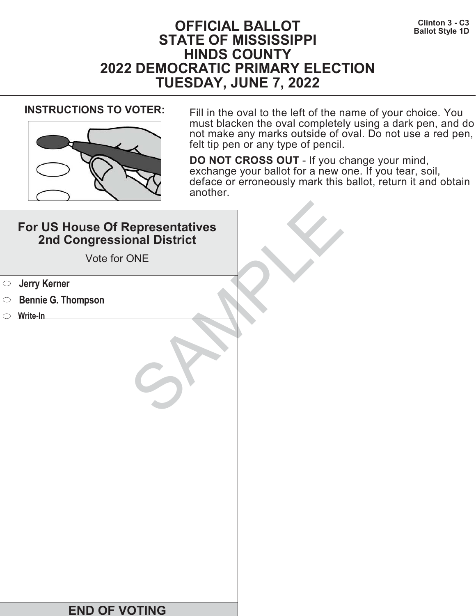

**INSTRUCTIONS TO VOTER:** Fill in the oval to the left of the name of your choice. You must blacken the oval completely using a dark pen, and do not make any marks outside of oval. Do not use a red pen, felt tip pen or any type of pencil.

|            | For US House Of Representatives<br>2nd Congressional District<br>Vote for ONE |  |
|------------|-------------------------------------------------------------------------------|--|
| $\bigcirc$ | <b>Jerry Kerner</b>                                                           |  |
| $\circ$    | <b>Bennie G. Thompson</b>                                                     |  |
|            | $\circ$ Write-In                                                              |  |
|            |                                                                               |  |
|            | <b>END OF VOTING</b>                                                          |  |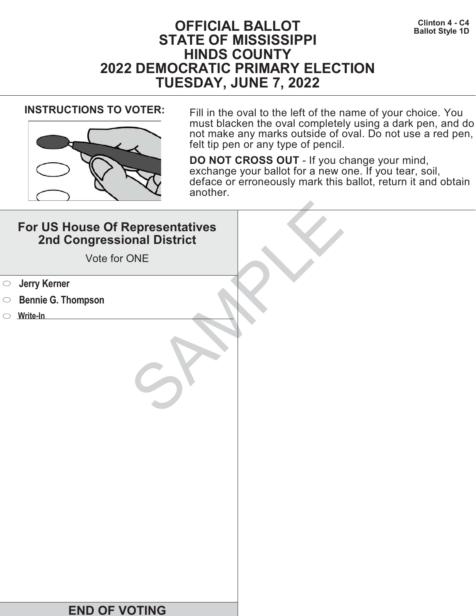

**INSTRUCTIONS TO VOTER:** Fill in the oval to the left of the name of your choice. You must blacken the oval completely using a dark pen, and do not make any marks outside of oval. Do not use a red pen, felt tip pen or any type of pencil.

| For US House Of Representatives<br>2nd Congressional District<br>Vote for ONE |  |
|-------------------------------------------------------------------------------|--|
| <b>Starf</b> Serner                                                           |  |
| <b>Bennie G. Thompson</b><br>$\bigcirc$                                       |  |
| Write-In                                                                      |  |
|                                                                               |  |
| <b>END OF VOTING</b>                                                          |  |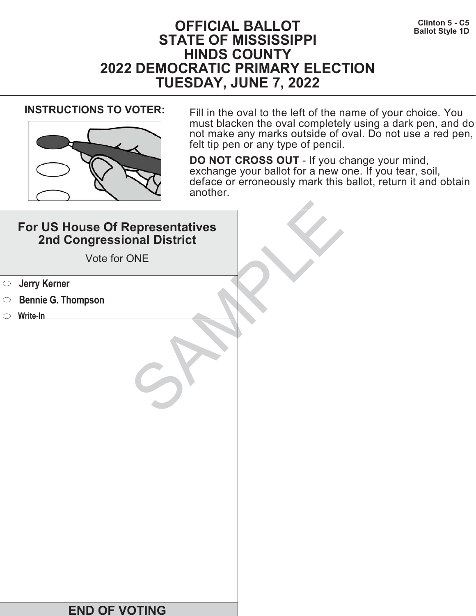

**INSTRUCTIONS TO VOTER:** Fill in the oval to the left of the name of your choice. You must blacken the oval completely using a dark pen, and do not make any marks outside of oval. Do not use a red pen, felt tip pen or any type of pencil.

| For US House Of Representatives<br>2nd Congressional District<br>Vote for ONE |  |
|-------------------------------------------------------------------------------|--|
| <b>Starf</b> Serner                                                           |  |
| <b>Bennie G. Thompson</b><br>$\bigcirc$                                       |  |
| Write-In                                                                      |  |
|                                                                               |  |
| <b>END OF VOTING</b>                                                          |  |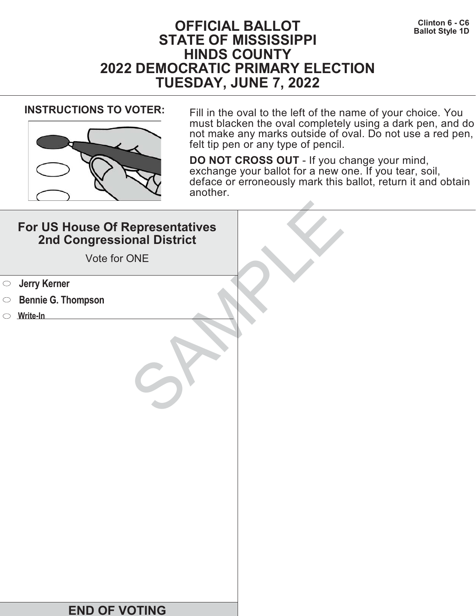# **CHERET CONSERVANT CONSTRUCT CONSTRUCT DEPARTMENT CONSTRUCT DETAILS A CONSTRUCT DETAILS A CONSTRUCT DETAILS A CONSTRUCT DETAILS A CONSTRUCT DETAILS A CONSTRUCT DETAILS A CONSTRUCT OF DETAILS A CONSTRUCT OF DETAILS A CONSTR STATE OF MISSISSIPPI HINDS COUNTY 2022 DEMOCRATIC PRIMARY ELECTION TUESDAY, JUNE 7, 2022**



**INSTRUCTIONS TO VOTER:** Fill in the oval to the left of the name of your choice. You must blacken the oval completely using a dark pen, and do not make any marks outside of oval. Do not use a red pen, felt tip pen or any type of pencil.

| For US House Of Representatives<br>2nd Congressional District<br>Vote for ONE |  |
|-------------------------------------------------------------------------------|--|
| <b>Starf</b> Serner                                                           |  |
| <b>Bennie G. Thompson</b><br>$\bigcirc$                                       |  |
| Write-In                                                                      |  |
|                                                                               |  |
| <b>END OF VOTING</b>                                                          |  |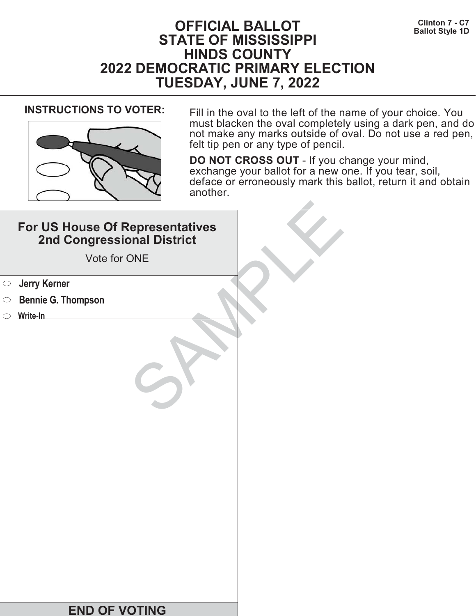

**INSTRUCTIONS TO VOTER:** Fill in the oval to the left of the name of your choice. You must blacken the oval completely using a dark pen, and do not make any marks outside of oval. Do not use a red pen, felt tip pen or any type of pencil.

| For US House Of Representatives<br>2nd Congressional District<br>Vote for ONE |  |
|-------------------------------------------------------------------------------|--|
| <b>Jerry Kerner</b><br>$\bigcirc$                                             |  |
| <b>Bennie G. Thompson</b><br>$\circ$                                          |  |
| Write-In                                                                      |  |
|                                                                               |  |
| <b>END OF VOTING</b>                                                          |  |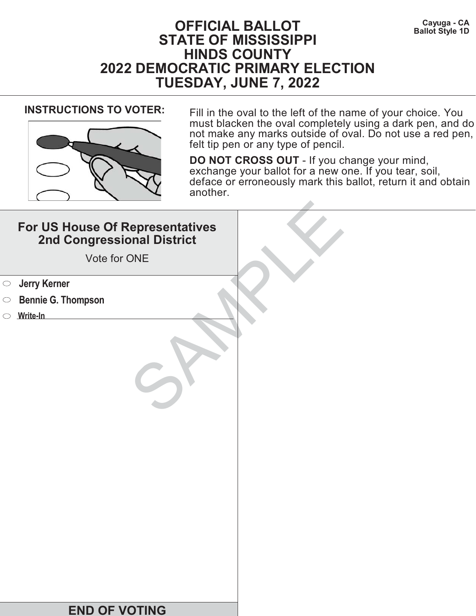# **Cayuga - CA Cayuga - CA Cayuga - CA Ballot Style 1D STATE OF MISSISSIPPI HINDS COUNTY 2022 DEMOCRATIC PRIMARY ELECTION TUESDAY, JUNE 7, 2022**



**INSTRUCTIONS TO VOTER:** Fill in the oval to the left of the name of your choice. You must blacken the oval completely using a dark pen, and do not make any marks outside of oval. Do not use a red pen, felt tip pen or any type of pencil.

| For US House Of Representatives<br>2nd Congressional District<br>Vote for ONE |  |
|-------------------------------------------------------------------------------|--|
| <b>Jerry Kerner</b><br>$\bigcirc$                                             |  |
| <b>Bennie G. Thompson</b><br>$\circ$                                          |  |
| $\circ$ Write-In                                                              |  |
|                                                                               |  |
| <b>END OF VOTING</b>                                                          |  |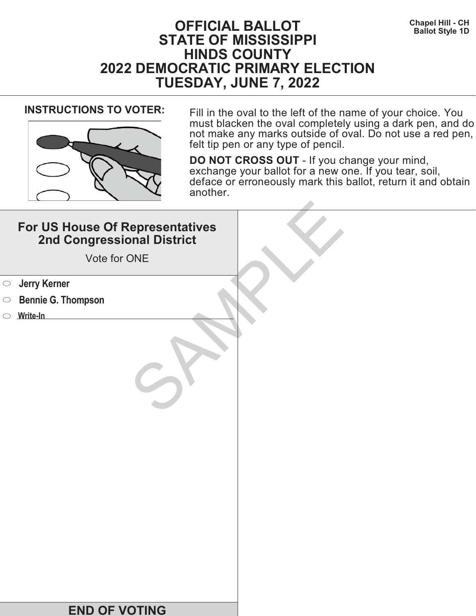

**INSTRUCTIONS TO VOTER:** Fill in the oval to the left of the name of your choice. You must blacken the oval completely using a dark pen, and do not make any marks outside of oval. Do not use a red pen, felt tip pen or any type of pencil.

|            | For US House Of Representatives<br>2nd Congressional District<br>Vote for ONE |  |
|------------|-------------------------------------------------------------------------------|--|
| $\bigcirc$ | <b>Jerry Kerner</b>                                                           |  |
| $\circ$    | <b>Bennie G. Thompson</b>                                                     |  |
|            | $\circ$ Write-In                                                              |  |
|            |                                                                               |  |
|            | <b>END OF VOTING</b>                                                          |  |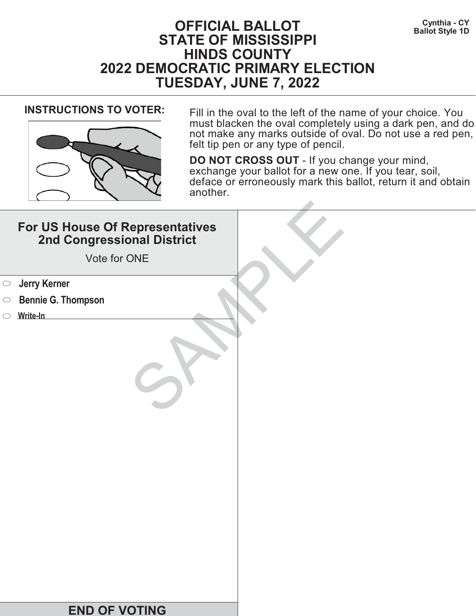# **Cynthia - CY Cynthia - CY Ballot Style 1D STATE OF MISSISSIPPI HINDS COUNTY 2022 DEMOCRATIC PRIMARY ELECTION TUESDAY, JUNE 7, 2022**



**INSTRUCTIONS TO VOTER:** Fill in the oval to the left of the name of your choice. You must blacken the oval completely using a dark pen, and do not make any marks outside of oval. Do not use a red pen, felt tip pen or any type of pencil.

|            | For US House Of Representatives<br>2nd Congressional District<br>Vote for ONE |  |
|------------|-------------------------------------------------------------------------------|--|
| $\bigcirc$ | <b>Jerry Kerner</b>                                                           |  |
| $\circ$    | <b>Bennie G. Thompson</b>                                                     |  |
|            | $\circ$ Write-In                                                              |  |
|            |                                                                               |  |
|            | <b>END OF VOTING</b>                                                          |  |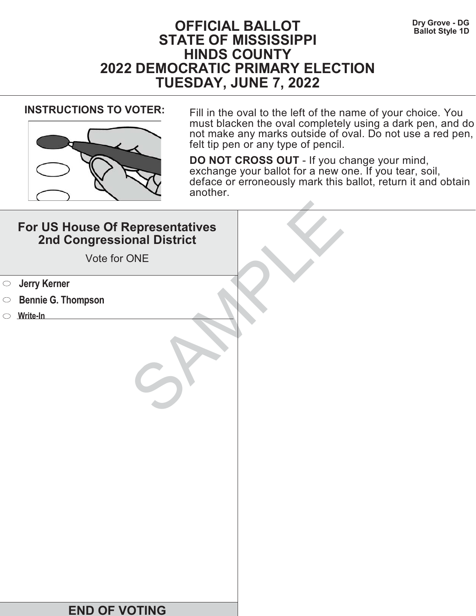# **Dry Grove - DG**<br>Ballot Style 1D **STATE OF MISSISSIPPI HINDS COUNTY 2022 DEMOCRATIC PRIMARY ELECTION TUESDAY, JUNE 7, 2022**



**INSTRUCTIONS TO VOTER:** Fill in the oval to the left of the name of your choice. You must blacken the oval completely using a dark pen, and do not make any marks outside of oval. Do not use a red pen, felt tip pen or any type of pencil.

|            | For US House Of Representatives<br>2nd Congressional District<br>Vote for ONE |  |
|------------|-------------------------------------------------------------------------------|--|
| $\bigcirc$ | <b>Jerry Kerner</b>                                                           |  |
| $\circ$    | <b>Bennie G. Thompson</b>                                                     |  |
|            | $\circ$ Write-In                                                              |  |
|            |                                                                               |  |
|            | <b>END OF VOTING</b>                                                          |  |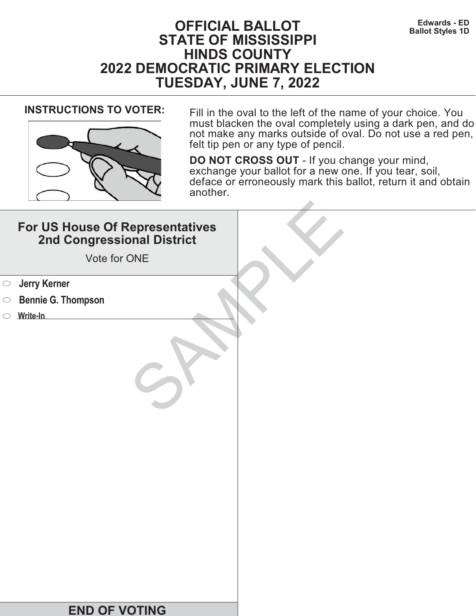

**INSTRUCTIONS TO VOTER:** Fill in the oval to the left of the name of your choice. You must blacken the oval completely using a dark pen, and do not make any marks outside of oval. Do not use a red pen, felt tip pen or any type of pencil.

|            | For US House Of Representatives<br>2nd Congressional District<br>Vote for ONE |  |
|------------|-------------------------------------------------------------------------------|--|
| $\bigcirc$ | <b>Jerry Kerner</b>                                                           |  |
| $\circ$    | <b>Bennie G. Thompson</b>                                                     |  |
|            | $\circ$ Write-In                                                              |  |
|            |                                                                               |  |
|            | <b>END OF VOTING</b>                                                          |  |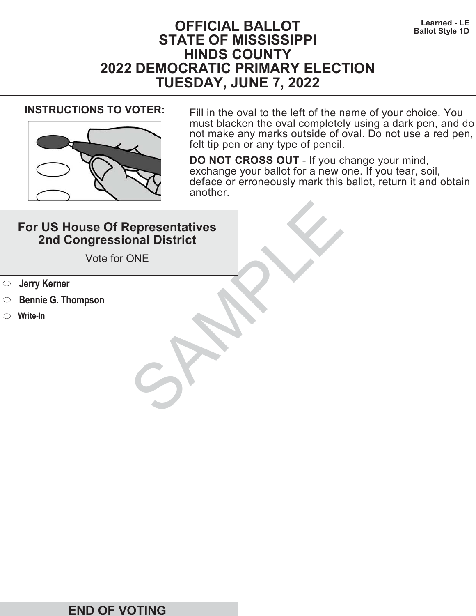# **Learned - LE**<br>**Ballot Style 1D**<br>**Ballot Style 1D STATE OF MISSISSIPPI HINDS COUNTY 2022 DEMOCRATIC PRIMARY ELECTION TUESDAY, JUNE 7, 2022**



**INSTRUCTIONS TO VOTER:** Fill in the oval to the left of the name of your choice. You must blacken the oval completely using a dark pen, and do not make any marks outside of oval. Do not use a red pen, felt tip pen or any type of pencil.

| For US House Of Representatives<br>2nd Congressional District<br>Vote for ONE |  |
|-------------------------------------------------------------------------------|--|
| <b>Jerry Kerner</b><br>$\bigcirc$                                             |  |
| <b>Bennie G. Thompson</b><br>$\circ$                                          |  |
| Write-In                                                                      |  |
|                                                                               |  |
| <b>END OF VOTING</b>                                                          |  |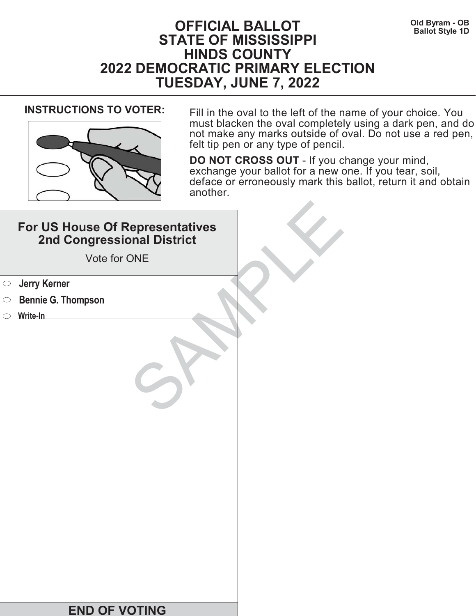

**INSTRUCTIONS TO VOTER:** Fill in the oval to the left of the name of your choice. You must blacken the oval completely using a dark pen, and do not make any marks outside of oval. Do not use a red pen, felt tip pen or any type of pencil.

| For US House Of Representatives<br>2nd Congressional District<br>Vote for ONE |  |
|-------------------------------------------------------------------------------|--|
| <b>Jerry Kerner</b><br>$\bigcirc$                                             |  |
| <b>Bennie G. Thompson</b><br>$\circ$                                          |  |
| Write-In                                                                      |  |
|                                                                               |  |
| <b>END OF VOTING</b>                                                          |  |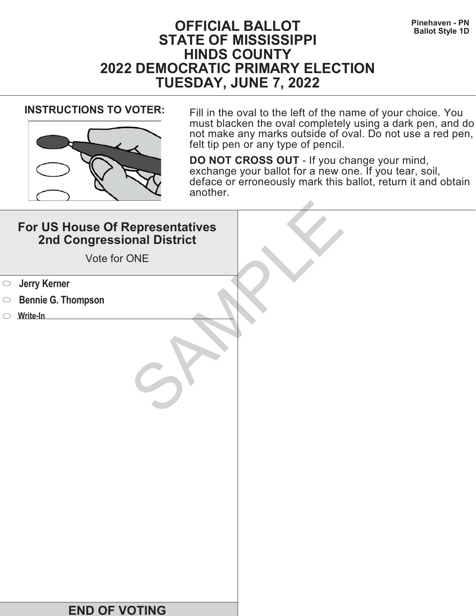# **Pinehaven - PN Pinehaven - PN Ballot Style 1D STATE OF MISSISSIPPI HINDS COUNTY 2022 DEMOCRATIC PRIMARY ELECTION TUESDAY, JUNE 7, 2022**



**INSTRUCTIONS TO VOTER:** Fill in the oval to the left of the name of your choice. You must blacken the oval completely using a dark pen, and do not make any marks outside of oval. Do not use a red pen, felt tip pen or any type of pencil.

| For US House Of Representatives<br>2nd Congressional District<br>Vote for ONE |  |
|-------------------------------------------------------------------------------|--|
| <b>Starf</b> Serner                                                           |  |
| <b>Bennie G. Thompson</b><br>$\bigcirc$                                       |  |
| Write-In                                                                      |  |
|                                                                               |  |
| <b>END OF VOTING</b>                                                          |  |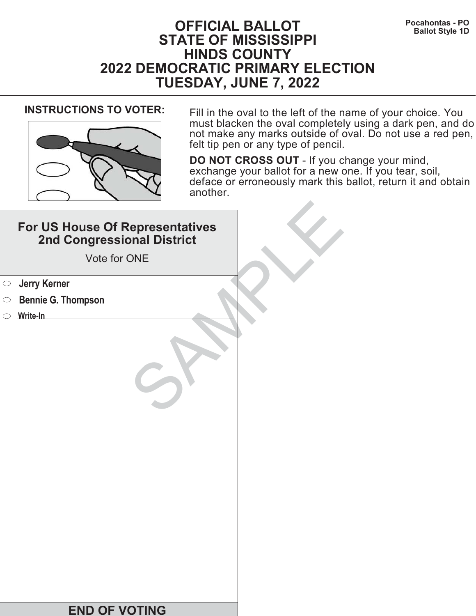# **Pocahontas - PO**<br>Ballot Style 1D **STATE OF MISSISSIPPI HINDS COUNTY 2022 DEMOCRATIC PRIMARY ELECTION TUESDAY, JUNE 7, 2022**



**INSTRUCTIONS TO VOTER:** Fill in the oval to the left of the name of your choice. You must blacken the oval completely using a dark pen, and do not make any marks outside of oval. Do not use a red pen, felt tip pen or any type of pencil.

| For US House Of Representatives<br>2nd Congressional District<br>Vote for ONE |  |
|-------------------------------------------------------------------------------|--|
| <b>Starf</b> Serner                                                           |  |
| <b>Bennie G. Thompson</b><br>$\bigcirc$                                       |  |
| Write-In                                                                      |  |
|                                                                               |  |
| <b>END OF VOTING</b>                                                          |  |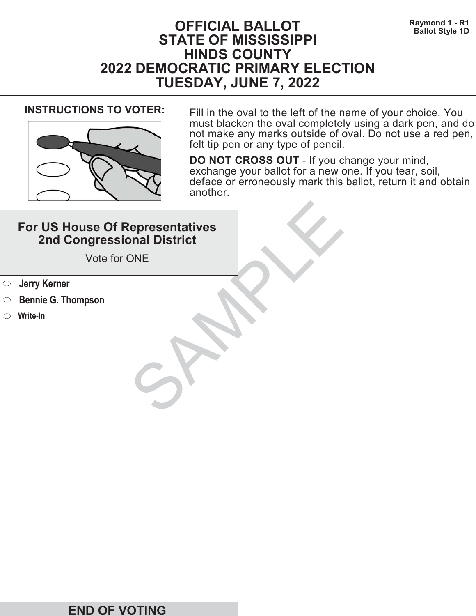# **Raymond 1 - R1 Raymond 1 - R1 BALLOT Ballot Style 1D STATE OF MISSISSIPPI HINDS COUNTY 2022 DEMOCRATIC PRIMARY ELECTION TUESDAY, JUNE 7, 2022**



**INSTRUCTIONS TO VOTER:** Fill in the oval to the left of the name of your choice. You must blacken the oval completely using a dark pen, and do not make any marks outside of oval. Do not use a red pen, felt tip pen or any type of pencil.

| For US House Of Representatives<br>2nd Congressional District<br>Vote for ONE |  |
|-------------------------------------------------------------------------------|--|
| <b>Jerry Kerner</b><br>$\bigcirc$                                             |  |
| <b>Bennie G. Thompson</b><br>$\circ$                                          |  |
| $\circ$ Write-In                                                              |  |
|                                                                               |  |
| <b>END OF VOTING</b>                                                          |  |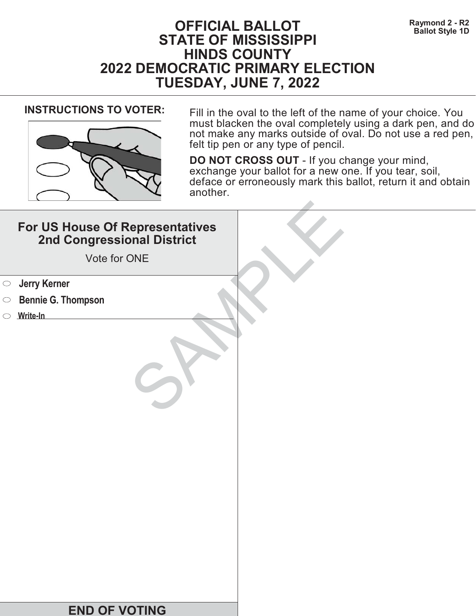# **Raymond 2 - R2**<br>Ballot Style 1D<br>Ballot Style 1D **STATE OF MISSISSIPPI HINDS COUNTY 2022 DEMOCRATIC PRIMARY ELECTION TUESDAY, JUNE 7, 2022**



**INSTRUCTIONS TO VOTER:** Fill in the oval to the left of the name of your choice. You must blacken the oval completely using a dark pen, and do not make any marks outside of oval. Do not use a red pen, felt tip pen or any type of pencil.

| For US House Of Representatives<br>2nd Congressional District<br>Vote for ONE |  |
|-------------------------------------------------------------------------------|--|
| <b>Starf</b> Serner                                                           |  |
| <b>Bennie G. Thompson</b><br>$\bigcirc$                                       |  |
| Write-In                                                                      |  |
|                                                                               |  |
| <b>END OF VOTING</b>                                                          |  |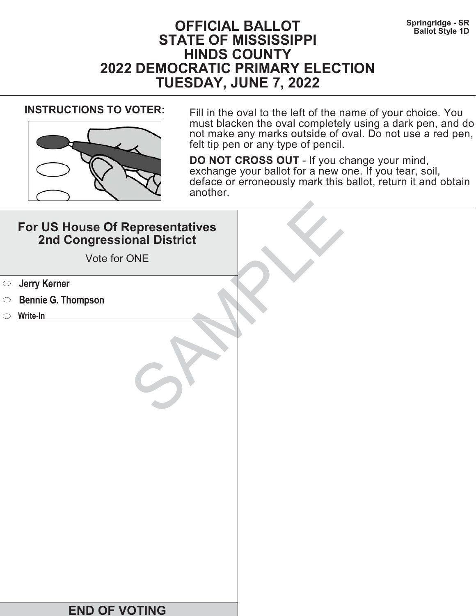# **Springridge - SR Springridge - SR Ballot Style 1D STATE OF MISSISSIPPI HINDS COUNTY 2022 DEMOCRATIC PRIMARY ELECTION TUESDAY, JUNE 7, 2022**



**INSTRUCTIONS TO VOTER:** Fill in the oval to the left of the name of your choice. You must blacken the oval completely using a dark pen, and do not make any marks outside of oval. Do not use a red pen, felt tip pen or any type of pencil.

| For US House Of Representatives<br>2nd Congressional District<br>Vote for ONE |  |
|-------------------------------------------------------------------------------|--|
| <b>Jerry Kerner</b><br>$\bigcirc$                                             |  |
| <b>Bennie G. Thompson</b><br>$\circ$                                          |  |
| $\circ$ Write-In                                                              |  |
|                                                                               |  |
| <b>END OF VOTING</b>                                                          |  |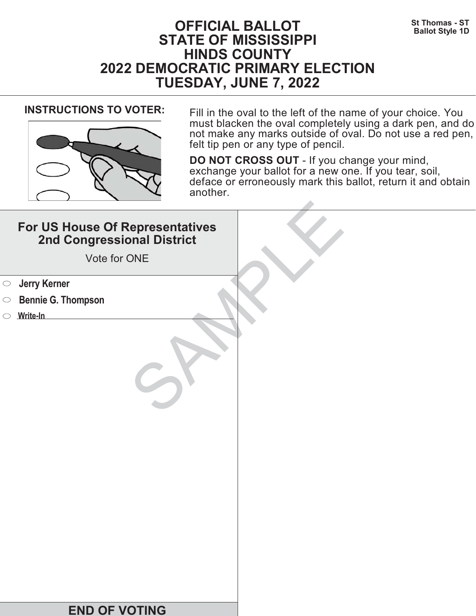# **St Thomas - ST**<br>Ballot Style 1D **STATE OF MISSISSIPPI HINDS COUNTY 2022 DEMOCRATIC PRIMARY ELECTION TUESDAY, JUNE 7, 2022**



**INSTRUCTIONS TO VOTER:** Fill in the oval to the left of the name of your choice. You must blacken the oval completely using a dark pen, and do not make any marks outside of oval. Do not use a red pen, felt tip pen or any type of pencil.

|            | For US House Of Representatives<br>2nd Congressional District<br>Vote for ONE |  |
|------------|-------------------------------------------------------------------------------|--|
| $\bigcirc$ | <b>Jerry Kerner</b>                                                           |  |
| $\circ$    | <b>Bennie G. Thompson</b>                                                     |  |
|            | $\circ$ Write-In                                                              |  |
|            |                                                                               |  |
|            | <b>END OF VOTING</b>                                                          |  |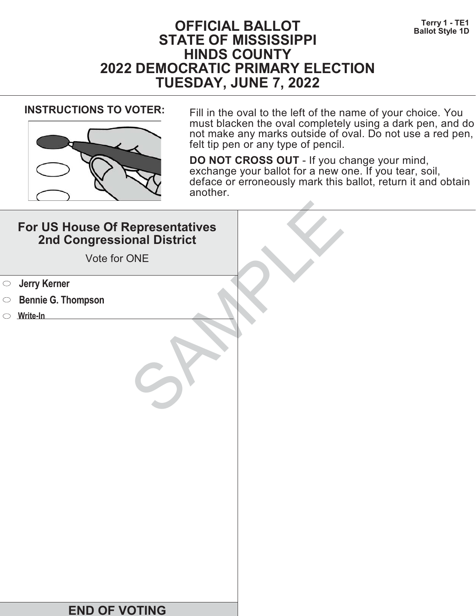# **Terry 1 - TE1**<br>Ballot Style 1D **STATE OF MISSISSIPPI HINDS COUNTY 2022 DEMOCRATIC PRIMARY ELECTION TUESDAY, JUNE 7, 2022**



**INSTRUCTIONS TO VOTER:** Fill in the oval to the left of the name of your choice. You must blacken the oval completely using a dark pen, and do not make any marks outside of oval. Do not use a red pen, felt tip pen or any type of pencil.

| For US House Of Representatives<br>2nd Congressional District<br>Vote for ONE |  |
|-------------------------------------------------------------------------------|--|
| <b>Jerry Kerner</b><br>$\bigcirc$                                             |  |
| <b>Bennie G. Thompson</b><br>$\circ$                                          |  |
| $\circ$ Write-In                                                              |  |
|                                                                               |  |
| <b>END OF VOTING</b>                                                          |  |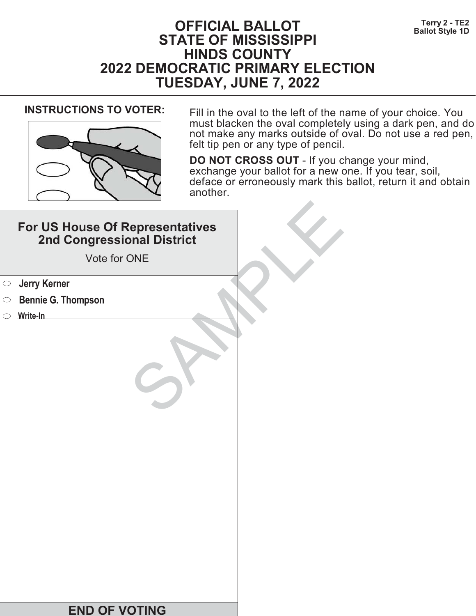# **Terry 2 - TE2**<br>Ballot Style 1D **STATE OF MISSISSIPPI HINDS COUNTY 2022 DEMOCRATIC PRIMARY ELECTION TUESDAY, JUNE 7, 2022**



**INSTRUCTIONS TO VOTER:** Fill in the oval to the left of the name of your choice. You must blacken the oval completely using a dark pen, and do not make any marks outside of oval. Do not use a red pen, felt tip pen or any type of pencil.

| For US House Of Representatives<br>2nd Congressional District<br>Vote for ONE |  |
|-------------------------------------------------------------------------------|--|
| <b>Starf</b> Serner                                                           |  |
| <b>Bennie G. Thompson</b><br>$\bigcirc$                                       |  |
| Write-In                                                                      |  |
|                                                                               |  |
| <b>END OF VOTING</b>                                                          |  |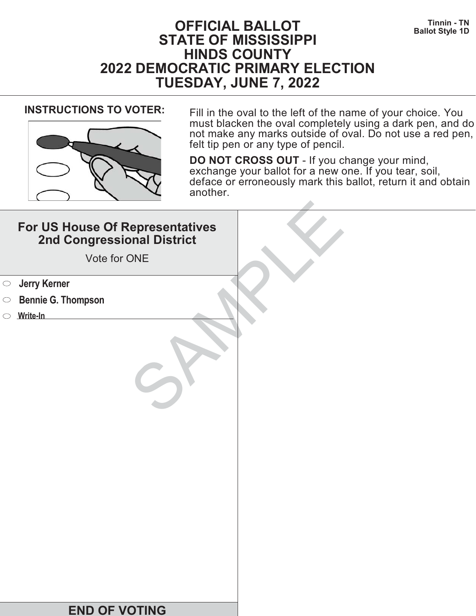

**INSTRUCTIONS TO VOTER:** Fill in the oval to the left of the name of your choice. You must blacken the oval completely using a dark pen, and do not make any marks outside of oval. Do not use a red pen, felt tip pen or any type of pencil.

| For US House Of Representatives<br>2nd Congressional District<br>Vote for ONE |  |
|-------------------------------------------------------------------------------|--|
| <b>Starf</b> Serner                                                           |  |
| <b>Bennie G. Thompson</b><br>$\bigcirc$                                       |  |
| Write-In                                                                      |  |
|                                                                               |  |
| <b>END OF VOTING</b>                                                          |  |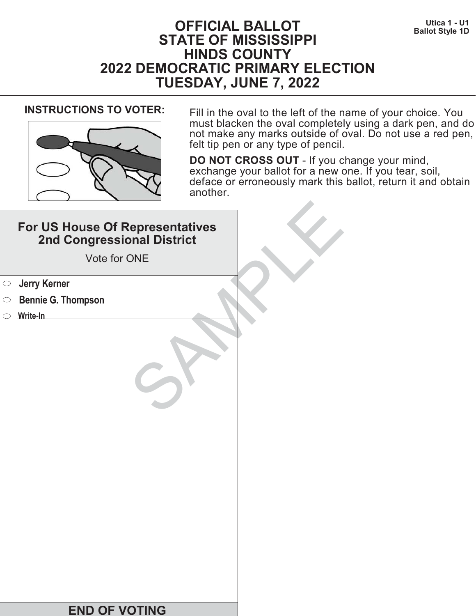# **Utica 1 - U1 Utica 1 - U1 Defect of ALLOT STATE OF MISSISSIPPI HINDS COUNTY 2022 DEMOCRATIC PRIMARY ELECTION TUESDAY, JUNE 7, 2022**



**INSTRUCTIONS TO VOTER:** Fill in the oval to the left of the name of your choice. You must blacken the oval completely using a dark pen, and do not make any marks outside of oval. Do not use a red pen, felt tip pen or any type of pencil.

| For US House Of Representatives<br>2nd Congressional District<br>Vote for ONE |  |
|-------------------------------------------------------------------------------|--|
| <b>Starf</b> Serner                                                           |  |
| <b>Bennie G. Thompson</b><br>$\bigcirc$                                       |  |
| Write-In                                                                      |  |
|                                                                               |  |
| <b>END OF VOTING</b>                                                          |  |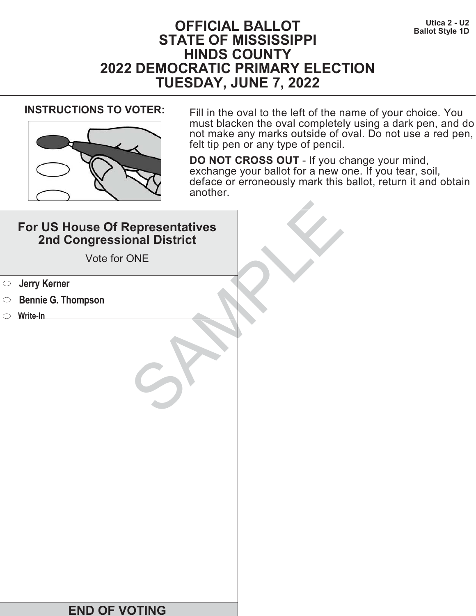# **Utica 2 - U2**<br>Ballot Style 1D **STATE OF MISSISSIPPI HINDS COUNTY 2022 DEMOCRATIC PRIMARY ELECTION TUESDAY, JUNE 7, 2022**



**INSTRUCTIONS TO VOTER:** Fill in the oval to the left of the name of your choice. You must blacken the oval completely using a dark pen, and do not make any marks outside of oval. Do not use a red pen, felt tip pen or any type of pencil.

| For US House Of Representatives<br>2nd Congressional District<br>Vote for ONE |  |
|-------------------------------------------------------------------------------|--|
| <b>Jerry Kerner</b><br>$\bigcirc$                                             |  |
| <b>Bennie G. Thompson</b><br>$\circ$                                          |  |
| $\circ$ Write-In                                                              |  |
|                                                                               |  |
| <b>END OF VOTING</b>                                                          |  |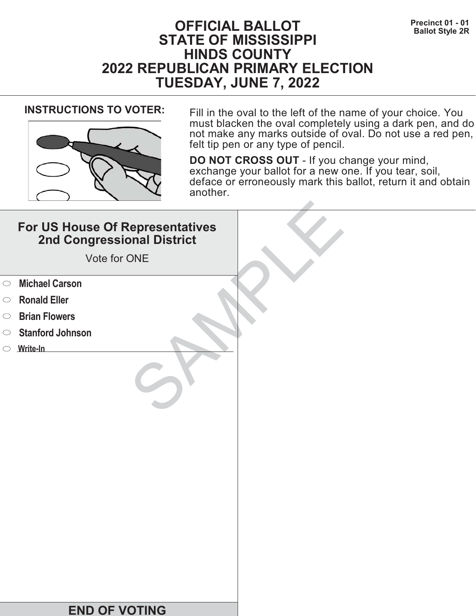# **Precinct 01 - 01**<br>Ballot Style 2R **STATE OF MISSISSIPPI HINDS COUNTY 2022 REPUBLICAN PRIMARY ELECTION TUESDAY, JUNE 7, 2022**



**INSTRUCTIONS TO VOTER:** Fill in the oval to the left of the name of your choice. You must blacken the oval completely using a dark pen, and do not make any marks outside of oval. Do not use a red pen, felt tip pen or any type of pencil.

|            | For US House Of Representatives<br>2nd Congressional District<br>Vote for ONE |  |
|------------|-------------------------------------------------------------------------------|--|
| $\circ$    | <b>Michael Carson</b>                                                         |  |
| $\circ$    | <b>Ronald Eller</b>                                                           |  |
| $\bigcirc$ | <b>Brian Flowers</b>                                                          |  |
| $\bigcirc$ | <b>Stanford Johnson</b>                                                       |  |
|            | $\circ$ Write-In                                                              |  |
|            |                                                                               |  |
|            | <b>END OF VOTING</b>                                                          |  |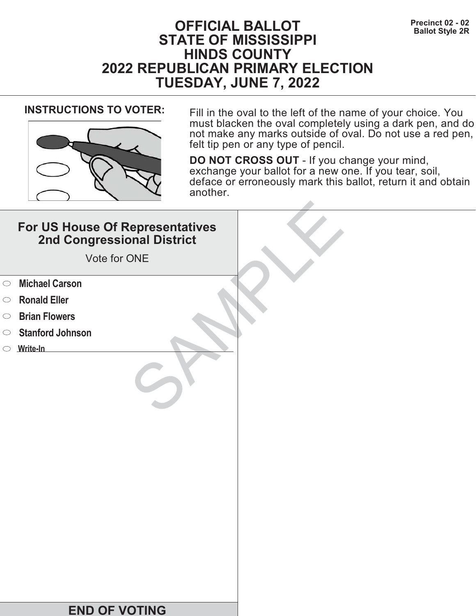# **Precinct 02 - 02**<br>Ballot Style 2R **STATE OF MISSISSIPPI HINDS COUNTY 2022 REPUBLICAN PRIMARY ELECTION TUESDAY, JUNE 7, 2022**



**INSTRUCTIONS TO VOTER:** Fill in the oval to the left of the name of your choice. You must blacken the oval completely using a dark pen, and do not make any marks outside of oval. Do not use a red pen, felt tip pen or any type of pencil.

|            | For US House Of Representatives<br>2nd Congressional District<br>Vote for ONE |  |
|------------|-------------------------------------------------------------------------------|--|
| $\circ$    | <b>Michael Carson</b>                                                         |  |
| $\circ$    | <b>Ronald Eller</b>                                                           |  |
| $\bigcirc$ | <b>Brian Flowers</b>                                                          |  |
| $\circ$    | <b>Stanford Johnson</b>                                                       |  |
|            | $\circ$ Write-In                                                              |  |
|            |                                                                               |  |
|            | <b>END OF VOTING</b>                                                          |  |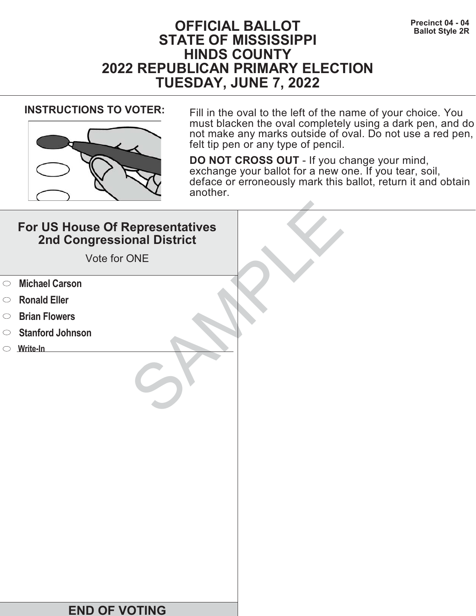# **Precinct 04 - 04**<br>Ballot Style 2R **STATE OF MISSISSIPPI HINDS COUNTY 2022 REPUBLICAN PRIMARY ELECTION TUESDAY, JUNE 7, 2022**



**INSTRUCTIONS TO VOTER:** Fill in the oval to the left of the name of your choice. You must blacken the oval completely using a dark pen, and do not make any marks outside of oval. Do not use a red pen, felt tip pen or any type of pencil.

|            | For US House Of Representatives<br>2nd Congressional District<br>Vote for ONE |  |
|------------|-------------------------------------------------------------------------------|--|
| $\circ$    | <b>Michael Carson</b>                                                         |  |
| $\circ$    | <b>Ronald Eller</b>                                                           |  |
| $\bigcirc$ | <b>Brian Flowers</b>                                                          |  |
| $\bigcirc$ | <b>Stanford Johnson</b>                                                       |  |
|            | $\circ$ Write-In                                                              |  |
|            |                                                                               |  |
|            | <b>END OF VOTING</b>                                                          |  |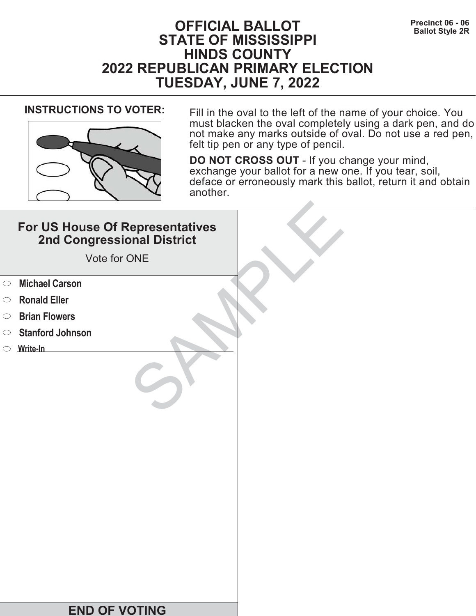# **Precinct 06 - 06 Precinct 06 - 06 Ballot Style 2R STATE OF MISSISSIPPI HINDS COUNTY 2022 REPUBLICAN PRIMARY ELECTION TUESDAY, JUNE 7, 2022**



**INSTRUCTIONS TO VOTER:** Fill in the oval to the left of the name of your choice. You must blacken the oval completely using a dark pen, and do not make any marks outside of oval. Do not use a red pen, felt tip pen or any type of pencil.

|            | For US House Of Representatives<br>2nd Congressional District<br>Vote for ONE |  |
|------------|-------------------------------------------------------------------------------|--|
| $\circ$    | <b>Michael Carson</b>                                                         |  |
| $\circ$    | <b>Ronald Eller</b>                                                           |  |
| $\bigcirc$ | <b>Brian Flowers</b>                                                          |  |
| $\circ$    | <b>Stanford Johnson</b>                                                       |  |
|            | $\circ$ Write-In                                                              |  |
|            |                                                                               |  |
|            | <b>END OF VOTING</b>                                                          |  |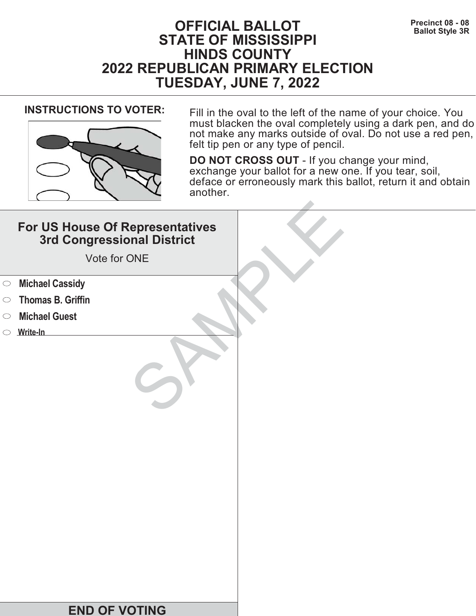# **Precinct 08 - 08**<br>Ballot Style 3R **STATE OF MISSISSIPPI HINDS COUNTY 2022 REPUBLICAN PRIMARY ELECTION TUESDAY, JUNE 7, 2022**



**INSTRUCTIONS TO VOTER:** Fill in the oval to the left of the name of your choice. You must blacken the oval completely using a dark pen, and do not make any marks outside of oval. Do not use a red pen, felt tip pen or any type of pencil.

|            | For US House Of Representatives<br>3rd Congressional District<br>Vote for ONE |  |
|------------|-------------------------------------------------------------------------------|--|
| $\bigcirc$ | <b>Michael Cassidy</b>                                                        |  |
| $\bigcirc$ | <b>Thomas B. Griffin</b>                                                      |  |
| $\bigcirc$ | <b>Michael Guest</b>                                                          |  |
|            | $\circ$ Write-In                                                              |  |
|            | <b>END OF VOTING</b>                                                          |  |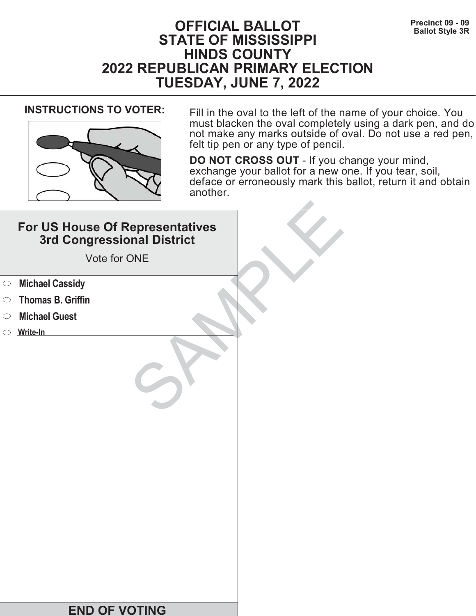# **Precinct 09 - 09**<br>Ballot Style 3R **STATE OF MISSISSIPPI HINDS COUNTY 2022 REPUBLICAN PRIMARY ELECTION TUESDAY, JUNE 7, 2022**



**INSTRUCTIONS TO VOTER:** Fill in the oval to the left of the name of your choice. You must blacken the oval completely using a dark pen, and do not make any marks outside of oval. Do not use a red pen, felt tip pen or any type of pencil.

|            | For US House Of Representatives<br>3rd Congressional District<br>Vote for ONE |  |
|------------|-------------------------------------------------------------------------------|--|
| $\bigcirc$ | <b>Michael Cassidy</b>                                                        |  |
| $\bigcirc$ | <b>Thomas B. Griffin</b>                                                      |  |
| $\bigcirc$ | <b>Michael Guest</b>                                                          |  |
|            | $\circ$ Write-In                                                              |  |
|            | <b>END OF VOTING</b>                                                          |  |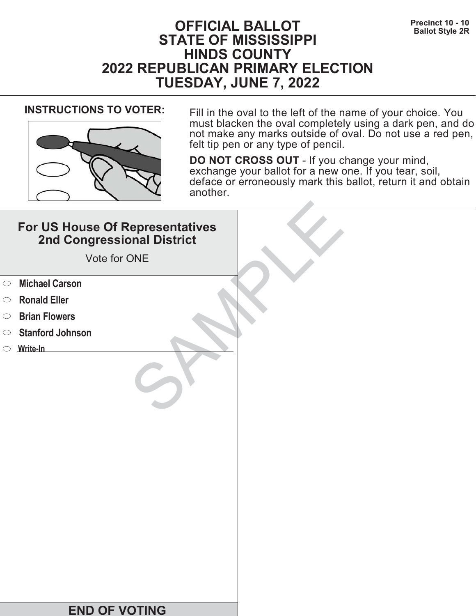# **Precinct 10 - 10**<br>Ballot Style 2R **STATE OF MISSISSIPPI HINDS COUNTY 2022 REPUBLICAN PRIMARY ELECTION TUESDAY, JUNE 7, 2022**



**INSTRUCTIONS TO VOTER:** Fill in the oval to the left of the name of your choice. You must blacken the oval completely using a dark pen, and do not make any marks outside of oval. Do not use a red pen, felt tip pen or any type of pencil.

|            | For US House Of Representatives<br>2nd Congressional District<br>Vote for ONE |  |
|------------|-------------------------------------------------------------------------------|--|
| $\circ$    | <b>Michael Carson</b>                                                         |  |
| $\circ$    | <b>Ronald Eller</b>                                                           |  |
| $\bigcirc$ | <b>Brian Flowers</b>                                                          |  |
| $\bigcirc$ | <b>Stanford Johnson</b>                                                       |  |
|            | $\circ$ Write-In                                                              |  |
|            |                                                                               |  |
|            | <b>END OF VOTING</b>                                                          |  |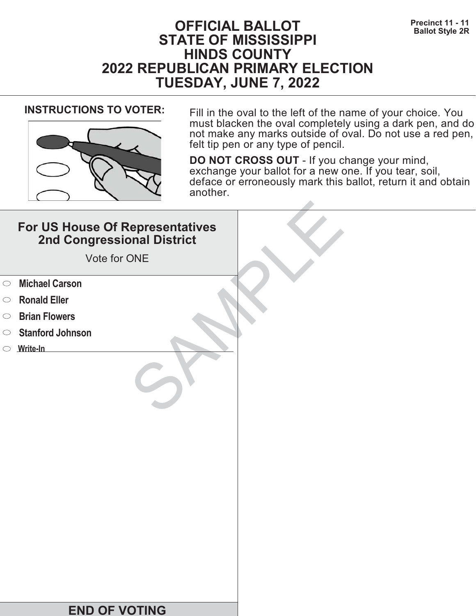# **Precinct 11 - 11 Precinct 11 - 11 Ballot Style 2R STATE OF MISSISSIPPI HINDS COUNTY 2022 REPUBLICAN PRIMARY ELECTION TUESDAY, JUNE 7, 2022**



**INSTRUCTIONS TO VOTER:** Fill in the oval to the left of the name of your choice. You must blacken the oval completely using a dark pen, and do not make any marks outside of oval. Do not use a red pen, felt tip pen or any type of pencil.

|            | For US House Of Representatives<br>2nd Congressional District<br>Vote for ONE |  |
|------------|-------------------------------------------------------------------------------|--|
| $\circ$    | <b>Michael Carson</b>                                                         |  |
| $\circ$    | <b>Ronald Eller</b>                                                           |  |
| $\bigcirc$ | <b>Brian Flowers</b>                                                          |  |
| $\bigcirc$ | <b>Stanford Johnson</b>                                                       |  |
|            | $\circ$ Write-In                                                              |  |
|            |                                                                               |  |
|            | <b>END OF VOTING</b>                                                          |  |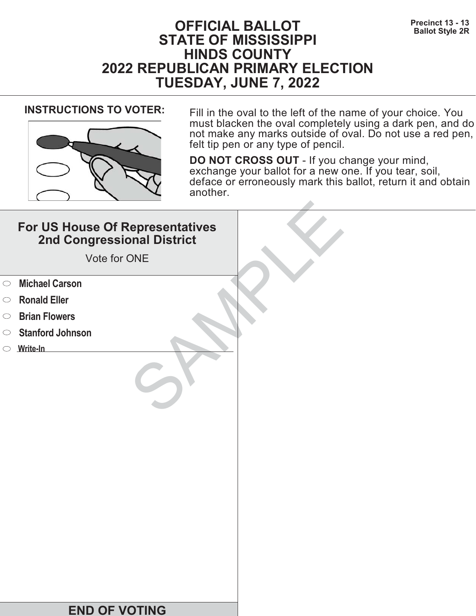# **Precinct 13 - 13**<br>Ballot Style 2R **STATE OF MISSISSIPPI HINDS COUNTY 2022 REPUBLICAN PRIMARY ELECTION TUESDAY, JUNE 7, 2022**



**INSTRUCTIONS TO VOTER:** Fill in the oval to the left of the name of your choice. You must blacken the oval completely using a dark pen, and do not make any marks outside of oval. Do not use a red pen, felt tip pen or any type of pencil.

|            | For US House Of Representatives<br>2nd Congressional District<br>Vote for ONE |  |
|------------|-------------------------------------------------------------------------------|--|
| $\circ$    | <b>Michael Carson</b>                                                         |  |
| $\circ$    | <b>Ronald Eller</b>                                                           |  |
| $\bigcirc$ | <b>Brian Flowers</b>                                                          |  |
| $\circ$    | <b>Stanford Johnson</b>                                                       |  |
|            | $\circ$ Write-In                                                              |  |
|            |                                                                               |  |
|            | <b>END OF VOTING</b>                                                          |  |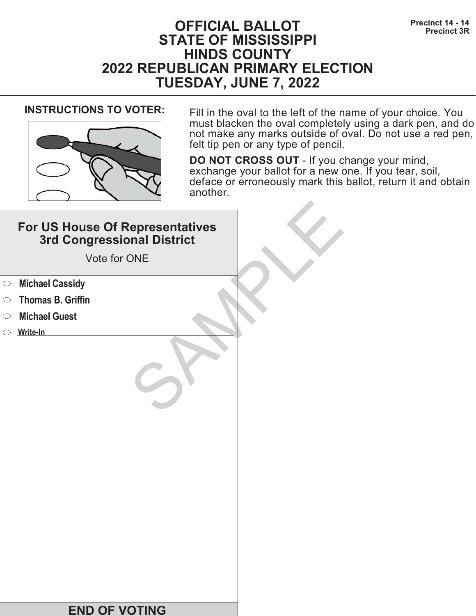# **Precinct 14 - 14 OFFICIAL BALLOT Precinct 3R STATE OF MISSISSIPPI HINDS COUNTY 2022 REPUBLICAN PRIMARY ELECTION TUESDAY, JUNE 7, 2022**



**INSTRUCTIONS TO VOTER:** Fill in the oval to the left of the name of your choice. You must blacken the oval completely using a dark pen, and do not make any marks outside of oval. Do not use a red pen, felt tip pen or any type of pencil.

|            | For US House Of Representatives<br>3rd Congressional District<br>Vote for ONE |  |
|------------|-------------------------------------------------------------------------------|--|
| $\bigcirc$ | <b>Michael Cassidy</b>                                                        |  |
| $\bigcirc$ | <b>Thomas B. Griffin</b>                                                      |  |
| $\bigcirc$ | <b>Michael Guest</b>                                                          |  |
|            | $\circ$ Write-In                                                              |  |
|            | <b>END OF VOTING</b>                                                          |  |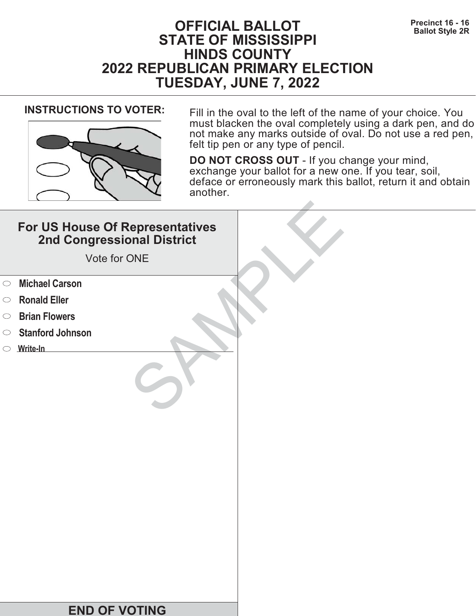# **Precinct 16 - 16 Precinct 16 - 16 Ballot Style 2R STATE OF MISSISSIPPI HINDS COUNTY 2022 REPUBLICAN PRIMARY ELECTION TUESDAY, JUNE 7, 2022**



**INSTRUCTIONS TO VOTER:** Fill in the oval to the left of the name of your choice. You must blacken the oval completely using a dark pen, and do not make any marks outside of oval. Do not use a red pen, felt tip pen or any type of pencil.

|            | For US House Of Representatives<br>2nd Congressional District<br>Vote for ONE |  |
|------------|-------------------------------------------------------------------------------|--|
| $\circ$    | <b>Michael Carson</b>                                                         |  |
| $\circ$    | <b>Ronald Eller</b>                                                           |  |
| $\bigcirc$ | <b>Brian Flowers</b>                                                          |  |
| $\bigcirc$ | <b>Stanford Johnson</b>                                                       |  |
|            | $\circ$ Write-In                                                              |  |
|            |                                                                               |  |
|            | <b>END OF VOTING</b>                                                          |  |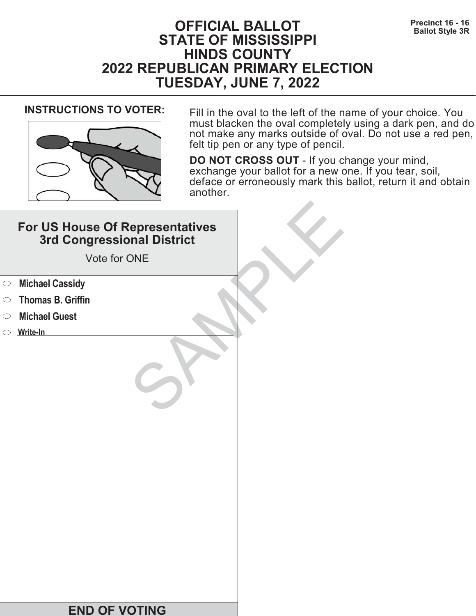# **Precinct 16 - 16 Precinct 16 - 16 Ballot Style 3R STATE OF MISSISSIPPI HINDS COUNTY 2022 REPUBLICAN PRIMARY ELECTION TUESDAY, JUNE 7, 2022**



**INSTRUCTIONS TO VOTER:** Fill in the oval to the left of the name of your choice. You must blacken the oval completely using a dark pen, and do not make any marks outside of oval. Do not use a red pen, felt tip pen or any type of pencil.

|            | For US House Of Representatives<br>3rd Congressional District<br>Vote for ONE |  |
|------------|-------------------------------------------------------------------------------|--|
| $\bigcirc$ | <b>Michael Cassidy</b>                                                        |  |
| $\bigcirc$ | <b>Thomas B. Griffin</b>                                                      |  |
| $\bigcirc$ | <b>Michael Guest</b>                                                          |  |
|            | $\circ$ Write-In                                                              |  |
|            | <b>END OF VOTING</b>                                                          |  |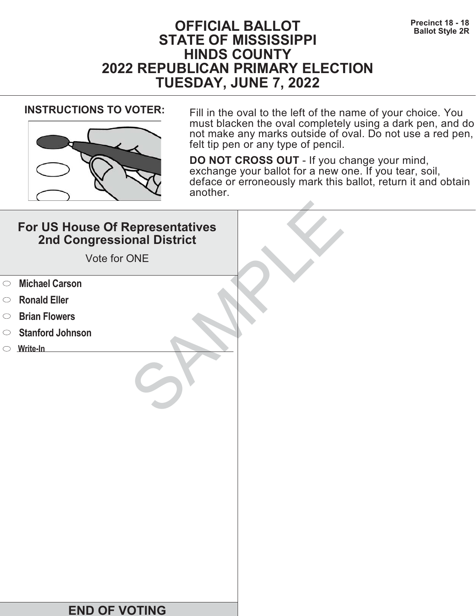# **Precinct 18 - 18 Precinct 18 - 18 Ballot Style 2R STATE OF MISSISSIPPI HINDS COUNTY 2022 REPUBLICAN PRIMARY ELECTION TUESDAY, JUNE 7, 2022**



**INSTRUCTIONS TO VOTER:** Fill in the oval to the left of the name of your choice. You must blacken the oval completely using a dark pen, and do not make any marks outside of oval. Do not use a red pen, felt tip pen or any type of pencil.

|            | For US House Of Representatives<br>2nd Congressional District<br>Vote for ONE |  |
|------------|-------------------------------------------------------------------------------|--|
| $\circ$    | <b>Michael Carson</b>                                                         |  |
| $\circ$    | <b>Ronald Eller</b>                                                           |  |
| $\bigcirc$ | <b>Brian Flowers</b>                                                          |  |
| $\bigcirc$ | <b>Stanford Johnson</b>                                                       |  |
|            | $\circ$ Write-In                                                              |  |
|            |                                                                               |  |
|            | <b>END OF VOTING</b>                                                          |  |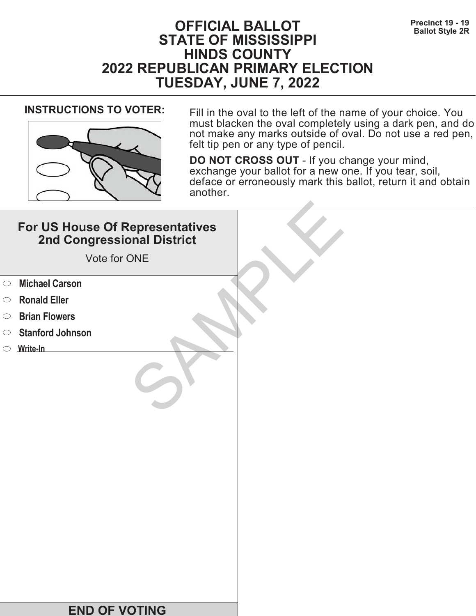# **Precinct 19 - 19**<br>Ballot Style 2R **STATE OF MISSISSIPPI HINDS COUNTY 2022 REPUBLICAN PRIMARY ELECTION TUESDAY, JUNE 7, 2022**



**INSTRUCTIONS TO VOTER:** Fill in the oval to the left of the name of your choice. You must blacken the oval completely using a dark pen, and do not make any marks outside of oval. Do not use a red pen, felt tip pen or any type of pencil.

|            | For US House Of Representatives<br>2nd Congressional District<br>Vote for ONE |  |
|------------|-------------------------------------------------------------------------------|--|
| $\circ$    | <b>Michael Carson</b>                                                         |  |
| $\circ$    | <b>Ronald Eller</b>                                                           |  |
| $\bigcirc$ | <b>Brian Flowers</b>                                                          |  |
| $\bigcirc$ | <b>Stanford Johnson</b>                                                       |  |
|            | $\circ$ Write-In                                                              |  |
|            |                                                                               |  |
|            | <b>END OF VOTING</b>                                                          |  |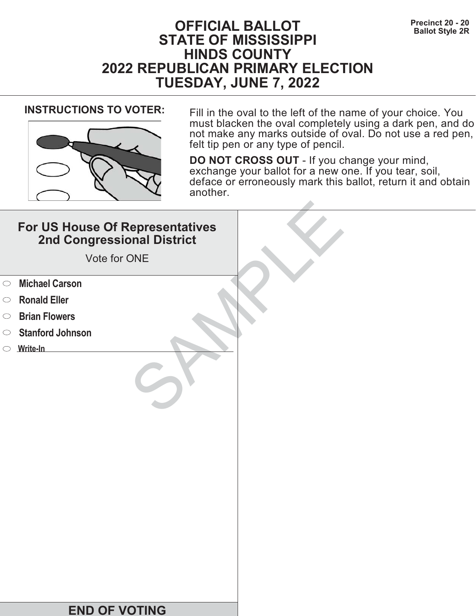# **Precinct 20 - 20**<br>Ballot Style 2R **STATE OF MISSISSIPPI HINDS COUNTY 2022 REPUBLICAN PRIMARY ELECTION TUESDAY, JUNE 7, 2022**



**INSTRUCTIONS TO VOTER:** Fill in the oval to the left of the name of your choice. You must blacken the oval completely using a dark pen, and do not make any marks outside of oval. Do not use a red pen, felt tip pen or any type of pencil.

|            | For US House Of Representatives<br>2nd Congressional District<br>Vote for ONE |  |
|------------|-------------------------------------------------------------------------------|--|
| $\circ$    | <b>Michael Carson</b>                                                         |  |
| $\circ$    | <b>Ronald Eller</b>                                                           |  |
| $\bigcirc$ | <b>Brian Flowers</b>                                                          |  |
| $\bigcirc$ | <b>Stanford Johnson</b>                                                       |  |
|            | $\circ$ Write-In                                                              |  |
|            |                                                                               |  |
|            | <b>END OF VOTING</b>                                                          |  |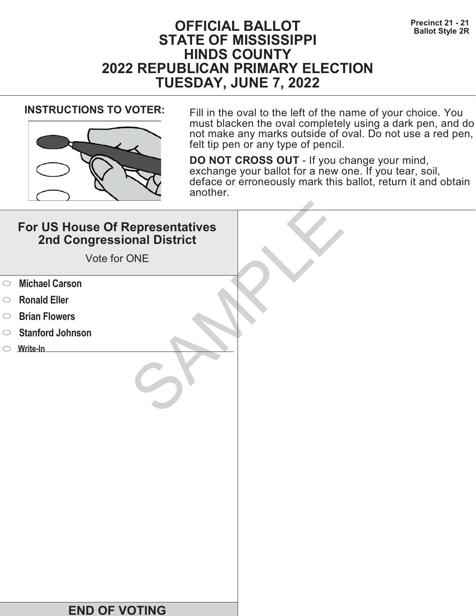# **Precinct 21 - 21<br>Ballot Style 2R**<br>**Ballot Style 2R STATE OF MISSISSIPPI HINDS COUNTY 2022 REPUBLICAN PRIMARY ELECTION TUESDAY, JUNE 7, 2022**



**INSTRUCTIONS TO VOTER:** Fill in the oval to the left of the name of your choice. You must blacken the oval completely using a dark pen, and do not make any marks outside of oval. Do not use a red pen, felt tip pen or any type of pencil.

|            | For US House Of Representatives<br>2nd Congressional District<br>Vote for ONE |  |
|------------|-------------------------------------------------------------------------------|--|
| $\circ$    | <b>Michael Carson</b>                                                         |  |
| $\circ$    | <b>Ronald Eller</b>                                                           |  |
| $\bigcirc$ | <b>Brian Flowers</b>                                                          |  |
| $\circ$    | <b>Stanford Johnson</b>                                                       |  |
|            | $\circ$ Write-In                                                              |  |
|            |                                                                               |  |
|            | <b>END OF VOTING</b>                                                          |  |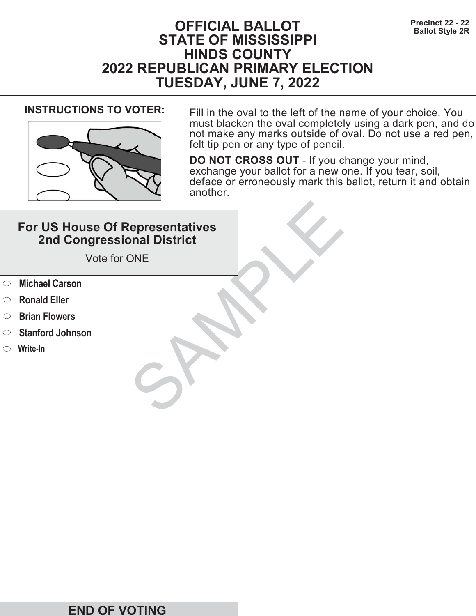# **Precinct 22 - 22**<br>Ballot Style 2R **STATE OF MISSISSIPPI HINDS COUNTY 2022 REPUBLICAN PRIMARY ELECTION TUESDAY, JUNE 7, 2022**



**INSTRUCTIONS TO VOTER:** Fill in the oval to the left of the name of your choice. You must blacken the oval completely using a dark pen, and do not make any marks outside of oval. Do not use a red pen, felt tip pen or any type of pencil.

|            | For US House Of Representatives<br>2nd Congressional District<br>Vote for ONE |  |
|------------|-------------------------------------------------------------------------------|--|
| $\circ$    | <b>Michael Carson</b>                                                         |  |
| $\circ$    | <b>Ronald Eller</b>                                                           |  |
| $\bigcirc$ | <b>Brian Flowers</b>                                                          |  |
| $\bigcirc$ | <b>Stanford Johnson</b>                                                       |  |
|            | $\circ$ Write-In                                                              |  |
|            |                                                                               |  |
|            | <b>END OF VOTING</b>                                                          |  |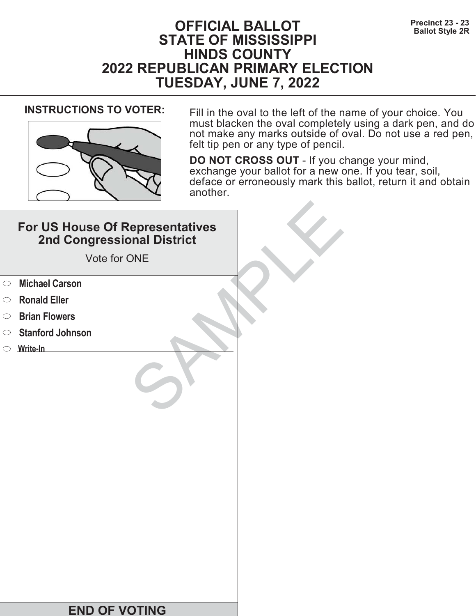# **Precinct 23 - 23**<br>Ballot Style 2R **STATE OF MISSISSIPPI HINDS COUNTY 2022 REPUBLICAN PRIMARY ELECTION TUESDAY, JUNE 7, 2022**



**INSTRUCTIONS TO VOTER:** Fill in the oval to the left of the name of your choice. You must blacken the oval completely using a dark pen, and do not make any marks outside of oval. Do not use a red pen, felt tip pen or any type of pencil.

|            | For US House Of Representatives<br>2nd Congressional District<br>Vote for ONE |  |
|------------|-------------------------------------------------------------------------------|--|
| $\circ$    | <b>Michael Carson</b>                                                         |  |
| $\circ$    | <b>Ronald Eller</b>                                                           |  |
| $\bigcirc$ | <b>Brian Flowers</b>                                                          |  |
| $\circ$    | <b>Stanford Johnson</b>                                                       |  |
|            | $\circ$ Write-In                                                              |  |
|            |                                                                               |  |
|            | <b>END OF VOTING</b>                                                          |  |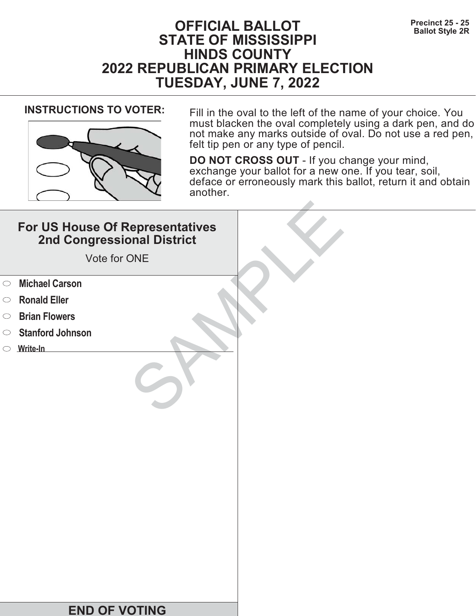# **Precinct 25 - 25**<br>Ballot Style 2R **STATE OF MISSISSIPPI HINDS COUNTY 2022 REPUBLICAN PRIMARY ELECTION TUESDAY, JUNE 7, 2022**



**INSTRUCTIONS TO VOTER:** Fill in the oval to the left of the name of your choice. You must blacken the oval completely using a dark pen, and do not make any marks outside of oval. Do not use a red pen, felt tip pen or any type of pencil.

|            | For US House Of Representatives<br>2nd Congressional District<br>Vote for ONE |  |
|------------|-------------------------------------------------------------------------------|--|
| $\circ$    | <b>Michael Carson</b>                                                         |  |
| $\circ$    | <b>Ronald Eller</b>                                                           |  |
| $\bigcirc$ | <b>Brian Flowers</b>                                                          |  |
| $\circ$    | <b>Stanford Johnson</b>                                                       |  |
|            | $\circ$ Write-In                                                              |  |
|            |                                                                               |  |
|            | <b>END OF VOTING</b>                                                          |  |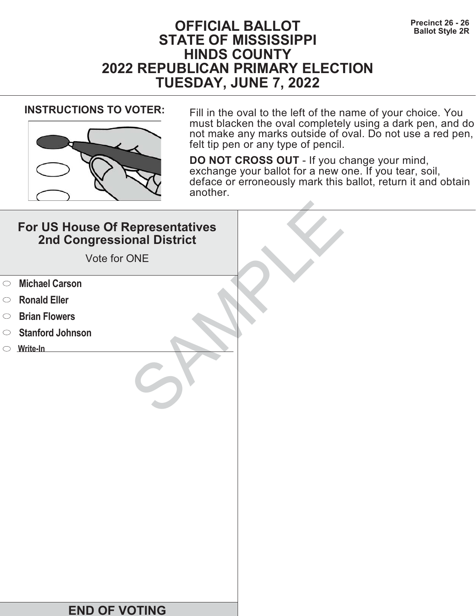# **Precinct 26 - 26 Precinct 26 - 26 Ballot Style 2R STATE OF MISSISSIPPI HINDS COUNTY 2022 REPUBLICAN PRIMARY ELECTION TUESDAY, JUNE 7, 2022**



**INSTRUCTIONS TO VOTER:** Fill in the oval to the left of the name of your choice. You must blacken the oval completely using a dark pen, and do not make any marks outside of oval. Do not use a red pen, felt tip pen or any type of pencil.

|            | For US House Of Representatives<br>2nd Congressional District<br>Vote for ONE |  |
|------------|-------------------------------------------------------------------------------|--|
| $\circ$    | <b>Michael Carson</b>                                                         |  |
| $\circ$    | <b>Ronald Eller</b>                                                           |  |
| $\bigcirc$ | <b>Brian Flowers</b>                                                          |  |
| $\circ$    | <b>Stanford Johnson</b>                                                       |  |
|            | $\circ$ Write-In                                                              |  |
|            |                                                                               |  |
|            | <b>END OF VOTING</b>                                                          |  |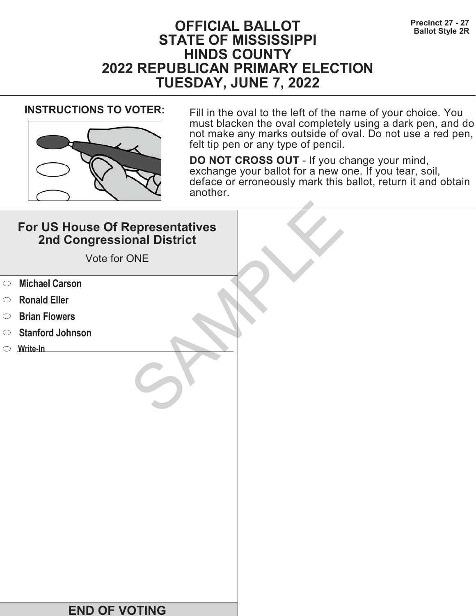# **Precinct 27 - 27<br>Ballot Style 2R**<br>**Ballot Style 2R STATE OF MISSISSIPPI HINDS COUNTY 2022 REPUBLICAN PRIMARY ELECTION TUESDAY, JUNE 7, 2022**



**INSTRUCTIONS TO VOTER:** Fill in the oval to the left of the name of your choice. You must blacken the oval completely using a dark pen, and do not make any marks outside of oval. Do not use a red pen, felt tip pen or any type of pencil.

|            | For US House Of Representatives<br>2nd Congressional District<br>Vote for ONE |  |
|------------|-------------------------------------------------------------------------------|--|
| $\circ$    | <b>Michael Carson</b>                                                         |  |
| $\circ$    | <b>Ronald Eller</b>                                                           |  |
| $\bigcirc$ | <b>Brian Flowers</b>                                                          |  |
| $\circ$    | <b>Stanford Johnson</b>                                                       |  |
|            | $\circ$ Write-In                                                              |  |
|            |                                                                               |  |
|            | <b>END OF VOTING</b>                                                          |  |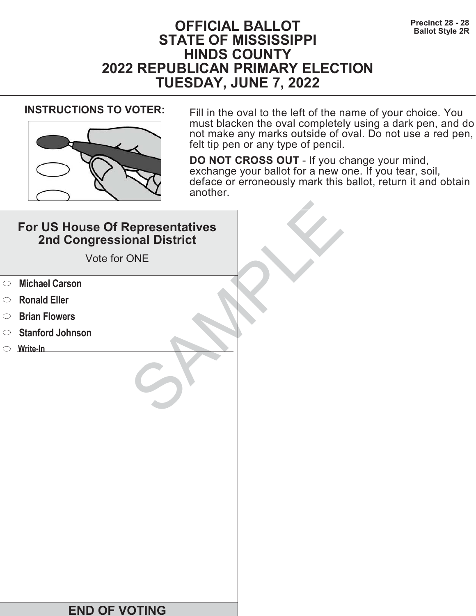# **Precinct 28 - 28**<br>Ballot Style 2R **STATE OF MISSISSIPPI HINDS COUNTY 2022 REPUBLICAN PRIMARY ELECTION TUESDAY, JUNE 7, 2022**



**INSTRUCTIONS TO VOTER:** Fill in the oval to the left of the name of your choice. You must blacken the oval completely using a dark pen, and do not make any marks outside of oval. Do not use a red pen, felt tip pen or any type of pencil.

|            | For US House Of Representatives<br>2nd Congressional District<br>Vote for ONE |  |
|------------|-------------------------------------------------------------------------------|--|
| $\circ$    | <b>Michael Carson</b>                                                         |  |
| $\circ$    | <b>Ronald Eller</b>                                                           |  |
| $\bigcirc$ | <b>Brian Flowers</b>                                                          |  |
| $\circ$    | <b>Stanford Johnson</b>                                                       |  |
|            | $\circ$ Write-In                                                              |  |
|            |                                                                               |  |
|            | <b>END OF VOTING</b>                                                          |  |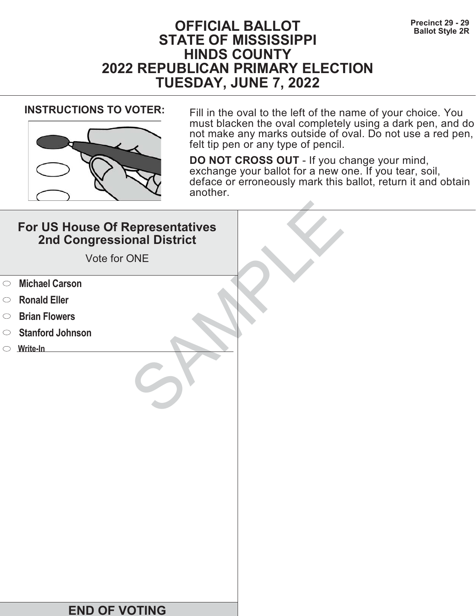# **Precinct 29 - 29**<br>Ballot Style 2R **STATE OF MISSISSIPPI HINDS COUNTY 2022 REPUBLICAN PRIMARY ELECTION TUESDAY, JUNE 7, 2022**



**INSTRUCTIONS TO VOTER:** Fill in the oval to the left of the name of your choice. You must blacken the oval completely using a dark pen, and do not make any marks outside of oval. Do not use a red pen, felt tip pen or any type of pencil.

|            | For US House Of Representatives<br>2nd Congressional District<br>Vote for ONE |  |
|------------|-------------------------------------------------------------------------------|--|
| $\circ$    | <b>Michael Carson</b>                                                         |  |
| $\circ$    | <b>Ronald Eller</b>                                                           |  |
| $\bigcirc$ | <b>Brian Flowers</b>                                                          |  |
| $\bigcirc$ | <b>Stanford Johnson</b>                                                       |  |
|            | $\circ$ Write-In                                                              |  |
|            |                                                                               |  |
|            | <b>END OF VOTING</b>                                                          |  |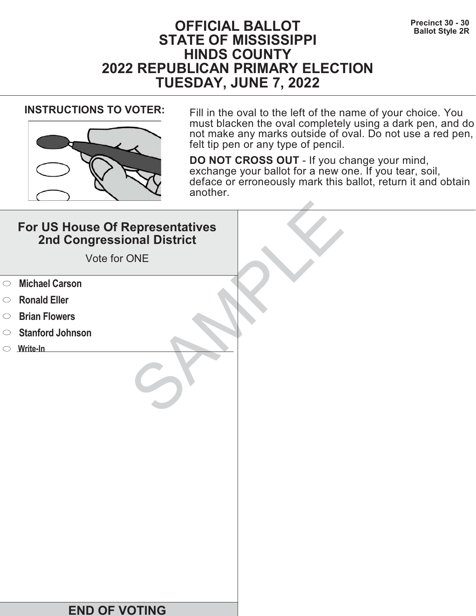# **Precinct 30 - 30**<br>Ballot Style 2R **STATE OF MISSISSIPPI HINDS COUNTY 2022 REPUBLICAN PRIMARY ELECTION TUESDAY, JUNE 7, 2022**



**INSTRUCTIONS TO VOTER:** Fill in the oval to the left of the name of your choice. You must blacken the oval completely using a dark pen, and do not make any marks outside of oval. Do not use a red pen, felt tip pen or any type of pencil.

|            | For US House Of Representatives<br>2nd Congressional District<br>Vote for ONE |  |
|------------|-------------------------------------------------------------------------------|--|
| $\circ$    | <b>Michael Carson</b>                                                         |  |
| $\circ$    | <b>Ronald Eller</b>                                                           |  |
| $\bigcirc$ | <b>Brian Flowers</b>                                                          |  |
| $\circ$    | <b>Stanford Johnson</b>                                                       |  |
|            | $\circ$ Write-In                                                              |  |
|            |                                                                               |  |
|            | <b>END OF VOTING</b>                                                          |  |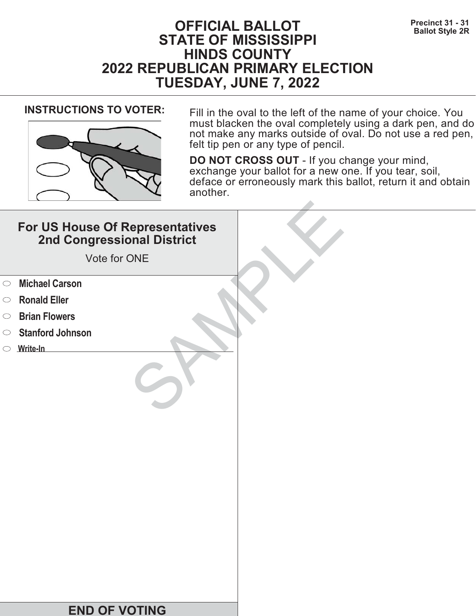# **Precinct 31 - 31**<br>Ballot Style 2R **STATE OF MISSISSIPPI HINDS COUNTY 2022 REPUBLICAN PRIMARY ELECTION TUESDAY, JUNE 7, 2022**



**INSTRUCTIONS TO VOTER:** Fill in the oval to the left of the name of your choice. You must blacken the oval completely using a dark pen, and do not make any marks outside of oval. Do not use a red pen, felt tip pen or any type of pencil.

|            | For US House Of Representatives<br>2nd Congressional District<br>Vote for ONE |  |
|------------|-------------------------------------------------------------------------------|--|
| $\circ$    | <b>Michael Carson</b>                                                         |  |
| $\circ$    | <b>Ronald Eller</b>                                                           |  |
| $\bigcirc$ | <b>Brian Flowers</b>                                                          |  |
| $\circ$    | <b>Stanford Johnson</b>                                                       |  |
|            | $\circ$ Write-In                                                              |  |
|            |                                                                               |  |
|            | <b>END OF VOTING</b>                                                          |  |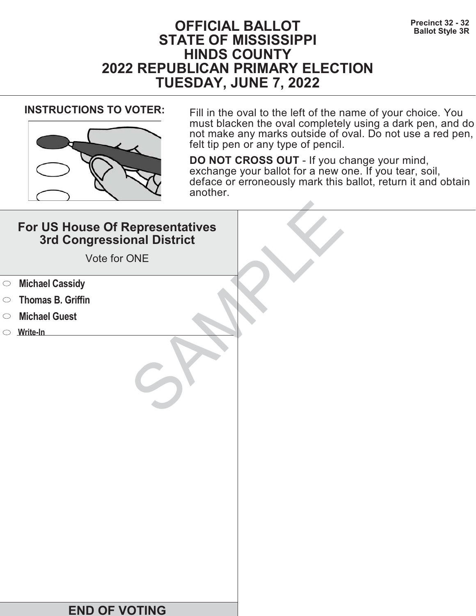# **Precinct 32 - 32**<br>Ballot Style 3R **STATE OF MISSISSIPPI HINDS COUNTY 2022 REPUBLICAN PRIMARY ELECTION TUESDAY, JUNE 7, 2022**



**INSTRUCTIONS TO VOTER:** Fill in the oval to the left of the name of your choice. You must blacken the oval completely using a dark pen, and do not make any marks outside of oval. Do not use a red pen, felt tip pen or any type of pencil.

|            | For US House Of Representatives<br>3rd Congressional District<br>Vote for ONE |  |
|------------|-------------------------------------------------------------------------------|--|
| $\bigcirc$ | <b>Michael Cassidy</b>                                                        |  |
| $\bigcirc$ | <b>Thomas B. Griffin</b>                                                      |  |
| $\bigcirc$ | <b>Michael Guest</b>                                                          |  |
|            | $\circ$ Write-In                                                              |  |
|            | <b>END OF VOTING</b>                                                          |  |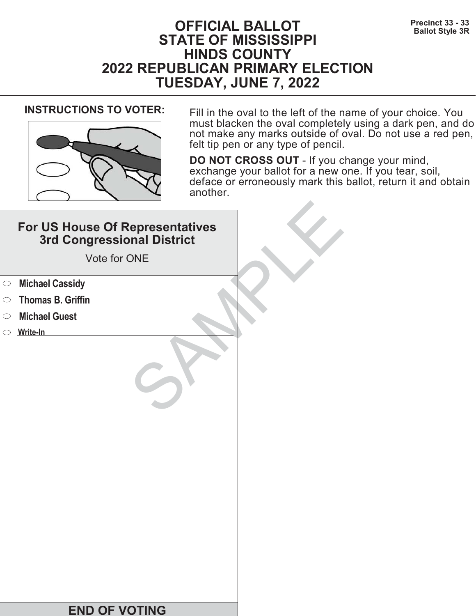# **Precinct 33 - 33**<br>Ballot Style 3R **STATE OF MISSISSIPPI HINDS COUNTY 2022 REPUBLICAN PRIMARY ELECTION TUESDAY, JUNE 7, 2022**



**INSTRUCTIONS TO VOTER:** Fill in the oval to the left of the name of your choice. You must blacken the oval completely using a dark pen, and do not make any marks outside of oval. Do not use a red pen, felt tip pen or any type of pencil.

|            | For US House Of Representatives<br>3rd Congressional District<br>Vote for ONE |  |
|------------|-------------------------------------------------------------------------------|--|
| $\bigcirc$ | <b>Michael Cassidy</b>                                                        |  |
| $\bigcirc$ | <b>Thomas B. Griffin</b>                                                      |  |
| $\bigcirc$ | <b>Michael Guest</b>                                                          |  |
|            | $\circ$ Write-In                                                              |  |
|            | <b>END OF VOTING</b>                                                          |  |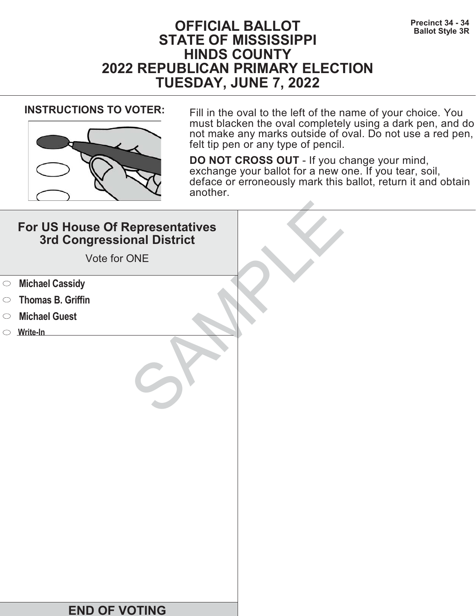# **Precinct 34 - 34**<br>Ballot Style 3R **STATE OF MISSISSIPPI HINDS COUNTY 2022 REPUBLICAN PRIMARY ELECTION TUESDAY, JUNE 7, 2022**



**INSTRUCTIONS TO VOTER:** Fill in the oval to the left of the name of your choice. You must blacken the oval completely using a dark pen, and do not make any marks outside of oval. Do not use a red pen, felt tip pen or any type of pencil.

|            | For US House Of Representatives<br>3rd Congressional District<br>Vote for ONE |  |
|------------|-------------------------------------------------------------------------------|--|
| $\bigcirc$ | <b>Michael Cassidy</b>                                                        |  |
| $\bigcirc$ | <b>Thomas B. Griffin</b>                                                      |  |
| $\bigcirc$ | <b>Michael Guest</b>                                                          |  |
|            | $\circ$ Write-In                                                              |  |
|            | <b>END OF VOTING</b>                                                          |  |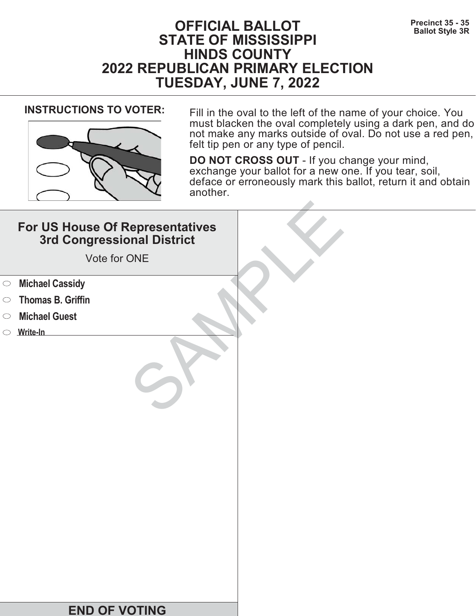# **Precinct 35 - 35**<br>Ballot Style 3R **STATE OF MISSISSIPPI HINDS COUNTY 2022 REPUBLICAN PRIMARY ELECTION TUESDAY, JUNE 7, 2022**



**INSTRUCTIONS TO VOTER:** Fill in the oval to the left of the name of your choice. You must blacken the oval completely using a dark pen, and do not make any marks outside of oval. Do not use a red pen, felt tip pen or any type of pencil.

|            | For US House Of Representatives<br>3rd Congressional District<br>Vote for ONE |  |
|------------|-------------------------------------------------------------------------------|--|
| $\bigcirc$ | <b>Michael Cassidy</b>                                                        |  |
| $\bigcirc$ | <b>Thomas B. Griffin</b>                                                      |  |
| $\bigcirc$ | <b>Michael Guest</b>                                                          |  |
|            | $\circ$ Write-In                                                              |  |
|            | <b>END OF VOTING</b>                                                          |  |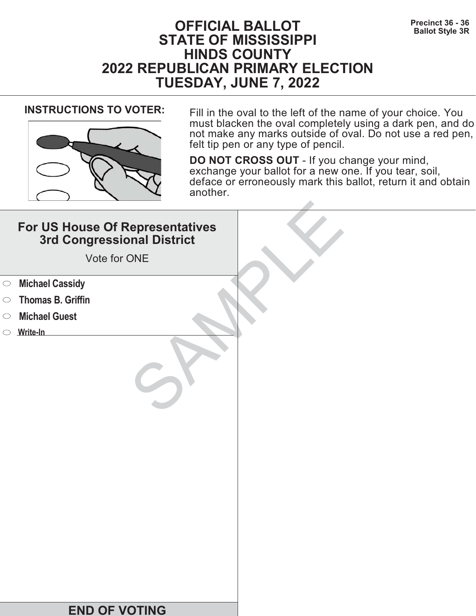# **Precinct 36 - 36**<br>Ballot Style 3R **STATE OF MISSISSIPPI HINDS COUNTY 2022 REPUBLICAN PRIMARY ELECTION TUESDAY, JUNE 7, 2022**



**INSTRUCTIONS TO VOTER:** Fill in the oval to the left of the name of your choice. You must blacken the oval completely using a dark pen, and do not make any marks outside of oval. Do not use a red pen, felt tip pen or any type of pencil.

|            | For US House Of Representatives<br>3rd Congressional District<br>Vote for ONE |  |
|------------|-------------------------------------------------------------------------------|--|
| $\bigcirc$ | <b>Michael Cassidy</b>                                                        |  |
| $\bigcirc$ | <b>Thomas B. Griffin</b>                                                      |  |
| $\bigcirc$ | <b>Michael Guest</b>                                                          |  |
|            | $\circ$ Write-In                                                              |  |
|            | <b>END OF VOTING</b>                                                          |  |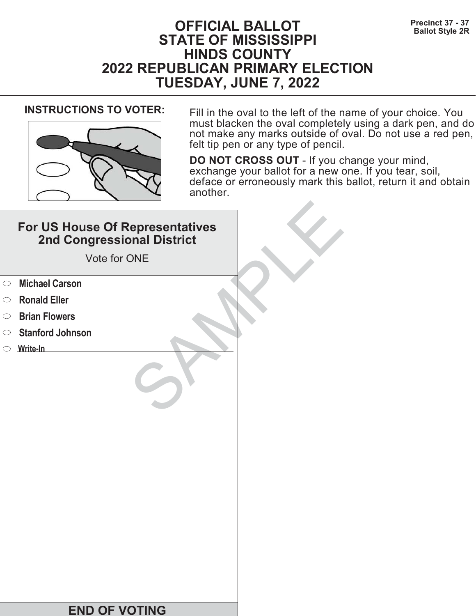# **Precinct 37 - 37**<br>Ballot Style 2R **STATE OF MISSISSIPPI HINDS COUNTY 2022 REPUBLICAN PRIMARY ELECTION TUESDAY, JUNE 7, 2022**



**INSTRUCTIONS TO VOTER:** Fill in the oval to the left of the name of your choice. You must blacken the oval completely using a dark pen, and do not make any marks outside of oval. Do not use a red pen, felt tip pen or any type of pencil.

|            | For US House Of Representatives<br>2nd Congressional District<br>Vote for ONE |  |
|------------|-------------------------------------------------------------------------------|--|
| $\circ$    | <b>Michael Carson</b>                                                         |  |
| $\circ$    | <b>Ronald Eller</b>                                                           |  |
| $\bigcirc$ | <b>Brian Flowers</b>                                                          |  |
| $\bigcirc$ | <b>Stanford Johnson</b>                                                       |  |
|            | $\circ$ Write-In                                                              |  |
|            |                                                                               |  |
|            | <b>END OF VOTING</b>                                                          |  |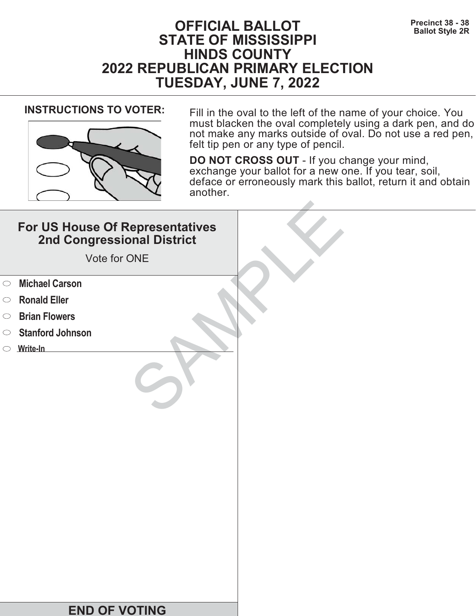# **Precinct 38 - 38**<br>Ballot Style 2R **STATE OF MISSISSIPPI HINDS COUNTY 2022 REPUBLICAN PRIMARY ELECTION TUESDAY, JUNE 7, 2022**



**INSTRUCTIONS TO VOTER:** Fill in the oval to the left of the name of your choice. You must blacken the oval completely using a dark pen, and do not make any marks outside of oval. Do not use a red pen, felt tip pen or any type of pencil.

|            | For US House Of Representatives<br>2nd Congressional District<br>Vote for ONE |  |
|------------|-------------------------------------------------------------------------------|--|
| $\circ$    | <b>Michael Carson</b>                                                         |  |
| $\circ$    | <b>Ronald Eller</b>                                                           |  |
| $\bigcirc$ | <b>Brian Flowers</b>                                                          |  |
| $\circ$    | <b>Stanford Johnson</b>                                                       |  |
|            | $\circ$ Write-In                                                              |  |
|            |                                                                               |  |
|            | <b>END OF VOTING</b>                                                          |  |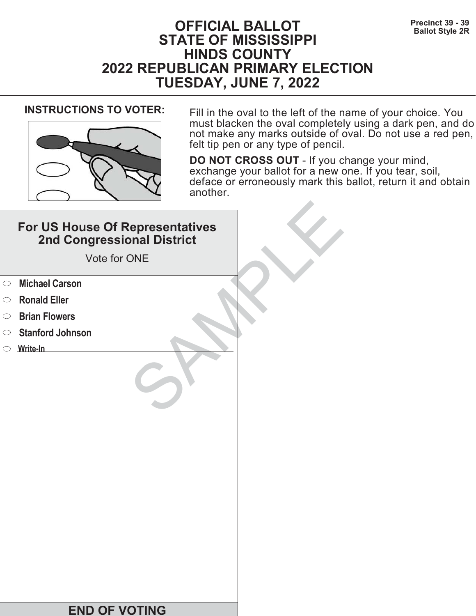# **Precinct 39 - 39**<br>Ballot Style 2R **STATE OF MISSISSIPPI HINDS COUNTY 2022 REPUBLICAN PRIMARY ELECTION TUESDAY, JUNE 7, 2022**



**INSTRUCTIONS TO VOTER:** Fill in the oval to the left of the name of your choice. You must blacken the oval completely using a dark pen, and do not make any marks outside of oval. Do not use a red pen, felt tip pen or any type of pencil.

|            | For US House Of Representatives<br>2nd Congressional District<br>Vote for ONE |  |
|------------|-------------------------------------------------------------------------------|--|
| $\circ$    | <b>Michael Carson</b>                                                         |  |
| $\circ$    | <b>Ronald Eller</b>                                                           |  |
| $\bigcirc$ | <b>Brian Flowers</b>                                                          |  |
| $\circ$    | <b>Stanford Johnson</b>                                                       |  |
|            | $\circ$ Write-In                                                              |  |
|            |                                                                               |  |
|            | <b>END OF VOTING</b>                                                          |  |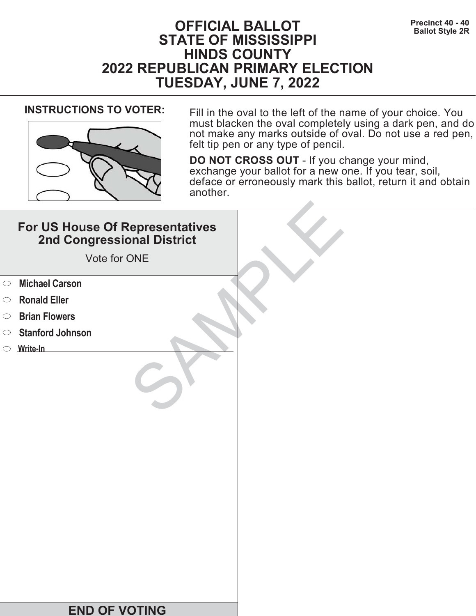# **Precinct 40 - 40**<br>Ballot Style 2R **STATE OF MISSISSIPPI HINDS COUNTY 2022 REPUBLICAN PRIMARY ELECTION TUESDAY, JUNE 7, 2022**



**INSTRUCTIONS TO VOTER:** Fill in the oval to the left of the name of your choice. You must blacken the oval completely using a dark pen, and do not make any marks outside of oval. Do not use a red pen, felt tip pen or any type of pencil.

|            | For US House Of Representatives<br>2nd Congressional District<br>Vote for ONE |  |
|------------|-------------------------------------------------------------------------------|--|
| $\circ$    | <b>Michael Carson</b>                                                         |  |
| $\circ$    | <b>Ronald Eller</b>                                                           |  |
| $\bigcirc$ | <b>Brian Flowers</b>                                                          |  |
| $\bigcirc$ | <b>Stanford Johnson</b>                                                       |  |
|            | $\circ$ Write-In                                                              |  |
|            |                                                                               |  |
|            | <b>END OF VOTING</b>                                                          |  |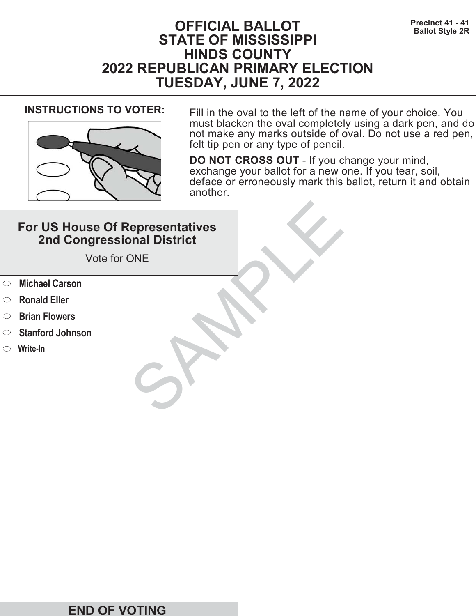# **Precinct 41 - 41 Precinct 41 - 41 BALLOT Ballot Style 2R STATE OF MISSISSIPPI HINDS COUNTY 2022 REPUBLICAN PRIMARY ELECTION TUESDAY, JUNE 7, 2022**



**INSTRUCTIONS TO VOTER:** Fill in the oval to the left of the name of your choice. You must blacken the oval completely using a dark pen, and do not make any marks outside of oval. Do not use a red pen, felt tip pen or any type of pencil.

|            | For US House Of Representatives<br>2nd Congressional District<br>Vote for ONE |  |
|------------|-------------------------------------------------------------------------------|--|
| $\circ$    | <b>Michael Carson</b>                                                         |  |
| $\circ$    | <b>Ronald Eller</b>                                                           |  |
| $\bigcirc$ | <b>Brian Flowers</b>                                                          |  |
| $\bigcirc$ | <b>Stanford Johnson</b>                                                       |  |
|            | $\circ$ Write-In                                                              |  |
|            |                                                                               |  |
|            | <b>END OF VOTING</b>                                                          |  |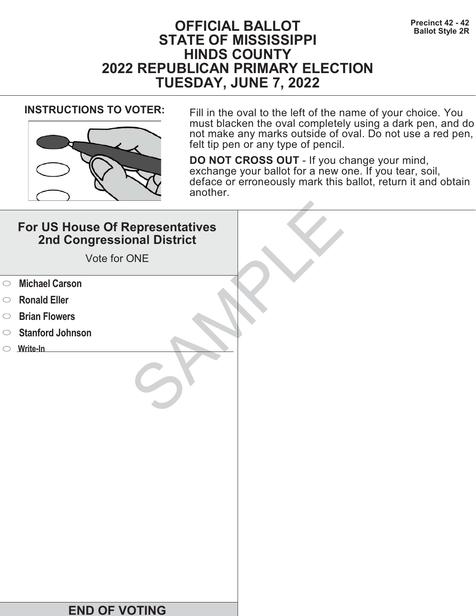# **Precinct 42 - 42**<br>Ballot Style 2R **STATE OF MISSISSIPPI HINDS COUNTY 2022 REPUBLICAN PRIMARY ELECTION TUESDAY, JUNE 7, 2022**



**INSTRUCTIONS TO VOTER:** Fill in the oval to the left of the name of your choice. You must blacken the oval completely using a dark pen, and do not make any marks outside of oval. Do not use a red pen, felt tip pen or any type of pencil.

|            | For US House Of Representatives<br>2nd Congressional District<br>Vote for ONE |  |
|------------|-------------------------------------------------------------------------------|--|
| $\circ$    | <b>Michael Carson</b>                                                         |  |
| $\circ$    | <b>Ronald Eller</b>                                                           |  |
| $\bigcirc$ | <b>Brian Flowers</b>                                                          |  |
| $\circ$    | <b>Stanford Johnson</b>                                                       |  |
|            | $\circ$ Write-In                                                              |  |
|            |                                                                               |  |
|            | <b>END OF VOTING</b>                                                          |  |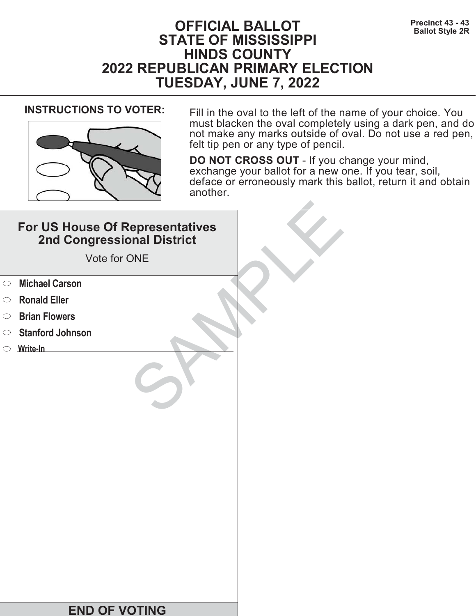# **Precinct 43 - 43**<br>Ballot Style 2R **STATE OF MISSISSIPPI HINDS COUNTY 2022 REPUBLICAN PRIMARY ELECTION TUESDAY, JUNE 7, 2022**



**INSTRUCTIONS TO VOTER:** Fill in the oval to the left of the name of your choice. You must blacken the oval completely using a dark pen, and do not make any marks outside of oval. Do not use a red pen, felt tip pen or any type of pencil.

|            | For US House Of Representatives<br>2nd Congressional District<br>Vote for ONE |  |
|------------|-------------------------------------------------------------------------------|--|
| $\circ$    | <b>Michael Carson</b>                                                         |  |
| $\circ$    | <b>Ronald Eller</b>                                                           |  |
| $\bigcirc$ | <b>Brian Flowers</b>                                                          |  |
| $\bigcirc$ | <b>Stanford Johnson</b>                                                       |  |
|            | $\circ$ Write-In                                                              |  |
|            |                                                                               |  |
|            | <b>END OF VOTING</b>                                                          |  |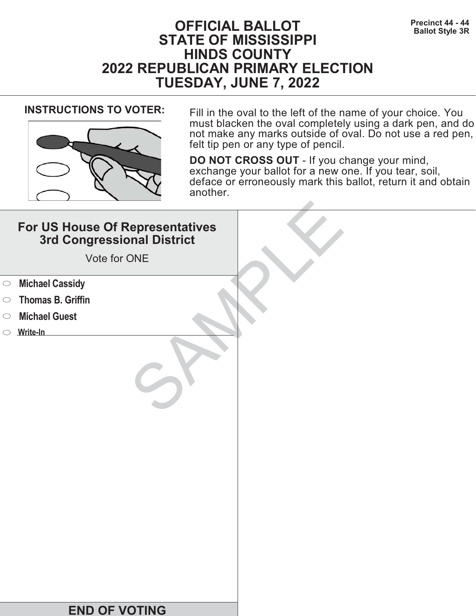# **Precinct 44 - 44<br>Ballot Style 3R Seallot Style 3R STATE OF MISSISSIPPI HINDS COUNTY 2022 REPUBLICAN PRIMARY ELECTION TUESDAY, JUNE 7, 2022**



**INSTRUCTIONS TO VOTER:** Fill in the oval to the left of the name of your choice. You must blacken the oval completely using a dark pen, and do not make any marks outside of oval. Do not use a red pen, felt tip pen or any type of pencil.

|            | For US House Of Representatives<br>3rd Congressional District<br>Vote for ONE |  |
|------------|-------------------------------------------------------------------------------|--|
| $\circ$    | <b>Michael Cassidy</b>                                                        |  |
| $\bigcirc$ | <b>Thomas B. Griffin</b>                                                      |  |
| $\bigcirc$ | <b>Michael Guest</b>                                                          |  |
|            | $\circ$ Write-In                                                              |  |
|            | <b>END OF VOTING</b>                                                          |  |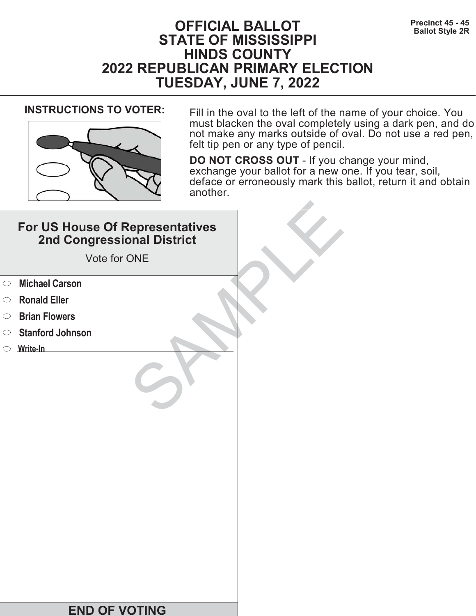# **Precinct 45 - 45**<br>Ballot Style 2R **STATE OF MISSISSIPPI HINDS COUNTY 2022 REPUBLICAN PRIMARY ELECTION TUESDAY, JUNE 7, 2022**



**INSTRUCTIONS TO VOTER:** Fill in the oval to the left of the name of your choice. You must blacken the oval completely using a dark pen, and do not make any marks outside of oval. Do not use a red pen, felt tip pen or any type of pencil.

|            | For US House Of Representatives<br>2nd Congressional District<br>Vote for ONE |  |
|------------|-------------------------------------------------------------------------------|--|
| $\circ$    | <b>Michael Carson</b>                                                         |  |
| $\circ$    | <b>Ronald Eller</b>                                                           |  |
| $\bigcirc$ | <b>Brian Flowers</b>                                                          |  |
| $\bigcirc$ | <b>Stanford Johnson</b>                                                       |  |
|            | $\circ$ Write-In                                                              |  |
|            |                                                                               |  |
|            | <b>END OF VOTING</b>                                                          |  |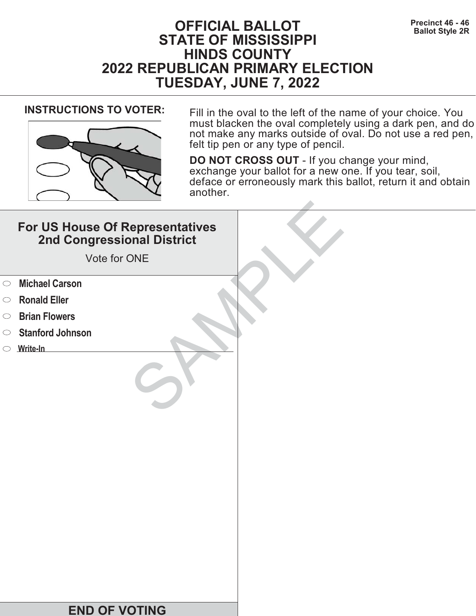# **Precinct 46 - 46 Precinct 46 - 46 Ballot Style 2R STATE OF MISSISSIPPI HINDS COUNTY 2022 REPUBLICAN PRIMARY ELECTION TUESDAY, JUNE 7, 2022**



**INSTRUCTIONS TO VOTER:** Fill in the oval to the left of the name of your choice. You must blacken the oval completely using a dark pen, and do not make any marks outside of oval. Do not use a red pen, felt tip pen or any type of pencil.

|            | For US House Of Representatives<br>2nd Congressional District<br>Vote for ONE |  |
|------------|-------------------------------------------------------------------------------|--|
| $\circ$    | <b>Michael Carson</b>                                                         |  |
| $\circ$    | <b>Ronald Eller</b>                                                           |  |
| $\bigcirc$ | <b>Brian Flowers</b>                                                          |  |
| $\circ$    | <b>Stanford Johnson</b>                                                       |  |
|            | $\circ$ Write-In                                                              |  |
|            |                                                                               |  |
|            | <b>END OF VOTING</b>                                                          |  |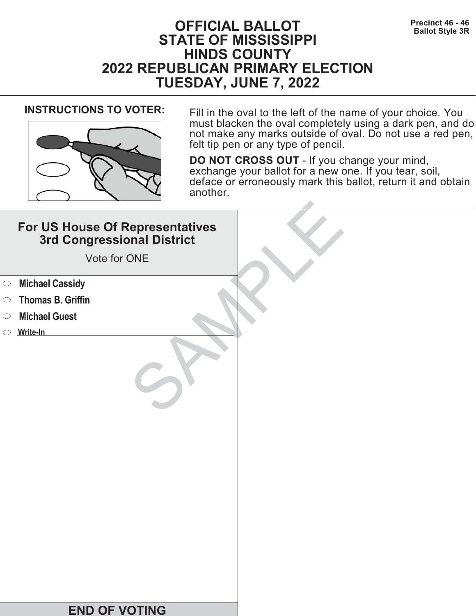# **Precinct 46 - 46 Precinct 46 - 46 Ballot Style 3R STATE OF MISSISSIPPI HINDS COUNTY 2022 REPUBLICAN PRIMARY ELECTION TUESDAY, JUNE 7, 2022**



**INSTRUCTIONS TO VOTER:** Fill in the oval to the left of the name of your choice. You must blacken the oval completely using a dark pen, and do not make any marks outside of oval. Do not use a red pen, felt tip pen or any type of pencil.

|            | For US House Of Representatives<br>3rd Congressional District<br>Vote for ONE |  |
|------------|-------------------------------------------------------------------------------|--|
| $\circ$    | <b>Michael Cassidy</b>                                                        |  |
| $\bigcirc$ | <b>Thomas B. Griffin</b>                                                      |  |
| $\bigcirc$ | <b>Michael Guest</b>                                                          |  |
|            | $\circ$ Write-In                                                              |  |
|            | <b>END OF VOTING</b>                                                          |  |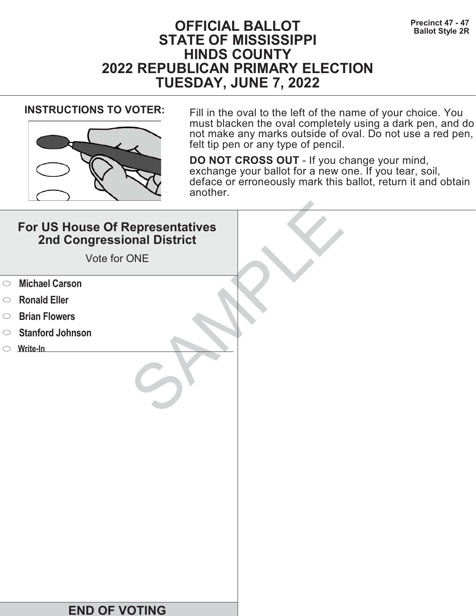# **Precinct 47 - 47**<br>Ballot Style 2R **STATE OF MISSISSIPPI HINDS COUNTY 2022 REPUBLICAN PRIMARY ELECTION TUESDAY, JUNE 7, 2022**



**INSTRUCTIONS TO VOTER:** Fill in the oval to the left of the name of your choice. You must blacken the oval completely using a dark pen, and do not make any marks outside of oval. Do not use a red pen, felt tip pen or any type of pencil.

|            | For US House Of Representatives<br>2nd Congressional District<br>Vote for ONE |  |
|------------|-------------------------------------------------------------------------------|--|
| $\circ$    | <b>Michael Carson</b>                                                         |  |
| $\circ$    | <b>Ronald Eller</b>                                                           |  |
| $\bigcirc$ | <b>Brian Flowers</b>                                                          |  |
| $\circ$    | <b>Stanford Johnson</b>                                                       |  |
|            | $\circ$ Write-In                                                              |  |
|            |                                                                               |  |
|            | <b>END OF VOTING</b>                                                          |  |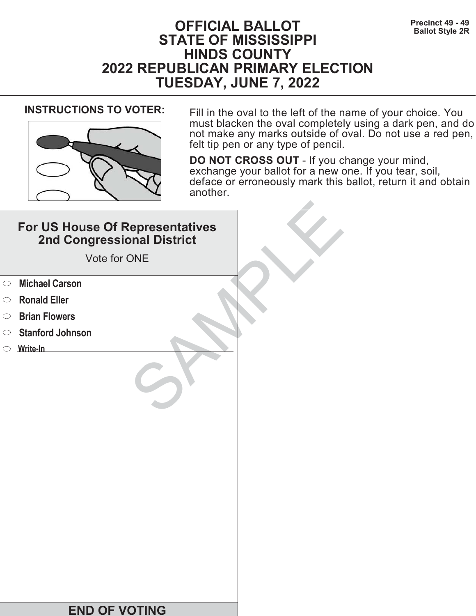# **Precinct 49 - 49**<br>Ballot Style 2R **STATE OF MISSISSIPPI HINDS COUNTY 2022 REPUBLICAN PRIMARY ELECTION TUESDAY, JUNE 7, 2022**



**INSTRUCTIONS TO VOTER:** Fill in the oval to the left of the name of your choice. You must blacken the oval completely using a dark pen, and do not make any marks outside of oval. Do not use a red pen, felt tip pen or any type of pencil.

|            | For US House Of Representatives<br>2nd Congressional District<br>Vote for ONE |  |
|------------|-------------------------------------------------------------------------------|--|
| $\circ$    | <b>Michael Carson</b>                                                         |  |
| $\circ$    | <b>Ronald Eller</b>                                                           |  |
| $\bigcirc$ | <b>Brian Flowers</b>                                                          |  |
| $\bigcirc$ | <b>Stanford Johnson</b>                                                       |  |
|            | $\circ$ Write-In                                                              |  |
|            |                                                                               |  |
|            | <b>END OF VOTING</b>                                                          |  |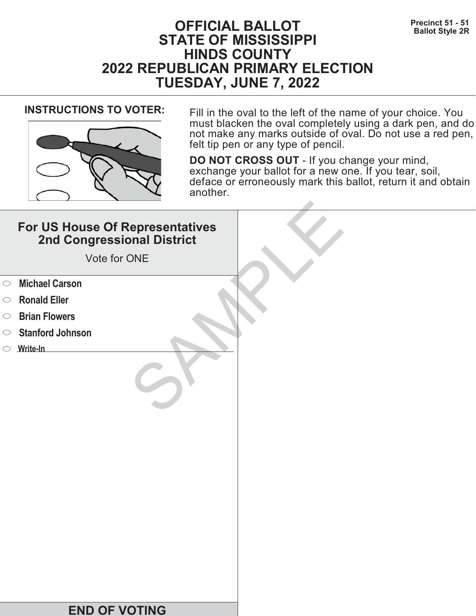# **Precinct 51 - 51**<br>Ballot Style 2R **STATE OF MISSISSIPPI HINDS COUNTY 2022 REPUBLICAN PRIMARY ELECTION TUESDAY, JUNE 7, 2022**



**INSTRUCTIONS TO VOTER:** Fill in the oval to the left of the name of your choice. You must blacken the oval completely using a dark pen, and do not make any marks outside of oval. Do not use a red pen, felt tip pen or any type of pencil.

|            | For US House Of Representatives<br>2nd Congressional District<br>Vote for ONE |  |
|------------|-------------------------------------------------------------------------------|--|
| $\circ$    | <b>Michael Carson</b>                                                         |  |
| $\circ$    | <b>Ronald Eller</b>                                                           |  |
| $\bigcirc$ | <b>Brian Flowers</b>                                                          |  |
| $\bigcirc$ | <b>Stanford Johnson</b>                                                       |  |
|            | $\circ$ Write-In                                                              |  |
|            |                                                                               |  |
|            | <b>END OF VOTING</b>                                                          |  |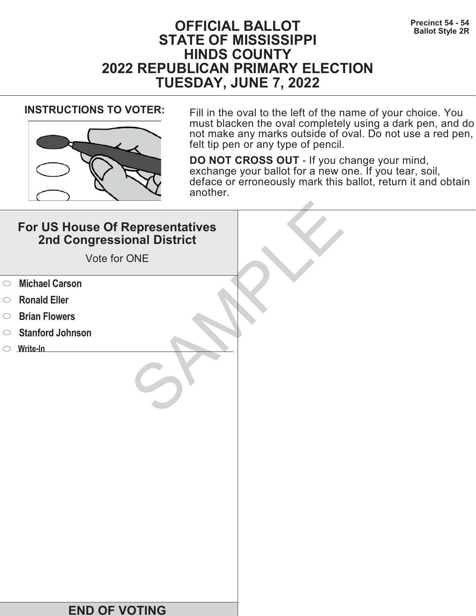# **Precinct 54 - 54**<br>Ballot Style 2R **STATE OF MISSISSIPPI HINDS COUNTY 2022 REPUBLICAN PRIMARY ELECTION TUESDAY, JUNE 7, 2022**



**INSTRUCTIONS TO VOTER:** Fill in the oval to the left of the name of your choice. You must blacken the oval completely using a dark pen, and do not make any marks outside of oval. Do not use a red pen, felt tip pen or any type of pencil.

|            | For US House Of Representatives<br>2nd Congressional District<br>Vote for ONE |  |
|------------|-------------------------------------------------------------------------------|--|
| $\circ$    | <b>Michael Carson</b>                                                         |  |
| $\circ$    | <b>Ronald Eller</b>                                                           |  |
| $\bigcirc$ | <b>Brian Flowers</b>                                                          |  |
| $\bigcirc$ | <b>Stanford Johnson</b>                                                       |  |
|            | $\circ$ Write-In                                                              |  |
|            |                                                                               |  |
|            | <b>END OF VOTING</b>                                                          |  |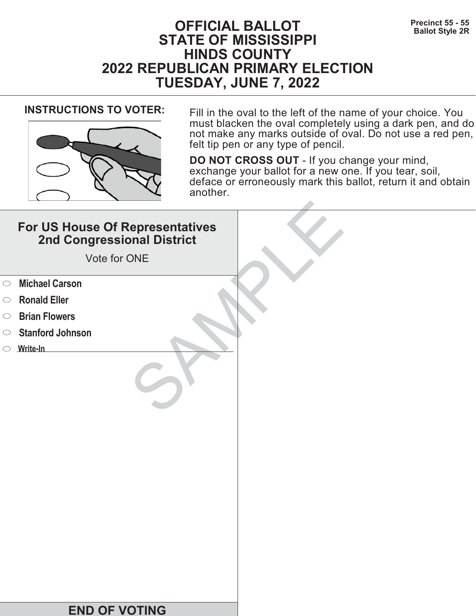# **Precinct 55 - 55**<br>Ballot Style 2R **STATE OF MISSISSIPPI HINDS COUNTY 2022 REPUBLICAN PRIMARY ELECTION TUESDAY, JUNE 7, 2022**



**INSTRUCTIONS TO VOTER:** Fill in the oval to the left of the name of your choice. You must blacken the oval completely using a dark pen, and do not make any marks outside of oval. Do not use a red pen, felt tip pen or any type of pencil.

|            | For US House Of Representatives<br>2nd Congressional District<br>Vote for ONE |  |
|------------|-------------------------------------------------------------------------------|--|
| $\circ$    | <b>Michael Carson</b>                                                         |  |
| $\circ$    | <b>Ronald Eller</b>                                                           |  |
| $\bigcirc$ | <b>Brian Flowers</b>                                                          |  |
| $\bigcirc$ | <b>Stanford Johnson</b>                                                       |  |
|            | $\circ$ Write-In                                                              |  |
|            |                                                                               |  |
|            | <b>END OF VOTING</b>                                                          |  |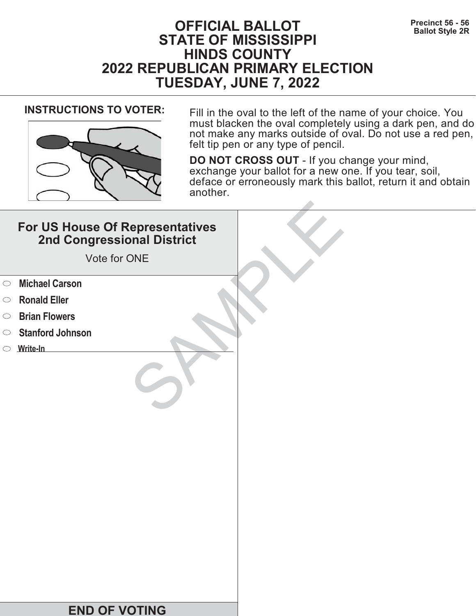# **Precinct 56 - 56**<br>Ballot Style 2R **STATE OF MISSISSIPPI HINDS COUNTY 2022 REPUBLICAN PRIMARY ELECTION TUESDAY, JUNE 7, 2022**



**INSTRUCTIONS TO VOTER:** Fill in the oval to the left of the name of your choice. You must blacken the oval completely using a dark pen, and do not make any marks outside of oval. Do not use a red pen, felt tip pen or any type of pencil.

|            | For US House Of Representatives<br>2nd Congressional District<br>Vote for ONE |  |
|------------|-------------------------------------------------------------------------------|--|
| $\circ$    | <b>Michael Carson</b>                                                         |  |
| $\circ$    | <b>Ronald Eller</b>                                                           |  |
| $\bigcirc$ | <b>Brian Flowers</b>                                                          |  |
| $\circ$    | <b>Stanford Johnson</b>                                                       |  |
|            | $\circ$ Write-In                                                              |  |
|            |                                                                               |  |
|            | <b>END OF VOTING</b>                                                          |  |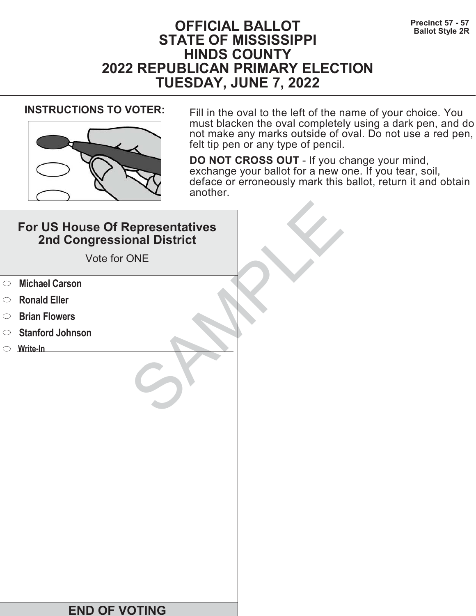# **Precinct 57 - 57**<br>Ballot Style 2R **STATE OF MISSISSIPPI HINDS COUNTY 2022 REPUBLICAN PRIMARY ELECTION TUESDAY, JUNE 7, 2022**



**INSTRUCTIONS TO VOTER:** Fill in the oval to the left of the name of your choice. You must blacken the oval completely using a dark pen, and do not make any marks outside of oval. Do not use a red pen, felt tip pen or any type of pencil.

|            | For US House Of Representatives<br>2nd Congressional District<br>Vote for ONE |  |
|------------|-------------------------------------------------------------------------------|--|
| $\circ$    | <b>Michael Carson</b>                                                         |  |
| $\circ$    | <b>Ronald Eller</b>                                                           |  |
| $\bigcirc$ | <b>Brian Flowers</b>                                                          |  |
| $\bigcirc$ | <b>Stanford Johnson</b>                                                       |  |
|            | $\circ$ Write-In                                                              |  |
|            |                                                                               |  |
|            | <b>END OF VOTING</b>                                                          |  |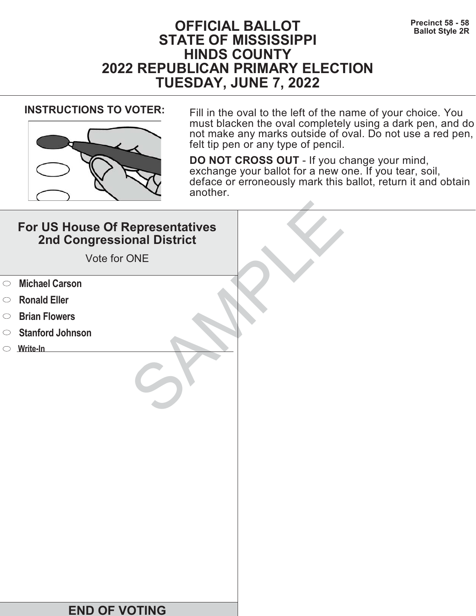# **PFICIAL BALLOT** Precinct 58 - 58<br>Ballot Style 2R **STATE OF MISSISSIPPI HINDS COUNTY 2022 REPUBLICAN PRIMARY ELECTION TUESDAY, JUNE 7, 2022**



**INSTRUCTIONS TO VOTER:** Fill in the oval to the left of the name of your choice. You must blacken the oval completely using a dark pen, and do not make any marks outside of oval. Do not use a red pen, felt tip pen or any type of pencil.

|            | For US House Of Representatives<br>2nd Congressional District<br>Vote for ONE |  |
|------------|-------------------------------------------------------------------------------|--|
| $\circ$    | <b>Michael Carson</b>                                                         |  |
| $\circ$    | <b>Ronald Eller</b>                                                           |  |
| $\bigcirc$ | <b>Brian Flowers</b>                                                          |  |
| $\circ$    | <b>Stanford Johnson</b>                                                       |  |
|            | $\circ$ Write-In                                                              |  |
|            |                                                                               |  |
|            | <b>END OF VOTING</b>                                                          |  |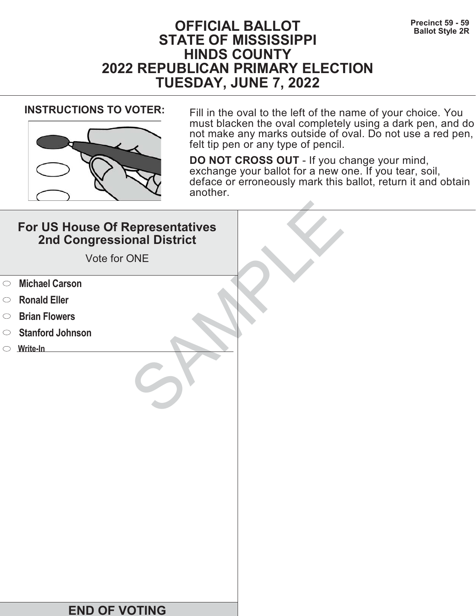# **PFICIAL BALLOT** Precinct 59 - 59<br>Ballot Style 2R **STATE OF MISSISSIPPI HINDS COUNTY 2022 REPUBLICAN PRIMARY ELECTION TUESDAY, JUNE 7, 2022**



**INSTRUCTIONS TO VOTER:** Fill in the oval to the left of the name of your choice. You must blacken the oval completely using a dark pen, and do not make any marks outside of oval. Do not use a red pen, felt tip pen or any type of pencil.

|            | For US House Of Representatives<br>2nd Congressional District<br>Vote for ONE |  |
|------------|-------------------------------------------------------------------------------|--|
| $\circ$    | <b>Michael Carson</b>                                                         |  |
| $\circ$    | <b>Ronald Eller</b>                                                           |  |
| $\bigcirc$ | <b>Brian Flowers</b>                                                          |  |
| $\circ$    | <b>Stanford Johnson</b>                                                       |  |
|            | $\circ$ Write-In                                                              |  |
|            |                                                                               |  |
|            | <b>END OF VOTING</b>                                                          |  |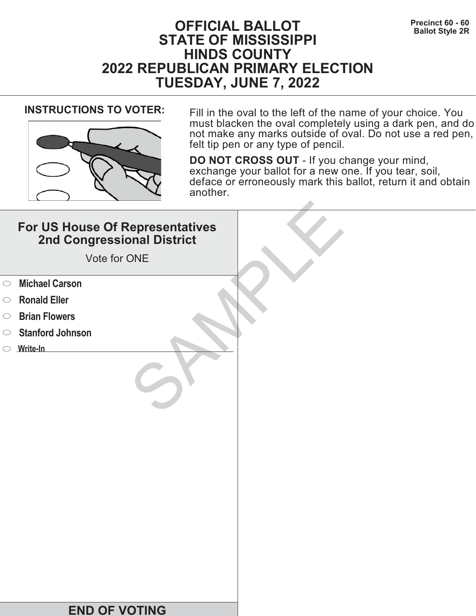# **Precinct 60 - 60**<br>Ballot Style 2R **STATE OF MISSISSIPPI HINDS COUNTY 2022 REPUBLICAN PRIMARY ELECTION TUESDAY, JUNE 7, 2022**



**INSTRUCTIONS TO VOTER:** Fill in the oval to the left of the name of your choice. You must blacken the oval completely using a dark pen, and do not make any marks outside of oval. Do not use a red pen, felt tip pen or any type of pencil.

|            | For US House Of Representatives<br>2nd Congressional District<br>Vote for ONE |  |
|------------|-------------------------------------------------------------------------------|--|
| $\circ$    | <b>Michael Carson</b>                                                         |  |
| $\circ$    | <b>Ronald Eller</b>                                                           |  |
| $\bigcirc$ | <b>Brian Flowers</b>                                                          |  |
| $\bigcirc$ | <b>Stanford Johnson</b>                                                       |  |
|            | $\circ$ Write-In                                                              |  |
|            |                                                                               |  |
|            | <b>END OF VOTING</b>                                                          |  |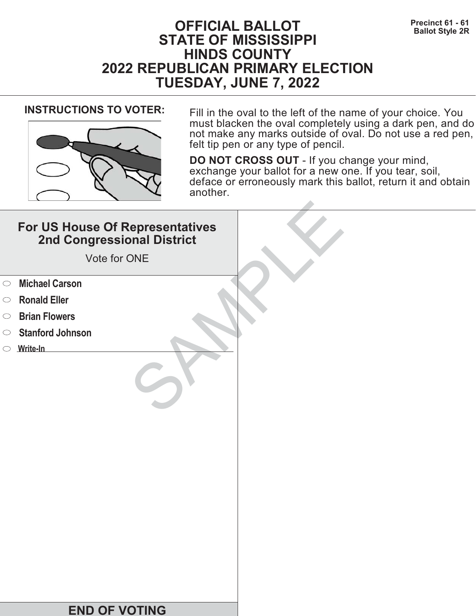# **Precinct 61 - 61**<br>Ballot Style 2R **STATE OF MISSISSIPPI HINDS COUNTY 2022 REPUBLICAN PRIMARY ELECTION TUESDAY, JUNE 7, 2022**



**INSTRUCTIONS TO VOTER:** Fill in the oval to the left of the name of your choice. You must blacken the oval completely using a dark pen, and do not make any marks outside of oval. Do not use a red pen, felt tip pen or any type of pencil.

|            | For US House Of Representatives<br>2nd Congressional District<br>Vote for ONE |  |
|------------|-------------------------------------------------------------------------------|--|
| $\circ$    | <b>Michael Carson</b>                                                         |  |
| $\circ$    | <b>Ronald Eller</b>                                                           |  |
| $\bigcirc$ | <b>Brian Flowers</b>                                                          |  |
| $\bigcirc$ | <b>Stanford Johnson</b>                                                       |  |
|            | $\circ$ Write-In                                                              |  |
|            |                                                                               |  |
|            | <b>END OF VOTING</b>                                                          |  |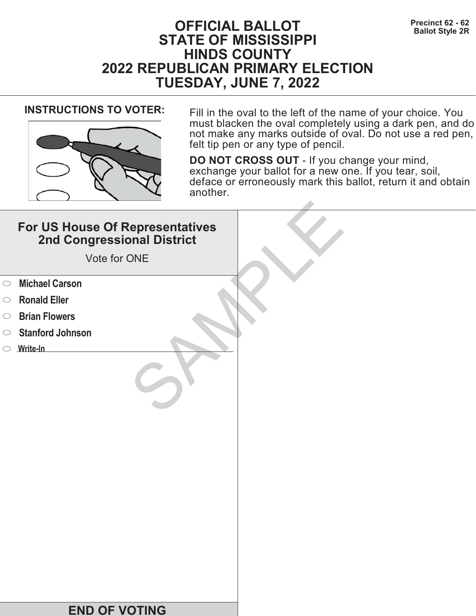# **Precinct 62 - 62**<br>Ballot Style 2R **STATE OF MISSISSIPPI HINDS COUNTY 2022 REPUBLICAN PRIMARY ELECTION TUESDAY, JUNE 7, 2022**



**INSTRUCTIONS TO VOTER:** Fill in the oval to the left of the name of your choice. You must blacken the oval completely using a dark pen, and do not make any marks outside of oval. Do not use a red pen, felt tip pen or any type of pencil.

|            | For US House Of Representatives<br>2nd Congressional District<br>Vote for ONE |  |
|------------|-------------------------------------------------------------------------------|--|
| $\circ$    | <b>Michael Carson</b>                                                         |  |
| $\circ$    | <b>Ronald Eller</b>                                                           |  |
| $\bigcirc$ | <b>Brian Flowers</b>                                                          |  |
| $\bigcirc$ | <b>Stanford Johnson</b>                                                       |  |
|            | $\circ$ Write-In                                                              |  |
|            |                                                                               |  |
|            | <b>END OF VOTING</b>                                                          |  |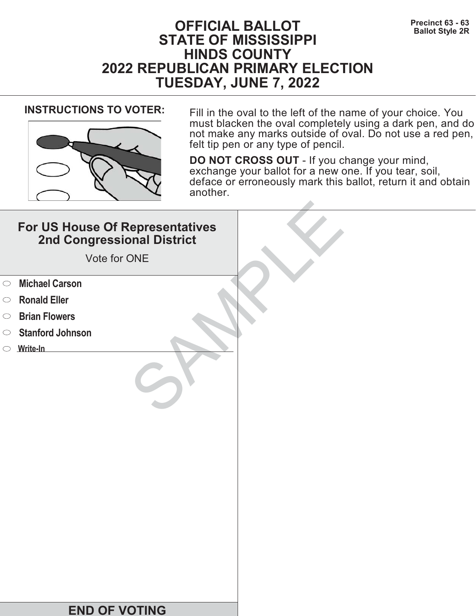# **Precinct 63 - 63**<br>Ballot Style 2R **STATE OF MISSISSIPPI HINDS COUNTY 2022 REPUBLICAN PRIMARY ELECTION TUESDAY, JUNE 7, 2022**



**INSTRUCTIONS TO VOTER:** Fill in the oval to the left of the name of your choice. You must blacken the oval completely using a dark pen, and do not make any marks outside of oval. Do not use a red pen, felt tip pen or any type of pencil.

|            | For US House Of Representatives<br>2nd Congressional District<br>Vote for ONE |  |
|------------|-------------------------------------------------------------------------------|--|
| $\circ$    | <b>Michael Carson</b>                                                         |  |
| $\circ$    | <b>Ronald Eller</b>                                                           |  |
| $\bigcirc$ | <b>Brian Flowers</b>                                                          |  |
| $\bigcirc$ | <b>Stanford Johnson</b>                                                       |  |
|            | $\circ$ Write-In                                                              |  |
|            |                                                                               |  |
|            | <b>END OF VOTING</b>                                                          |  |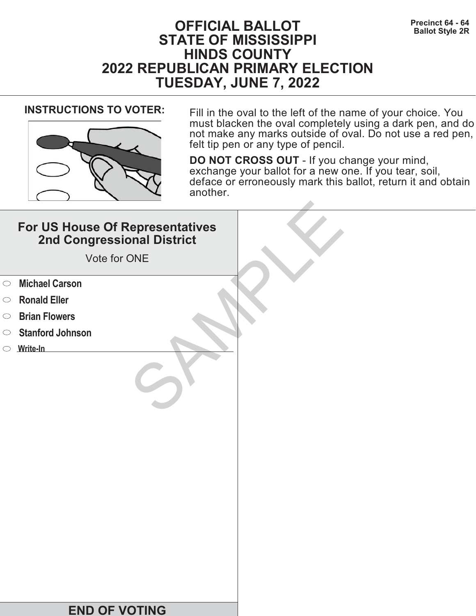# **Precinct 64 - 64**<br>Ballot Style 2R **STATE OF MISSISSIPPI HINDS COUNTY 2022 REPUBLICAN PRIMARY ELECTION TUESDAY, JUNE 7, 2022**



**INSTRUCTIONS TO VOTER:** Fill in the oval to the left of the name of your choice. You must blacken the oval completely using a dark pen, and do not make any marks outside of oval. Do not use a red pen, felt tip pen or any type of pencil.

|            | For US House Of Representatives<br>2nd Congressional District<br>Vote for ONE |  |
|------------|-------------------------------------------------------------------------------|--|
| $\circ$    | <b>Michael Carson</b>                                                         |  |
| $\circ$    | <b>Ronald Eller</b>                                                           |  |
| $\bigcirc$ | <b>Brian Flowers</b>                                                          |  |
| $\bigcirc$ | <b>Stanford Johnson</b>                                                       |  |
|            | $\circ$ Write-In                                                              |  |
|            |                                                                               |  |
|            | <b>END OF VOTING</b>                                                          |  |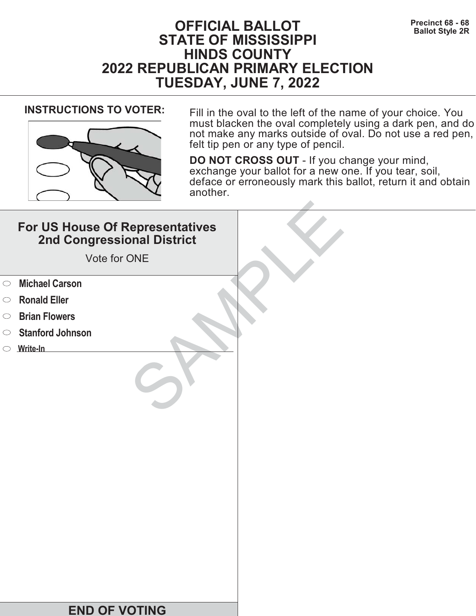# **Precinct 68 - 68**<br>Ballot Style 2R **STATE OF MISSISSIPPI HINDS COUNTY 2022 REPUBLICAN PRIMARY ELECTION TUESDAY, JUNE 7, 2022**



**INSTRUCTIONS TO VOTER:** Fill in the oval to the left of the name of your choice. You must blacken the oval completely using a dark pen, and do not make any marks outside of oval. Do not use a red pen, felt tip pen or any type of pencil.

|            | For US House Of Representatives<br>2nd Congressional District<br>Vote for ONE |  |
|------------|-------------------------------------------------------------------------------|--|
| $\circ$    | <b>Michael Carson</b>                                                         |  |
| $\circ$    | <b>Ronald Eller</b>                                                           |  |
| $\bigcirc$ | <b>Brian Flowers</b>                                                          |  |
| $\circ$    | <b>Stanford Johnson</b>                                                       |  |
|            | $\circ$ Write-In                                                              |  |
|            |                                                                               |  |
|            | <b>END OF VOTING</b>                                                          |  |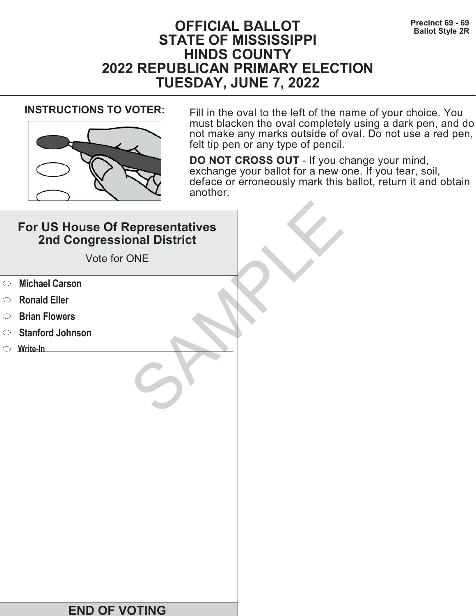# **Precinct 69 - 69**<br>Ballot Style 2R **STATE OF MISSISSIPPI HINDS COUNTY 2022 REPUBLICAN PRIMARY ELECTION TUESDAY, JUNE 7, 2022**



**INSTRUCTIONS TO VOTER:** Fill in the oval to the left of the name of your choice. You must blacken the oval completely using a dark pen, and do not make any marks outside of oval. Do not use a red pen, felt tip pen or any type of pencil.

|            | For US House Of Representatives<br>2nd Congressional District<br>Vote for ONE |  |
|------------|-------------------------------------------------------------------------------|--|
| $\circ$    | <b>Michael Carson</b>                                                         |  |
| $\circ$    | <b>Ronald Eller</b>                                                           |  |
| $\bigcirc$ | <b>Brian Flowers</b>                                                          |  |
| $\bigcirc$ | <b>Stanford Johnson</b>                                                       |  |
|            | $\circ$ Write-In                                                              |  |
|            |                                                                               |  |
|            | <b>END OF VOTING</b>                                                          |  |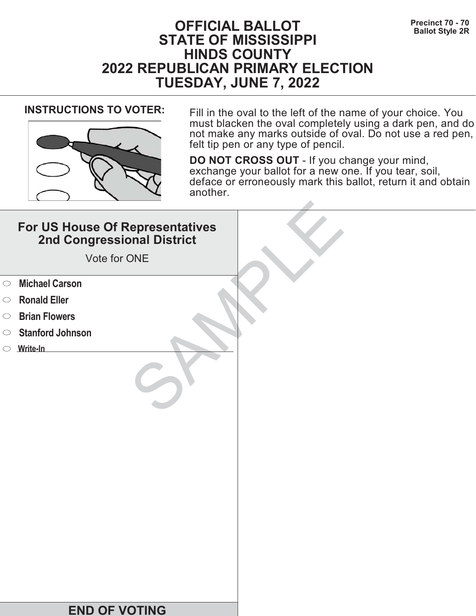# **Precinct 70 - 70**<br>Ballot Style 2R **STATE OF MISSISSIPPI HINDS COUNTY 2022 REPUBLICAN PRIMARY ELECTION TUESDAY, JUNE 7, 2022**



**INSTRUCTIONS TO VOTER:** Fill in the oval to the left of the name of your choice. You must blacken the oval completely using a dark pen, and do not make any marks outside of oval. Do not use a red pen, felt tip pen or any type of pencil.

|            | For US House Of Representatives<br>2nd Congressional District<br>Vote for ONE |  |
|------------|-------------------------------------------------------------------------------|--|
| $\circ$    | <b>Michael Carson</b>                                                         |  |
| $\circ$    | <b>Ronald Eller</b>                                                           |  |
| $\bigcirc$ | <b>Brian Flowers</b>                                                          |  |
| $\bigcirc$ | <b>Stanford Johnson</b>                                                       |  |
|            | $\circ$ Write-In                                                              |  |
|            |                                                                               |  |
|            | <b>END OF VOTING</b>                                                          |  |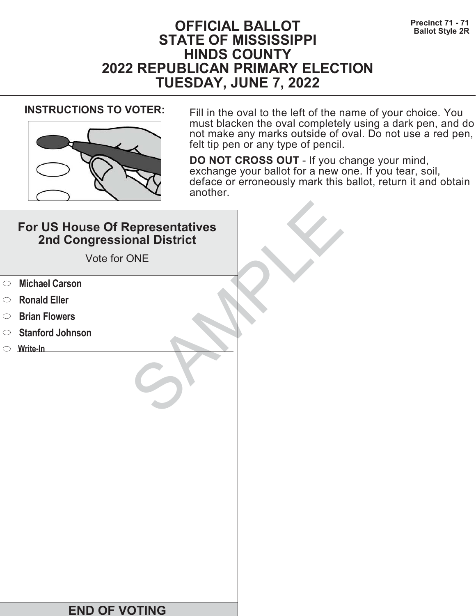# **Precinct 71 - 71 Precinct 71 - 71 Ballot Style 2R STATE OF MISSISSIPPI HINDS COUNTY 2022 REPUBLICAN PRIMARY ELECTION TUESDAY, JUNE 7, 2022**



**INSTRUCTIONS TO VOTER:** Fill in the oval to the left of the name of your choice. You must blacken the oval completely using a dark pen, and do not make any marks outside of oval. Do not use a red pen, felt tip pen or any type of pencil.

|            | For US House Of Representatives<br>2nd Congressional District<br>Vote for ONE |  |
|------------|-------------------------------------------------------------------------------|--|
| $\circ$    | <b>Michael Carson</b>                                                         |  |
| $\circ$    | <b>Ronald Eller</b>                                                           |  |
| $\bigcirc$ | <b>Brian Flowers</b>                                                          |  |
| $\circ$    | <b>Stanford Johnson</b>                                                       |  |
|            | $\circ$ Write-In                                                              |  |
|            |                                                                               |  |
|            | <b>END OF VOTING</b>                                                          |  |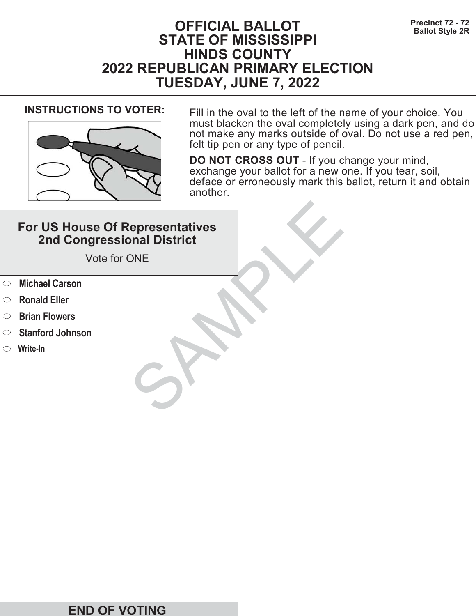# **Precinct 72 - 72**<br>Ballot Style 2R **STATE OF MISSISSIPPI HINDS COUNTY 2022 REPUBLICAN PRIMARY ELECTION TUESDAY, JUNE 7, 2022**



**INSTRUCTIONS TO VOTER:** Fill in the oval to the left of the name of your choice. You must blacken the oval completely using a dark pen, and do not make any marks outside of oval. Do not use a red pen, felt tip pen or any type of pencil.

|            | For US House Of Representatives<br>2nd Congressional District<br>Vote for ONE |  |
|------------|-------------------------------------------------------------------------------|--|
| $\circ$    | <b>Michael Carson</b>                                                         |  |
| $\circ$    | <b>Ronald Eller</b>                                                           |  |
| $\bigcirc$ | <b>Brian Flowers</b>                                                          |  |
| $\bigcirc$ | <b>Stanford Johnson</b>                                                       |  |
|            | $\circ$ Write-In                                                              |  |
|            |                                                                               |  |
|            | <b>END OF VOTING</b>                                                          |  |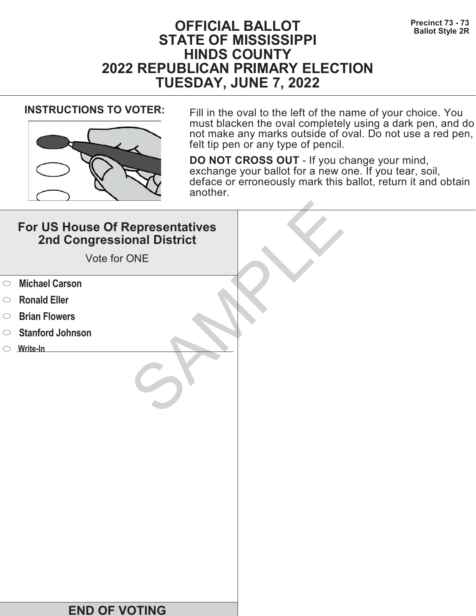# **Precinct 73 - 73**<br>Ballot Style 2R **STATE OF MISSISSIPPI HINDS COUNTY 2022 REPUBLICAN PRIMARY ELECTION TUESDAY, JUNE 7, 2022**



**INSTRUCTIONS TO VOTER:** Fill in the oval to the left of the name of your choice. You must blacken the oval completely using a dark pen, and do not make any marks outside of oval. Do not use a red pen, felt tip pen or any type of pencil.

|            | For US House Of Representatives<br>2nd Congressional District<br>Vote for ONE |  |
|------------|-------------------------------------------------------------------------------|--|
| $\circ$    | <b>Michael Carson</b>                                                         |  |
| $\circ$    | <b>Ronald Eller</b>                                                           |  |
| $\bigcirc$ | <b>Brian Flowers</b>                                                          |  |
| $\bigcirc$ | <b>Stanford Johnson</b>                                                       |  |
|            | $\circ$ Write-In                                                              |  |
|            |                                                                               |  |
|            | <b>END OF VOTING</b>                                                          |  |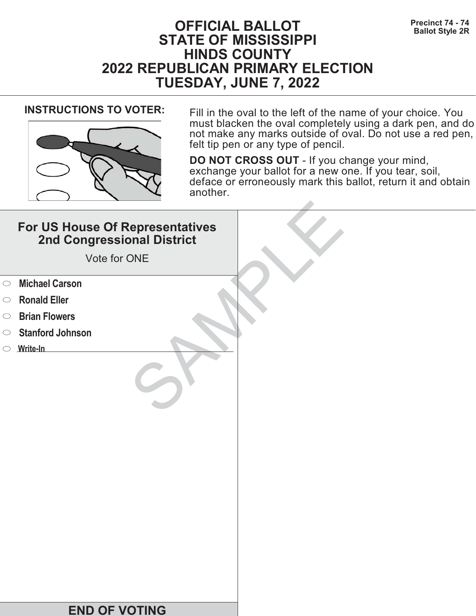# **Precinct 74 - 74 Precinct 74 - 74 Ballot Style 2R STATE OF MISSISSIPPI HINDS COUNTY 2022 REPUBLICAN PRIMARY ELECTION TUESDAY, JUNE 7, 2022**



**INSTRUCTIONS TO VOTER:** Fill in the oval to the left of the name of your choice. You must blacken the oval completely using a dark pen, and do not make any marks outside of oval. Do not use a red pen, felt tip pen or any type of pencil.

|            | For US House Of Representatives<br>2nd Congressional District<br>Vote for ONE |  |
|------------|-------------------------------------------------------------------------------|--|
| $\circ$    | <b>Michael Carson</b>                                                         |  |
| $\circ$    | <b>Ronald Eller</b>                                                           |  |
| $\bigcirc$ | <b>Brian Flowers</b>                                                          |  |
| $\circ$    | <b>Stanford Johnson</b>                                                       |  |
|            | $\circ$ Write-In                                                              |  |
|            |                                                                               |  |
|            | <b>END OF VOTING</b>                                                          |  |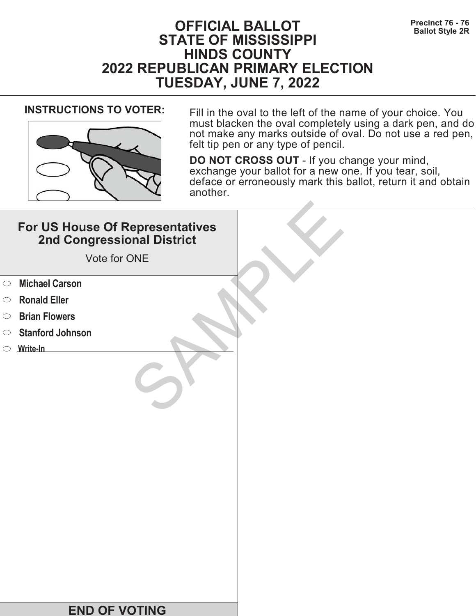# **Precinct 76 - 76 Precinct 76 - 76 Ballot Style 2R STATE OF MISSISSIPPI HINDS COUNTY 2022 REPUBLICAN PRIMARY ELECTION TUESDAY, JUNE 7, 2022**



**INSTRUCTIONS TO VOTER:** Fill in the oval to the left of the name of your choice. You must blacken the oval completely using a dark pen, and do not make any marks outside of oval. Do not use a red pen, felt tip pen or any type of pencil.

|            | For US House Of Representatives<br>2nd Congressional District<br>Vote for ONE |  |
|------------|-------------------------------------------------------------------------------|--|
| $\circ$    | <b>Michael Carson</b>                                                         |  |
| $\circ$    | <b>Ronald Eller</b>                                                           |  |
| $\bigcirc$ | <b>Brian Flowers</b>                                                          |  |
| $\bigcirc$ | <b>Stanford Johnson</b>                                                       |  |
|            | $\circ$ Write-In                                                              |  |
|            |                                                                               |  |
|            | <b>END OF VOTING</b>                                                          |  |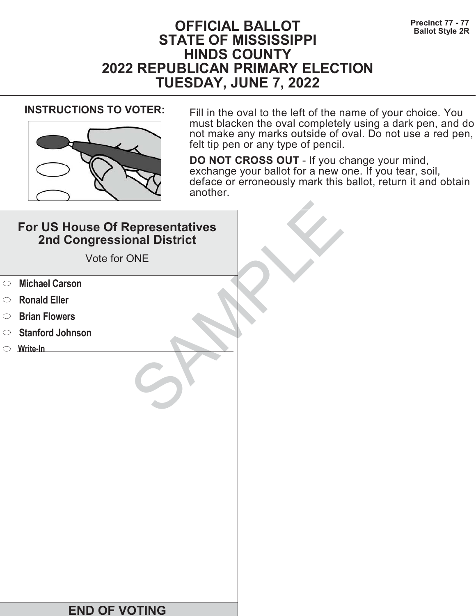# **Precinct 77 - 77**<br>Ballot Style 2R **STATE OF MISSISSIPPI HINDS COUNTY 2022 REPUBLICAN PRIMARY ELECTION TUESDAY, JUNE 7, 2022**



**INSTRUCTIONS TO VOTER:** Fill in the oval to the left of the name of your choice. You must blacken the oval completely using a dark pen, and do not make any marks outside of oval. Do not use a red pen, felt tip pen or any type of pencil.

|            | For US House Of Representatives<br>2nd Congressional District<br>Vote for ONE |  |
|------------|-------------------------------------------------------------------------------|--|
| $\circ$    | <b>Michael Carson</b>                                                         |  |
| $\circ$    | <b>Ronald Eller</b>                                                           |  |
| $\bigcirc$ | <b>Brian Flowers</b>                                                          |  |
| $\bigcirc$ | <b>Stanford Johnson</b>                                                       |  |
|            | $\circ$ Write-In                                                              |  |
|            |                                                                               |  |
|            | <b>END OF VOTING</b>                                                          |  |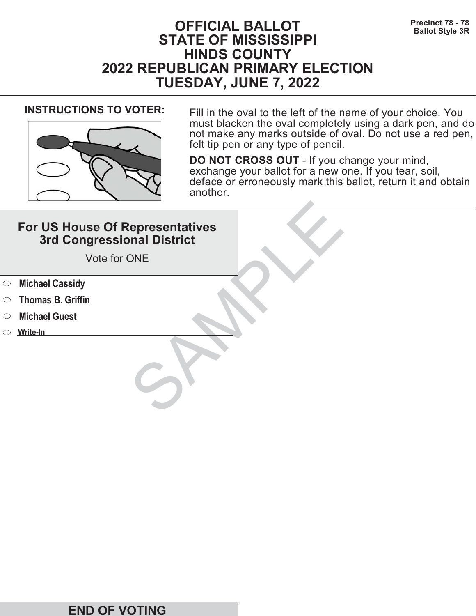# **Precinct 78 - 78**<br>Ballot Style 3R **STATE OF MISSISSIPPI HINDS COUNTY 2022 REPUBLICAN PRIMARY ELECTION TUESDAY, JUNE 7, 2022**



**INSTRUCTIONS TO VOTER:** Fill in the oval to the left of the name of your choice. You must blacken the oval completely using a dark pen, and do not make any marks outside of oval. Do not use a red pen, felt tip pen or any type of pencil.

|            | For US House Of Representatives<br>3rd Congressional District<br>Vote for ONE |  |
|------------|-------------------------------------------------------------------------------|--|
| $\circ$    | <b>Michael Cassidy</b>                                                        |  |
| $\bigcirc$ | <b>Thomas B. Griffin</b>                                                      |  |
| $\bigcirc$ | <b>Michael Guest</b>                                                          |  |
|            | $\circ$ Write-In                                                              |  |
|            | <b>END OF VOTING</b>                                                          |  |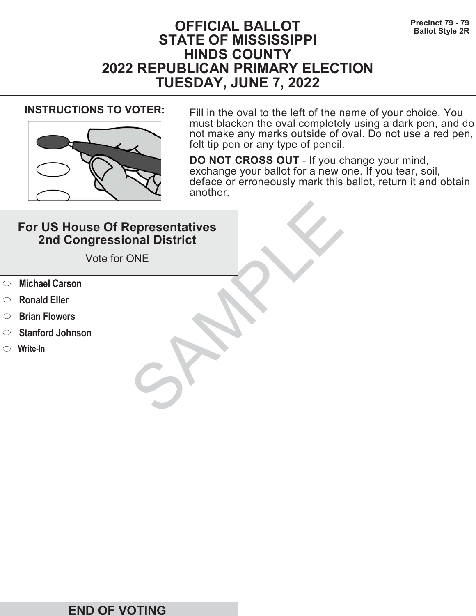# **Precinct 79 - 79**<br>Ballot Style 2R **STATE OF MISSISSIPPI HINDS COUNTY 2022 REPUBLICAN PRIMARY ELECTION TUESDAY, JUNE 7, 2022**



**INSTRUCTIONS TO VOTER:** Fill in the oval to the left of the name of your choice. You must blacken the oval completely using a dark pen, and do not make any marks outside of oval. Do not use a red pen, felt tip pen or any type of pencil.

|            | For US House Of Representatives<br>2nd Congressional District<br>Vote for ONE |  |
|------------|-------------------------------------------------------------------------------|--|
| $\circ$    | <b>Michael Carson</b>                                                         |  |
| $\circ$    | <b>Ronald Eller</b>                                                           |  |
| $\bigcirc$ | <b>Brian Flowers</b>                                                          |  |
| $\bigcirc$ | <b>Stanford Johnson</b>                                                       |  |
|            | $\circ$ Write-In                                                              |  |
|            |                                                                               |  |
|            | <b>END OF VOTING</b>                                                          |  |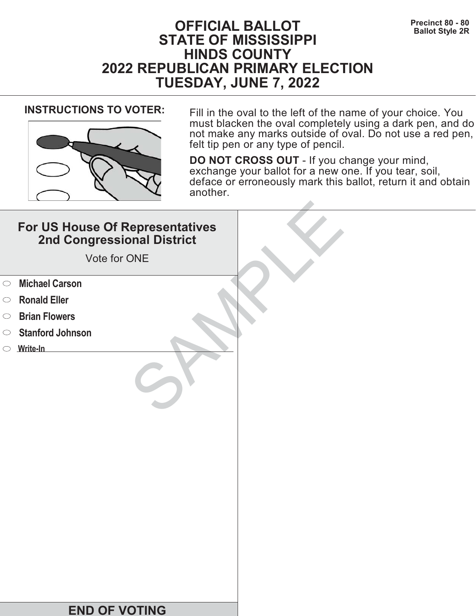# **Precinct 80 - 80 Precinct 80 - 80 Ballot Style 2R STATE OF MISSISSIPPI HINDS COUNTY 2022 REPUBLICAN PRIMARY ELECTION TUESDAY, JUNE 7, 2022**



**INSTRUCTIONS TO VOTER:** Fill in the oval to the left of the name of your choice. You must blacken the oval completely using a dark pen, and do not make any marks outside of oval. Do not use a red pen, felt tip pen or any type of pencil.

|            | For US House Of Representatives<br>2nd Congressional District<br>Vote for ONE |  |
|------------|-------------------------------------------------------------------------------|--|
| $\circ$    | <b>Michael Carson</b>                                                         |  |
| $\circ$    | <b>Ronald Eller</b>                                                           |  |
| $\bigcirc$ | <b>Brian Flowers</b>                                                          |  |
| $\circ$    | <b>Stanford Johnson</b>                                                       |  |
|            | $\circ$ Write-In                                                              |  |
|            |                                                                               |  |
|            | <b>END OF VOTING</b>                                                          |  |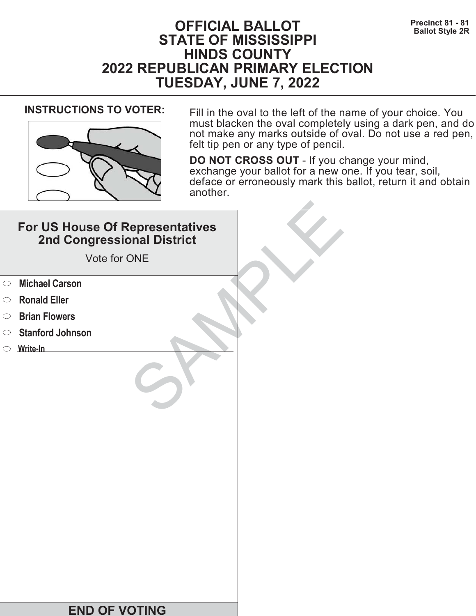# **Precinct 81 - 81**<br>Ballot Style 2R **STATE OF MISSISSIPPI HINDS COUNTY 2022 REPUBLICAN PRIMARY ELECTION TUESDAY, JUNE 7, 2022**



**INSTRUCTIONS TO VOTER:** Fill in the oval to the left of the name of your choice. You must blacken the oval completely using a dark pen, and do not make any marks outside of oval. Do not use a red pen, felt tip pen or any type of pencil.

|            | For US House Of Representatives<br>2nd Congressional District<br>Vote for ONE |  |
|------------|-------------------------------------------------------------------------------|--|
| $\circ$    | <b>Michael Carson</b>                                                         |  |
| $\circ$    | <b>Ronald Eller</b>                                                           |  |
| $\bigcirc$ | <b>Brian Flowers</b>                                                          |  |
| $\bigcirc$ | <b>Stanford Johnson</b>                                                       |  |
|            | $\circ$ Write-In                                                              |  |
|            |                                                                               |  |
|            | <b>END OF VOTING</b>                                                          |  |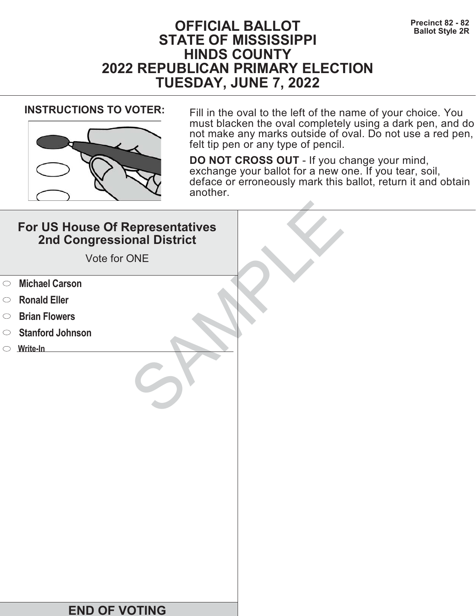# **Precinct 82 - 82**<br>Ballot Style 2R **STATE OF MISSISSIPPI HINDS COUNTY 2022 REPUBLICAN PRIMARY ELECTION TUESDAY, JUNE 7, 2022**



**INSTRUCTIONS TO VOTER:** Fill in the oval to the left of the name of your choice. You must blacken the oval completely using a dark pen, and do not make any marks outside of oval. Do not use a red pen, felt tip pen or any type of pencil.

|            | For US House Of Representatives<br>2nd Congressional District<br>Vote for ONE |  |
|------------|-------------------------------------------------------------------------------|--|
| $\circ$    | <b>Michael Carson</b>                                                         |  |
| $\circ$    | <b>Ronald Eller</b>                                                           |  |
| $\bigcirc$ | <b>Brian Flowers</b>                                                          |  |
| $\bigcirc$ | <b>Stanford Johnson</b>                                                       |  |
|            | $\circ$ Write-In                                                              |  |
|            |                                                                               |  |
|            | <b>END OF VOTING</b>                                                          |  |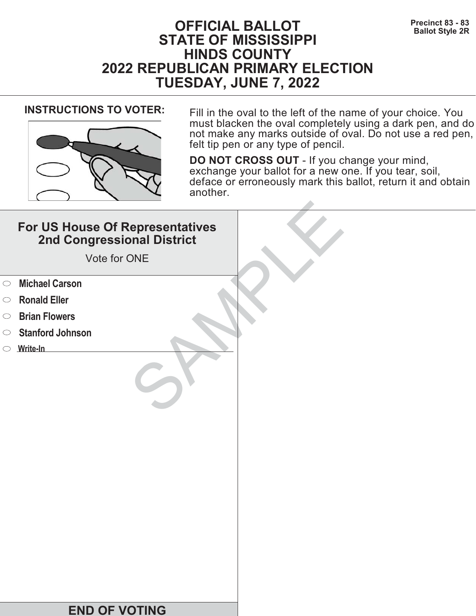# **Precinct 83 - 83**<br>Ballot Style 2R **STATE OF MISSISSIPPI HINDS COUNTY 2022 REPUBLICAN PRIMARY ELECTION TUESDAY, JUNE 7, 2022**



**INSTRUCTIONS TO VOTER:** Fill in the oval to the left of the name of your choice. You must blacken the oval completely using a dark pen, and do not make any marks outside of oval. Do not use a red pen, felt tip pen or any type of pencil.

|            | For US House Of Representatives<br>2nd Congressional District<br>Vote for ONE |  |
|------------|-------------------------------------------------------------------------------|--|
| $\circ$    | <b>Michael Carson</b>                                                         |  |
| $\circ$    | <b>Ronald Eller</b>                                                           |  |
| $\bigcirc$ | <b>Brian Flowers</b>                                                          |  |
| $\bigcirc$ | <b>Stanford Johnson</b>                                                       |  |
|            | $\circ$ Write-In                                                              |  |
|            |                                                                               |  |
|            | <b>END OF VOTING</b>                                                          |  |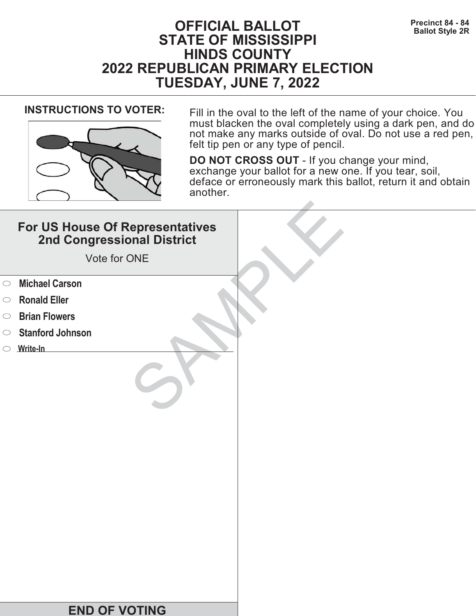# **Precinct 84 - 84 Precinct 84 - 84 Ballot Style 2R STATE OF MISSISSIPPI HINDS COUNTY 2022 REPUBLICAN PRIMARY ELECTION TUESDAY, JUNE 7, 2022**



**INSTRUCTIONS TO VOTER:** Fill in the oval to the left of the name of your choice. You must blacken the oval completely using a dark pen, and do not make any marks outside of oval. Do not use a red pen, felt tip pen or any type of pencil.

|            | For US House Of Representatives<br>2nd Congressional District<br>Vote for ONE |  |
|------------|-------------------------------------------------------------------------------|--|
| $\circ$    | <b>Michael Carson</b>                                                         |  |
| $\circ$    | <b>Ronald Eller</b>                                                           |  |
| $\bigcirc$ | <b>Brian Flowers</b>                                                          |  |
| $\circ$    | <b>Stanford Johnson</b>                                                       |  |
|            | $\circ$ Write-In                                                              |  |
|            |                                                                               |  |
|            | <b>END OF VOTING</b>                                                          |  |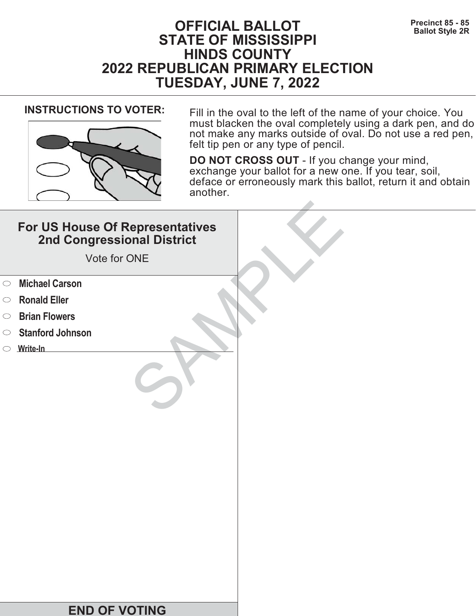# **Precinct 85 - 85**<br>Ballot Style 2R **STATE OF MISSISSIPPI HINDS COUNTY 2022 REPUBLICAN PRIMARY ELECTION TUESDAY, JUNE 7, 2022**



**INSTRUCTIONS TO VOTER:** Fill in the oval to the left of the name of your choice. You must blacken the oval completely using a dark pen, and do not make any marks outside of oval. Do not use a red pen, felt tip pen or any type of pencil.

|            | For US House Of Representatives<br>2nd Congressional District<br>Vote for ONE |  |
|------------|-------------------------------------------------------------------------------|--|
| $\circ$    | <b>Michael Carson</b>                                                         |  |
| $\circ$    | <b>Ronald Eller</b>                                                           |  |
| $\bigcirc$ | <b>Brian Flowers</b>                                                          |  |
| $\bigcirc$ | <b>Stanford Johnson</b>                                                       |  |
|            | $\circ$ Write-In                                                              |  |
|            |                                                                               |  |
|            | <b>END OF VOTING</b>                                                          |  |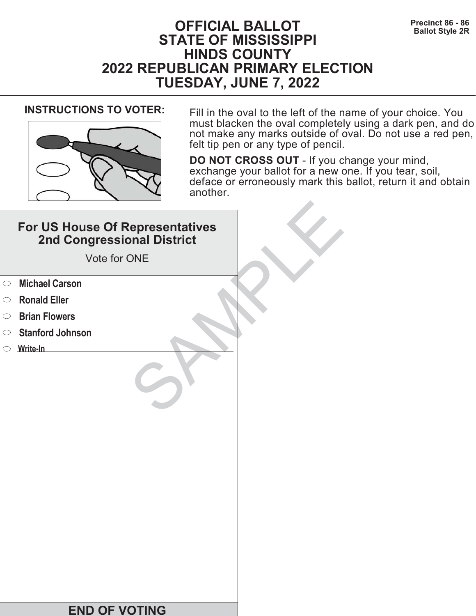# **Precinct 86 - 86 Precinct 86 - 86 Ballot Style 2R STATE OF MISSISSIPPI HINDS COUNTY 2022 REPUBLICAN PRIMARY ELECTION TUESDAY, JUNE 7, 2022**



**INSTRUCTIONS TO VOTER:** Fill in the oval to the left of the name of your choice. You must blacken the oval completely using a dark pen, and do not make any marks outside of oval. Do not use a red pen, felt tip pen or any type of pencil.

|            | For US House Of Representatives<br>2nd Congressional District<br>Vote for ONE |  |
|------------|-------------------------------------------------------------------------------|--|
| $\circ$    | <b>Michael Carson</b>                                                         |  |
| $\circ$    | <b>Ronald Eller</b>                                                           |  |
| $\bigcirc$ | <b>Brian Flowers</b>                                                          |  |
| $\circ$    | <b>Stanford Johnson</b>                                                       |  |
|            | $\circ$ Write-In                                                              |  |
|            |                                                                               |  |
|            | <b>END OF VOTING</b>                                                          |  |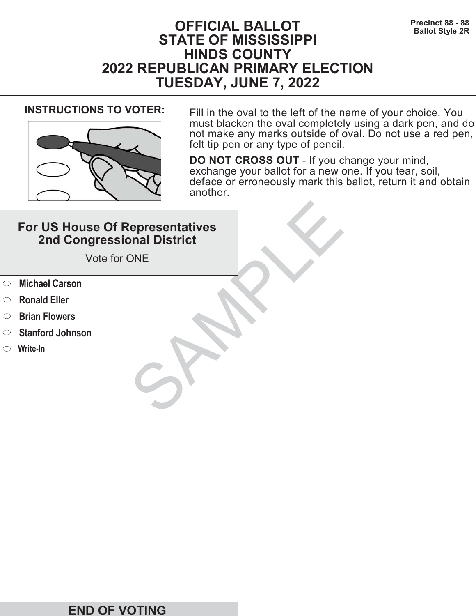# **PFICIAL BALLOT** Precinct 88 - 88<br>Ballot Style 2R **STATE OF MISSISSIPPI HINDS COUNTY 2022 REPUBLICAN PRIMARY ELECTION TUESDAY, JUNE 7, 2022**



**INSTRUCTIONS TO VOTER:** Fill in the oval to the left of the name of your choice. You must blacken the oval completely using a dark pen, and do not make any marks outside of oval. Do not use a red pen, felt tip pen or any type of pencil.

|            | For US House Of Representatives<br>2nd Congressional District<br>Vote for ONE |  |
|------------|-------------------------------------------------------------------------------|--|
| $\circ$    | <b>Michael Carson</b>                                                         |  |
| $\circ$    | <b>Ronald Eller</b>                                                           |  |
| $\bigcirc$ | <b>Brian Flowers</b>                                                          |  |
| $\circ$    | <b>Stanford Johnson</b>                                                       |  |
|            | $\circ$ Write-In                                                              |  |
|            |                                                                               |  |
|            | <b>END OF VOTING</b>                                                          |  |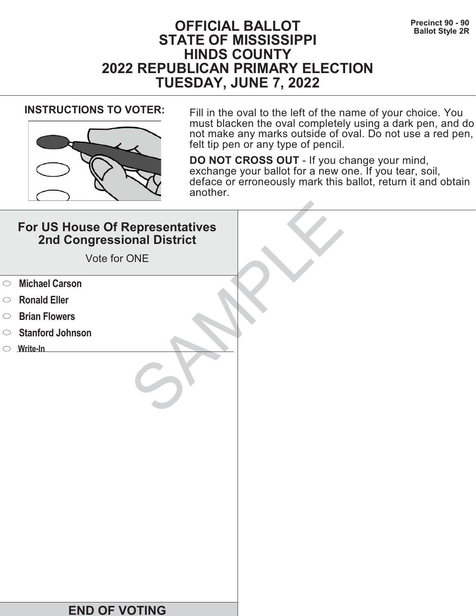# **Precinct 90 - 90**<br>Ballot Style 2R **STATE OF MISSISSIPPI HINDS COUNTY 2022 REPUBLICAN PRIMARY ELECTION TUESDAY, JUNE 7, 2022**



**INSTRUCTIONS TO VOTER:** Fill in the oval to the left of the name of your choice. You must blacken the oval completely using a dark pen, and do not make any marks outside of oval. Do not use a red pen, felt tip pen or any type of pencil.

|            | For US House Of Representatives<br>2nd Congressional District<br>Vote for ONE |  |
|------------|-------------------------------------------------------------------------------|--|
| $\circ$    | <b>Michael Carson</b>                                                         |  |
| $\circ$    | <b>Ronald Eller</b>                                                           |  |
| $\bigcirc$ | <b>Brian Flowers</b>                                                          |  |
| $\circ$    | <b>Stanford Johnson</b>                                                       |  |
|            | $\circ$ Write-In                                                              |  |
|            |                                                                               |  |
|            | <b>END OF VOTING</b>                                                          |  |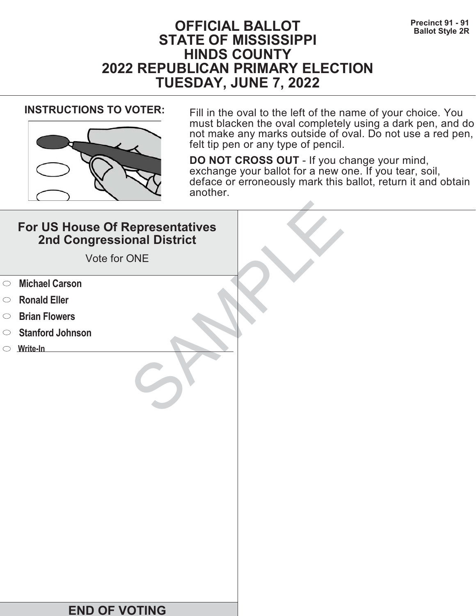# **Precinct 91 - 91**<br>Ballot Style 2R **STATE OF MISSISSIPPI HINDS COUNTY 2022 REPUBLICAN PRIMARY ELECTION TUESDAY, JUNE 7, 2022**



**INSTRUCTIONS TO VOTER:** Fill in the oval to the left of the name of your choice. You must blacken the oval completely using a dark pen, and do not make any marks outside of oval. Do not use a red pen, felt tip pen or any type of pencil.

|            | For US House Of Representatives<br>2nd Congressional District<br>Vote for ONE |  |
|------------|-------------------------------------------------------------------------------|--|
| $\circ$    | <b>Michael Carson</b>                                                         |  |
| $\circ$    | <b>Ronald Eller</b>                                                           |  |
| $\bigcirc$ | <b>Brian Flowers</b>                                                          |  |
| $\circ$    | <b>Stanford Johnson</b>                                                       |  |
|            | $\circ$ Write-In                                                              |  |
|            |                                                                               |  |
|            | <b>END OF VOTING</b>                                                          |  |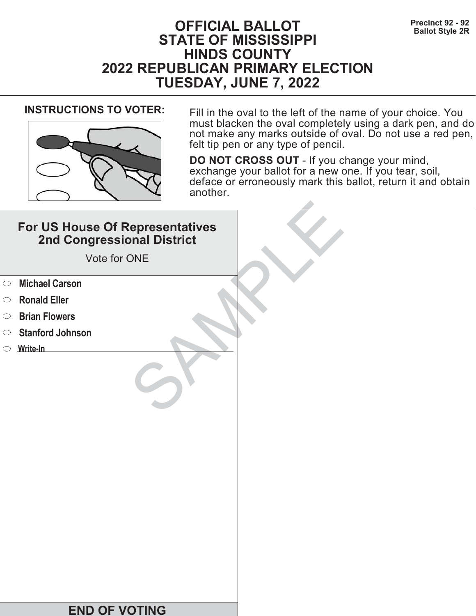# **Precinct 92 - 92**<br>Ballot Style 2R **STATE OF MISSISSIPPI HINDS COUNTY 2022 REPUBLICAN PRIMARY ELECTION TUESDAY, JUNE 7, 2022**



**INSTRUCTIONS TO VOTER:** Fill in the oval to the left of the name of your choice. You must blacken the oval completely using a dark pen, and do not make any marks outside of oval. Do not use a red pen, felt tip pen or any type of pencil.

|            | For US House Of Representatives<br>2nd Congressional District<br>Vote for ONE |  |
|------------|-------------------------------------------------------------------------------|--|
| $\circ$    | <b>Michael Carson</b>                                                         |  |
| $\circ$    | <b>Ronald Eller</b>                                                           |  |
| $\bigcirc$ | <b>Brian Flowers</b>                                                          |  |
| $\circ$    | <b>Stanford Johnson</b>                                                       |  |
|            | $\circ$ Write-In                                                              |  |
|            |                                                                               |  |
|            | <b>END OF VOTING</b>                                                          |  |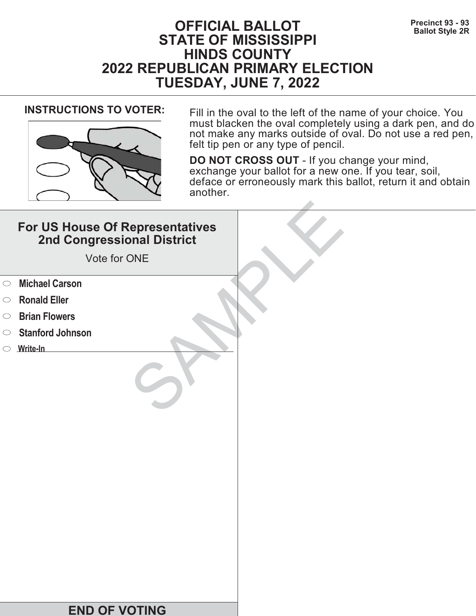# **Precinct 93 - 93**<br>Ballot Style 2R **STATE OF MISSISSIPPI HINDS COUNTY 2022 REPUBLICAN PRIMARY ELECTION TUESDAY, JUNE 7, 2022**



**INSTRUCTIONS TO VOTER:** Fill in the oval to the left of the name of your choice. You must blacken the oval completely using a dark pen, and do not make any marks outside of oval. Do not use a red pen, felt tip pen or any type of pencil.

|            | For US House Of Representatives<br>2nd Congressional District<br>Vote for ONE |  |
|------------|-------------------------------------------------------------------------------|--|
| $\circ$    | <b>Michael Carson</b>                                                         |  |
| $\circ$    | <b>Ronald Eller</b>                                                           |  |
| $\bigcirc$ | <b>Brian Flowers</b>                                                          |  |
| $\circ$    | <b>Stanford Johnson</b>                                                       |  |
|            | $\circ$ Write-In                                                              |  |
|            |                                                                               |  |
|            | <b>END OF VOTING</b>                                                          |  |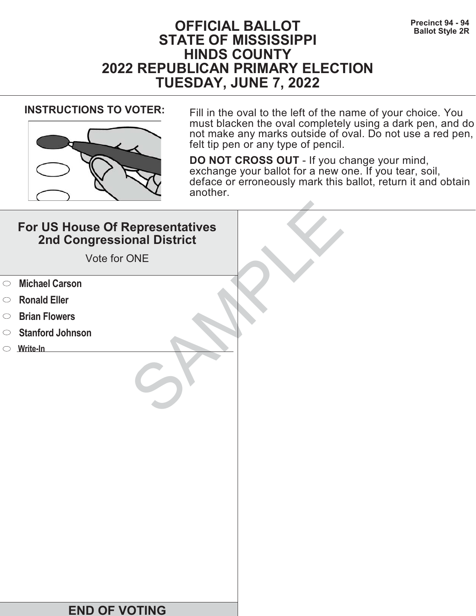# **Precinct 94 - 94**<br>Ballot Style 2R **STATE OF MISSISSIPPI HINDS COUNTY 2022 REPUBLICAN PRIMARY ELECTION TUESDAY, JUNE 7, 2022**



**INSTRUCTIONS TO VOTER:** Fill in the oval to the left of the name of your choice. You must blacken the oval completely using a dark pen, and do not make any marks outside of oval. Do not use a red pen, felt tip pen or any type of pencil.

|            | For US House Of Representatives<br>2nd Congressional District<br>Vote for ONE |  |
|------------|-------------------------------------------------------------------------------|--|
| $\circ$    | <b>Michael Carson</b>                                                         |  |
| $\circ$    | <b>Ronald Eller</b>                                                           |  |
| $\bigcirc$ | <b>Brian Flowers</b>                                                          |  |
| $\bigcirc$ | <b>Stanford Johnson</b>                                                       |  |
|            | $\circ$ Write-In                                                              |  |
|            |                                                                               |  |
|            | <b>END OF VOTING</b>                                                          |  |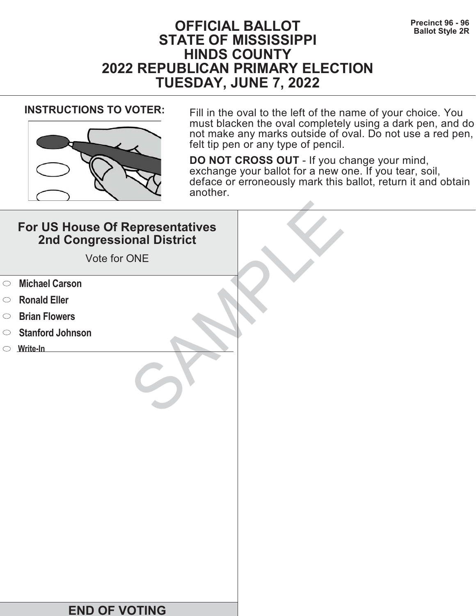# **Precinct 96 - 96**<br>Ballot Style 2R **STATE OF MISSISSIPPI HINDS COUNTY 2022 REPUBLICAN PRIMARY ELECTION TUESDAY, JUNE 7, 2022**



**INSTRUCTIONS TO VOTER:** Fill in the oval to the left of the name of your choice. You must blacken the oval completely using a dark pen, and do not make any marks outside of oval. Do not use a red pen, felt tip pen or any type of pencil.

|            | For US House Of Representatives<br>2nd Congressional District<br>Vote for ONE |  |
|------------|-------------------------------------------------------------------------------|--|
| $\circ$    | <b>Michael Carson</b>                                                         |  |
| $\circ$    | <b>Ronald Eller</b>                                                           |  |
| $\bigcirc$ | <b>Brian Flowers</b>                                                          |  |
| $\circ$    | <b>Stanford Johnson</b>                                                       |  |
|            | $\circ$ Write-In                                                              |  |
|            |                                                                               |  |
|            | <b>END OF VOTING</b>                                                          |  |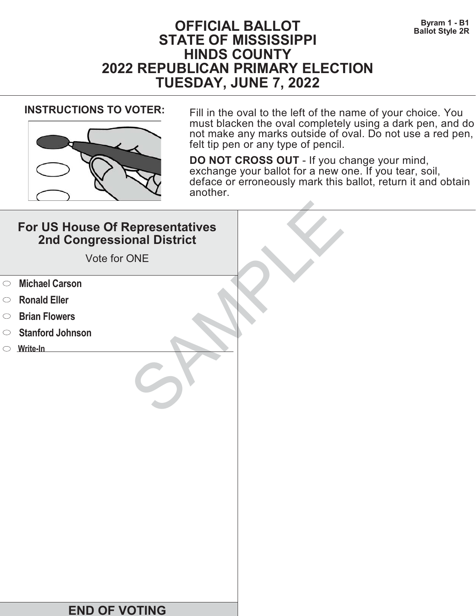# **Byram 1 - B1 OFFICIAL BALLOT Ballot Style 2R STATE OF MISSISSIPPI HINDS COUNTY 2022 REPUBLICAN PRIMARY ELECTION TUESDAY, JUNE 7, 2022**



**INSTRUCTIONS TO VOTER:** Fill in the oval to the left of the name of your choice. You must blacken the oval completely using a dark pen, and do not make any marks outside of oval. Do not use a red pen, felt tip pen or any type of pencil.

|            | For US House Of Representatives<br>2nd Congressional District<br>Vote for ONE |  |
|------------|-------------------------------------------------------------------------------|--|
| $\circ$    | <b>Michael Carson</b>                                                         |  |
| $\circ$    | <b>Ronald Eller</b>                                                           |  |
| $\bigcirc$ | <b>Brian Flowers</b>                                                          |  |
| $\circ$    | <b>Stanford Johnson</b>                                                       |  |
|            | $\circ$ Write-In                                                              |  |
|            |                                                                               |  |
|            | <b>END OF VOTING</b>                                                          |  |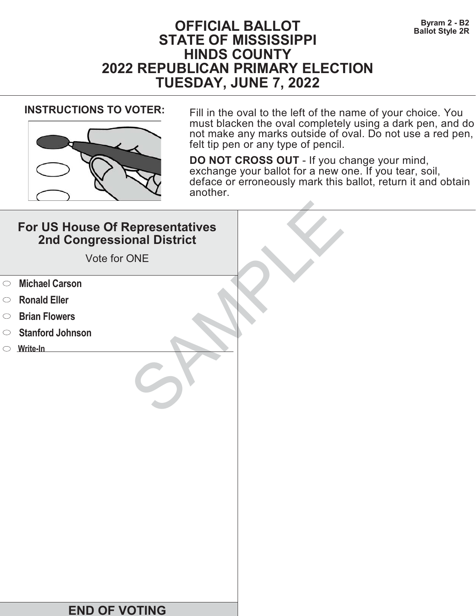# **Byram 2 - B2 OFFICIAL BALLOT Ballot Style 2R STATE OF MISSISSIPPI HINDS COUNTY 2022 REPUBLICAN PRIMARY ELECTION TUESDAY, JUNE 7, 2022**



**INSTRUCTIONS TO VOTER:** Fill in the oval to the left of the name of your choice. You must blacken the oval completely using a dark pen, and do not make any marks outside of oval. Do not use a red pen, felt tip pen or any type of pencil.

|            | For US House Of Representatives<br>2nd Congressional District<br>Vote for ONE |  |
|------------|-------------------------------------------------------------------------------|--|
| $\circ$    | <b>Michael Carson</b>                                                         |  |
| $\circ$    | <b>Ronald Eller</b>                                                           |  |
| $\bigcirc$ | <b>Brian Flowers</b>                                                          |  |
| $\bigcirc$ | <b>Stanford Johnson</b>                                                       |  |
|            | $\circ$ Write-In                                                              |  |
|            |                                                                               |  |
|            | <b>END OF VOTING</b>                                                          |  |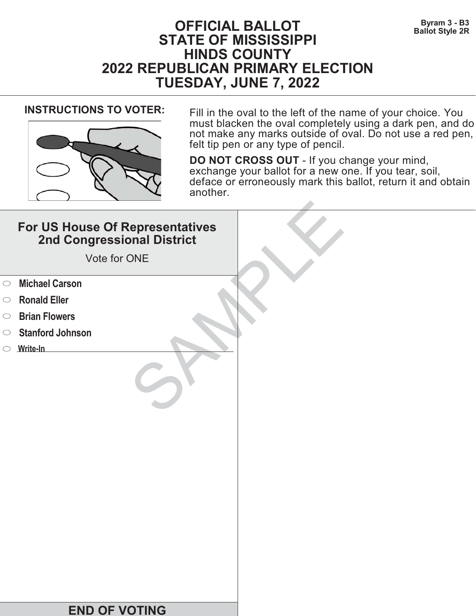# **Byram 3 - B3 OFFICIAL BALLOT Ballot Style 2R STATE OF MISSISSIPPI HINDS COUNTY 2022 REPUBLICAN PRIMARY ELECTION TUESDAY, JUNE 7, 2022**



**INSTRUCTIONS TO VOTER:** Fill in the oval to the left of the name of your choice. You must blacken the oval completely using a dark pen, and do not make any marks outside of oval. Do not use a red pen, felt tip pen or any type of pencil.

|            | For US House Of Representatives<br>2nd Congressional District<br>Vote for ONE |  |
|------------|-------------------------------------------------------------------------------|--|
| $\circ$    | <b>Michael Carson</b>                                                         |  |
| $\circ$    | <b>Ronald Eller</b>                                                           |  |
| $\bigcirc$ | <b>Brian Flowers</b>                                                          |  |
| $\circ$    | <b>Stanford Johnson</b>                                                       |  |
|            | $\circ$ Write-In                                                              |  |
|            |                                                                               |  |
|            | <b>END OF VOTING</b>                                                          |  |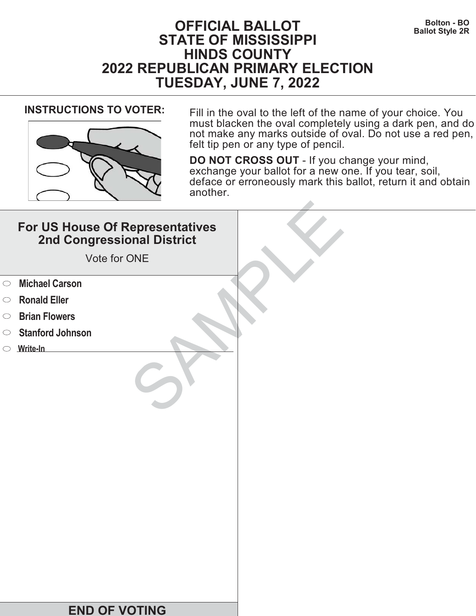# **Bolton - BO OFFICIAL BALLOT Ballot Style 2R STATE OF MISSISSIPPI HINDS COUNTY 2022 REPUBLICAN PRIMARY ELECTION TUESDAY, JUNE 7, 2022**



**INSTRUCTIONS TO VOTER:** Fill in the oval to the left of the name of your choice. You must blacken the oval completely using a dark pen, and do not make any marks outside of oval. Do not use a red pen, felt tip pen or any type of pencil.

|            | For US House Of Representatives<br>2nd Congressional District<br>Vote for ONE |  |
|------------|-------------------------------------------------------------------------------|--|
| $\circ$    | <b>Michael Carson</b>                                                         |  |
| $\circ$    | <b>Ronald Eller</b>                                                           |  |
| $\bigcirc$ | <b>Brian Flowers</b>                                                          |  |
| $\circ$    | <b>Stanford Johnson</b>                                                       |  |
|            | $\circ$ Write-In                                                              |  |
|            |                                                                               |  |
|            | <b>END OF VOTING</b>                                                          |  |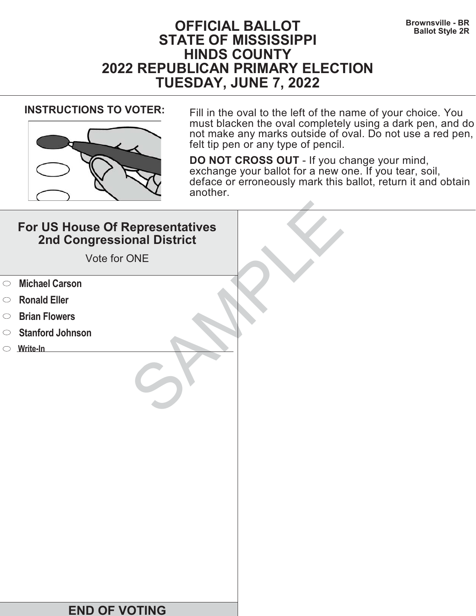# **Brownsville - BR OFFICIAL BALLOT Ballot Style 2R STATE OF MISSISSIPPI HINDS COUNTY 2022 REPUBLICAN PRIMARY ELECTION TUESDAY, JUNE 7, 2022**



**INSTRUCTIONS TO VOTER:** Fill in the oval to the left of the name of your choice. You must blacken the oval completely using a dark pen, and do not make any marks outside of oval. Do not use a red pen, felt tip pen or any type of pencil.

|            | For US House Of Representatives<br>2nd Congressional District<br>Vote for ONE |  |
|------------|-------------------------------------------------------------------------------|--|
| $\circ$    | <b>Michael Carson</b>                                                         |  |
| $\circ$    | <b>Ronald Eller</b>                                                           |  |
| $\bigcirc$ | <b>Brian Flowers</b>                                                          |  |
| $\bigcirc$ | <b>Stanford Johnson</b>                                                       |  |
|            | $\circ$ Write-In                                                              |  |
|            |                                                                               |  |
|            | <b>END OF VOTING</b>                                                          |  |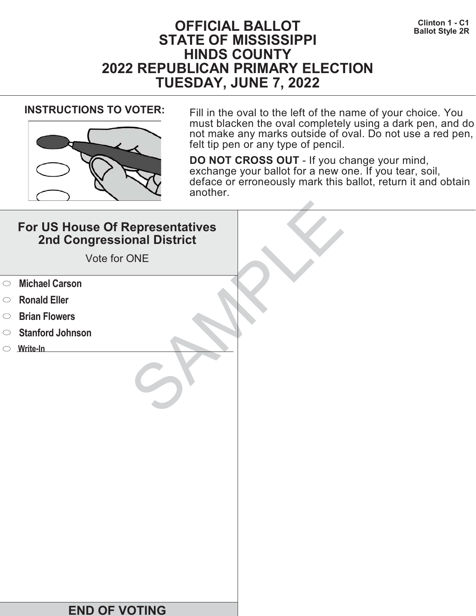# **Clinton 1 - C1 OFFICIAL BALLOT Ballot Style 2R STATE OF MISSISSIPPI HINDS COUNTY 2022 REPUBLICAN PRIMARY ELECTION TUESDAY, JUNE 7, 2022**



**INSTRUCTIONS TO VOTER:** Fill in the oval to the left of the name of your choice. You must blacken the oval completely using a dark pen, and do not make any marks outside of oval. Do not use a red pen, felt tip pen or any type of pencil.

|            | For US House Of Representatives<br>2nd Congressional District<br>Vote for ONE |  |
|------------|-------------------------------------------------------------------------------|--|
| $\circ$    | <b>Michael Carson</b>                                                         |  |
| $\circ$    | <b>Ronald Eller</b>                                                           |  |
| $\bigcirc$ | <b>Brian Flowers</b>                                                          |  |
| $\bigcirc$ | <b>Stanford Johnson</b>                                                       |  |
|            | $\circ$ Write-In                                                              |  |
|            |                                                                               |  |
|            | <b>END OF VOTING</b>                                                          |  |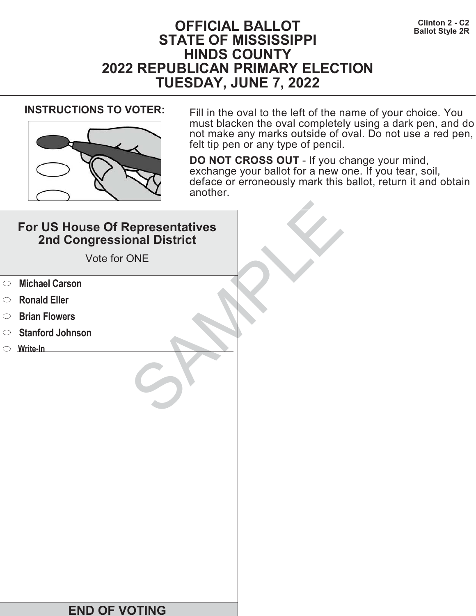# **CFFICIAL BALLOT BALLOT Ballot Style 2R STATE OF MISSISSIPPI HINDS COUNTY 2022 REPUBLICAN PRIMARY ELECTION TUESDAY, JUNE 7, 2022**



**INSTRUCTIONS TO VOTER:** Fill in the oval to the left of the name of your choice. You must blacken the oval completely using a dark pen, and do not make any marks outside of oval. Do not use a red pen, felt tip pen or any type of pencil.

|            | For US House Of Representatives<br>2nd Congressional District<br>Vote for ONE |  |
|------------|-------------------------------------------------------------------------------|--|
| $\circ$    | <b>Michael Carson</b>                                                         |  |
| $\circ$    | <b>Ronald Eller</b>                                                           |  |
| $\bigcirc$ | <b>Brian Flowers</b>                                                          |  |
| $\circ$    | <b>Stanford Johnson</b>                                                       |  |
|            | $\circ$ Write-In                                                              |  |
|            |                                                                               |  |
|            | <b>END OF VOTING</b>                                                          |  |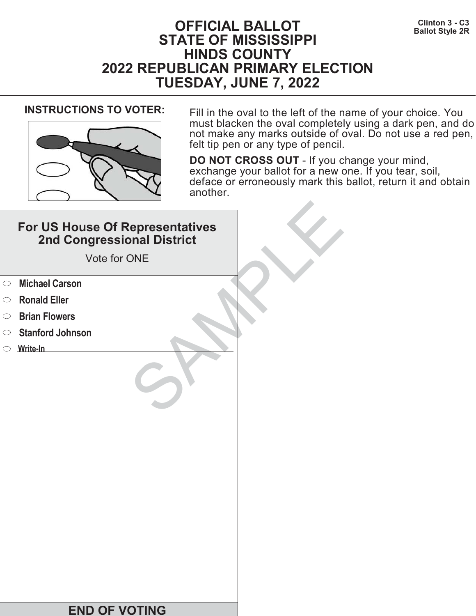# **Clinton 3 - C3 OFFICIAL BALLOT Ballot Style 2R STATE OF MISSISSIPPI HINDS COUNTY 2022 REPUBLICAN PRIMARY ELECTION TUESDAY, JUNE 7, 2022**



**INSTRUCTIONS TO VOTER:** Fill in the oval to the left of the name of your choice. You must blacken the oval completely using a dark pen, and do not make any marks outside of oval. Do not use a red pen, felt tip pen or any type of pencil.

|            | For US House Of Representatives<br>2nd Congressional District<br>Vote for ONE |  |
|------------|-------------------------------------------------------------------------------|--|
| $\circ$    | <b>Michael Carson</b>                                                         |  |
| $\circ$    | <b>Ronald Eller</b>                                                           |  |
| $\bigcirc$ | <b>Brian Flowers</b>                                                          |  |
| $\bigcirc$ | <b>Stanford Johnson</b>                                                       |  |
|            | $\circ$ Write-In                                                              |  |
|            |                                                                               |  |
|            | <b>END OF VOTING</b>                                                          |  |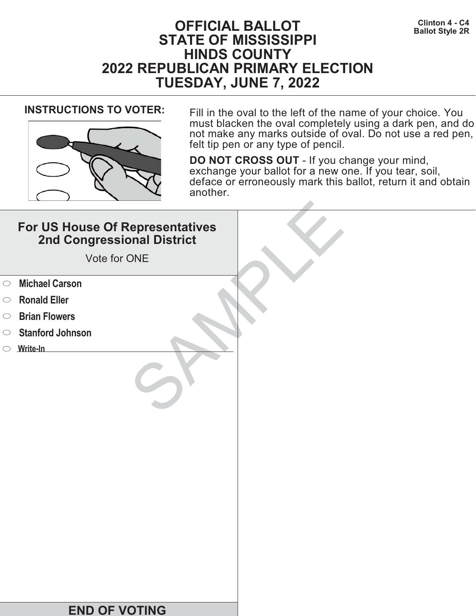# **Clinton 4 - C4 OFFICIAL BALLOT Ballot Style 2R STATE OF MISSISSIPPI HINDS COUNTY 2022 REPUBLICAN PRIMARY ELECTION TUESDAY, JUNE 7, 2022**



**INSTRUCTIONS TO VOTER:** Fill in the oval to the left of the name of your choice. You must blacken the oval completely using a dark pen, and do not make any marks outside of oval. Do not use a red pen, felt tip pen or any type of pencil.

|            | For US House Of Representatives<br>2nd Congressional District<br>Vote for ONE |  |
|------------|-------------------------------------------------------------------------------|--|
| $\circ$    | <b>Michael Carson</b>                                                         |  |
| $\circ$    | <b>Ronald Eller</b>                                                           |  |
| $\bigcirc$ | <b>Brian Flowers</b>                                                          |  |
| $\circ$    | <b>Stanford Johnson</b>                                                       |  |
|            | $\circ$ Write-In                                                              |  |
|            |                                                                               |  |
|            | <b>END OF VOTING</b>                                                          |  |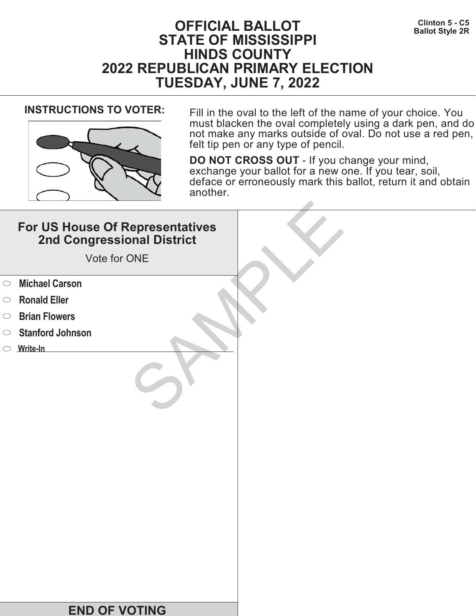# **Clinton 5 - C5 OFFICIAL BALLOT Ballot Style 2R STATE OF MISSISSIPPI HINDS COUNTY 2022 REPUBLICAN PRIMARY ELECTION TUESDAY, JUNE 7, 2022**



**INSTRUCTIONS TO VOTER:** Fill in the oval to the left of the name of your choice. You must blacken the oval completely using a dark pen, and do not make any marks outside of oval. Do not use a red pen, felt tip pen or any type of pencil.

|            | For US House Of Representatives<br>2nd Congressional District<br>Vote for ONE |  |
|------------|-------------------------------------------------------------------------------|--|
| $\circ$    | <b>Michael Carson</b>                                                         |  |
| $\circ$    | <b>Ronald Eller</b>                                                           |  |
| $\bigcirc$ | <b>Brian Flowers</b>                                                          |  |
| $\bigcirc$ | <b>Stanford Johnson</b>                                                       |  |
|            | $\circ$ Write-In                                                              |  |
|            |                                                                               |  |
|            | <b>END OF VOTING</b>                                                          |  |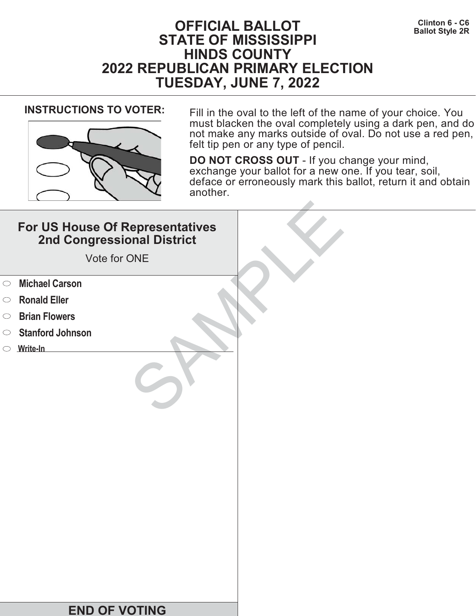# **Clinton 6 - C6 OFFICIAL BALLOT Ballot Style 2R STATE OF MISSISSIPPI HINDS COUNTY 2022 REPUBLICAN PRIMARY ELECTION TUESDAY, JUNE 7, 2022**



**INSTRUCTIONS TO VOTER:** Fill in the oval to the left of the name of your choice. You must blacken the oval completely using a dark pen, and do not make any marks outside of oval. Do not use a red pen, felt tip pen or any type of pencil.

|            | For US House Of Representatives<br>2nd Congressional District<br>Vote for ONE |  |
|------------|-------------------------------------------------------------------------------|--|
| $\circ$    | <b>Michael Carson</b>                                                         |  |
| $\circ$    | <b>Ronald Eller</b>                                                           |  |
| $\bigcirc$ | <b>Brian Flowers</b>                                                          |  |
| $\circ$    | <b>Stanford Johnson</b>                                                       |  |
|            | $\circ$ Write-In                                                              |  |
|            |                                                                               |  |
|            | <b>END OF VOTING</b>                                                          |  |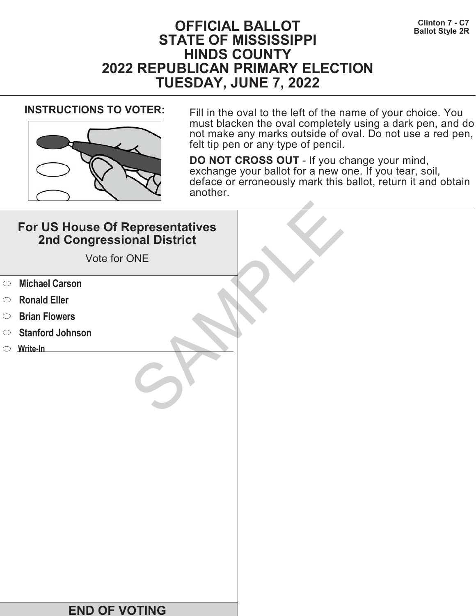# **Clinton 7 - C7 OFFICIAL BALLOT Ballot Style 2R STATE OF MISSISSIPPI HINDS COUNTY 2022 REPUBLICAN PRIMARY ELECTION TUESDAY, JUNE 7, 2022**



**INSTRUCTIONS TO VOTER:** Fill in the oval to the left of the name of your choice. You must blacken the oval completely using a dark pen, and do not make any marks outside of oval. Do not use a red pen, felt tip pen or any type of pencil.

|            | For US House Of Representatives<br>2nd Congressional District<br>Vote for ONE |  |
|------------|-------------------------------------------------------------------------------|--|
| $\circ$    | <b>Michael Carson</b>                                                         |  |
| $\circ$    | <b>Ronald Eller</b>                                                           |  |
| $\bigcirc$ | <b>Brian Flowers</b>                                                          |  |
| $\bigcirc$ | <b>Stanford Johnson</b>                                                       |  |
|            | $\circ$ Write-In                                                              |  |
|            |                                                                               |  |
|            | <b>END OF VOTING</b>                                                          |  |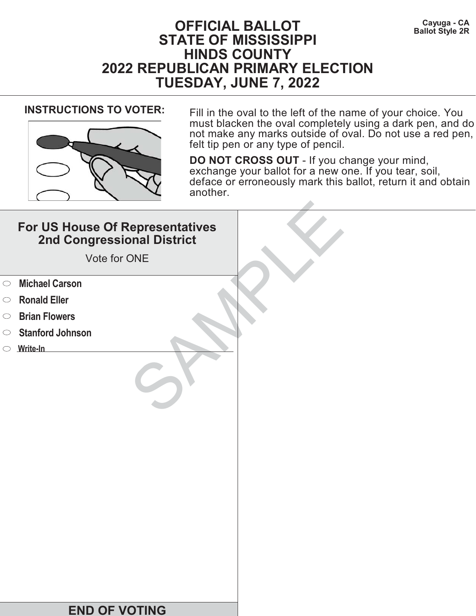# **Cayuga - CA OFFICIAL BALLOT Ballot Style 2R STATE OF MISSISSIPPI HINDS COUNTY 2022 REPUBLICAN PRIMARY ELECTION TUESDAY, JUNE 7, 2022**



**INSTRUCTIONS TO VOTER:** Fill in the oval to the left of the name of your choice. You must blacken the oval completely using a dark pen, and do not make any marks outside of oval. Do not use a red pen, felt tip pen or any type of pencil.

|            | For US House Of Representatives<br>2nd Congressional District<br>Vote for ONE |  |
|------------|-------------------------------------------------------------------------------|--|
| $\circ$    | <b>Michael Carson</b>                                                         |  |
| $\circ$    | <b>Ronald Eller</b>                                                           |  |
| $\bigcirc$ | <b>Brian Flowers</b>                                                          |  |
| $\circ$    | <b>Stanford Johnson</b>                                                       |  |
|            | $\circ$ Write-In                                                              |  |
|            |                                                                               |  |
|            | <b>END OF VOTING</b>                                                          |  |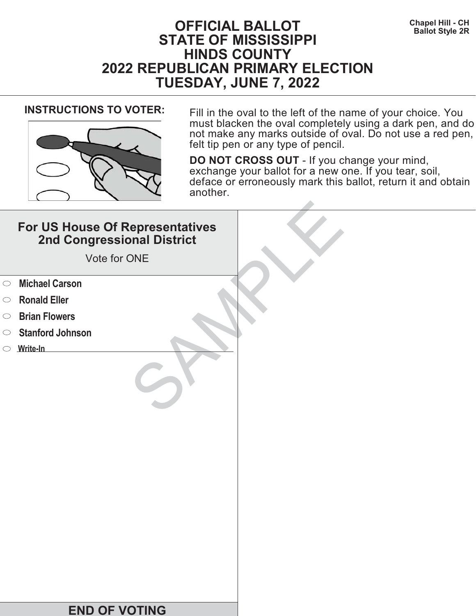# **Chapel Hill - CH OFFICIAL BALLOT Ballot Style 2R STATE OF MISSISSIPPI HINDS COUNTY 2022 REPUBLICAN PRIMARY ELECTION TUESDAY, JUNE 7, 2022**



**INSTRUCTIONS TO VOTER:** Fill in the oval to the left of the name of your choice. You must blacken the oval completely using a dark pen, and do not make any marks outside of oval. Do not use a red pen, felt tip pen or any type of pencil.

|            | For US House Of Representatives<br>2nd Congressional District<br>Vote for ONE |  |
|------------|-------------------------------------------------------------------------------|--|
| $\circ$    | <b>Michael Carson</b>                                                         |  |
| $\circ$    | <b>Ronald Eller</b>                                                           |  |
| $\bigcirc$ | <b>Brian Flowers</b>                                                          |  |
| $\circ$    | <b>Stanford Johnson</b>                                                       |  |
|            | $\circ$ Write-In                                                              |  |
|            |                                                                               |  |
|            | <b>END OF VOTING</b>                                                          |  |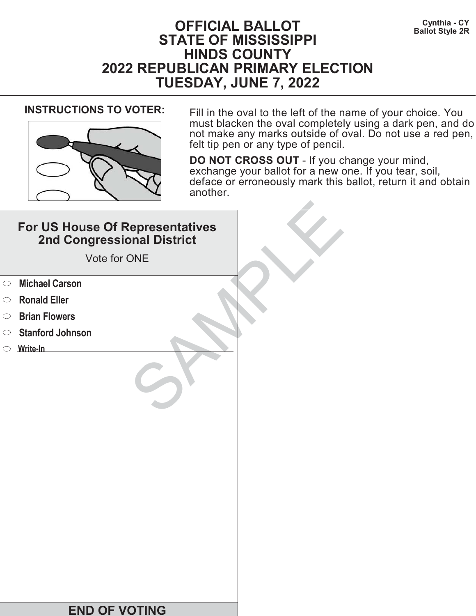# **Cynthia - CY BALLOT BALLOT Ballot Style 2R STATE OF MISSISSIPPI HINDS COUNTY 2022 REPUBLICAN PRIMARY ELECTION TUESDAY, JUNE 7, 2022**



**INSTRUCTIONS TO VOTER:** Fill in the oval to the left of the name of your choice. You must blacken the oval completely using a dark pen, and do not make any marks outside of oval. Do not use a red pen, felt tip pen or any type of pencil.

|            | For US House Of Representatives<br>2nd Congressional District<br>Vote for ONE |  |
|------------|-------------------------------------------------------------------------------|--|
| $\circ$    | <b>Michael Carson</b>                                                         |  |
| $\circ$    | <b>Ronald Eller</b>                                                           |  |
| $\bigcirc$ | <b>Brian Flowers</b>                                                          |  |
| $\bigcirc$ | <b>Stanford Johnson</b>                                                       |  |
|            | $\circ$ Write-In                                                              |  |
|            |                                                                               |  |
|            | <b>END OF VOTING</b>                                                          |  |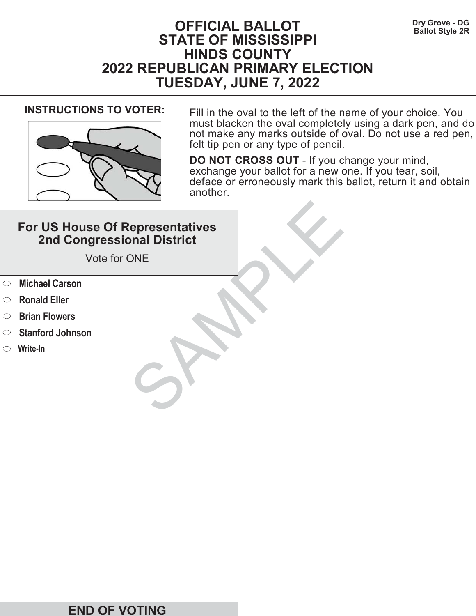# **Dry Grove - DG OFFICIAL BALLOT Ballot Style 2R STATE OF MISSISSIPPI HINDS COUNTY 2022 REPUBLICAN PRIMARY ELECTION TUESDAY, JUNE 7, 2022**



**INSTRUCTIONS TO VOTER:** Fill in the oval to the left of the name of your choice. You must blacken the oval completely using a dark pen, and do not make any marks outside of oval. Do not use a red pen, felt tip pen or any type of pencil.

|            | For US House Of Representatives<br>2nd Congressional District<br>Vote for ONE |  |
|------------|-------------------------------------------------------------------------------|--|
| $\circ$    | <b>Michael Carson</b>                                                         |  |
| $\circ$    | <b>Ronald Eller</b>                                                           |  |
| $\bigcirc$ | <b>Brian Flowers</b>                                                          |  |
| $\bigcirc$ | <b>Stanford Johnson</b>                                                       |  |
|            | $\circ$ Write-In                                                              |  |
|            |                                                                               |  |
|            | <b>END OF VOTING</b>                                                          |  |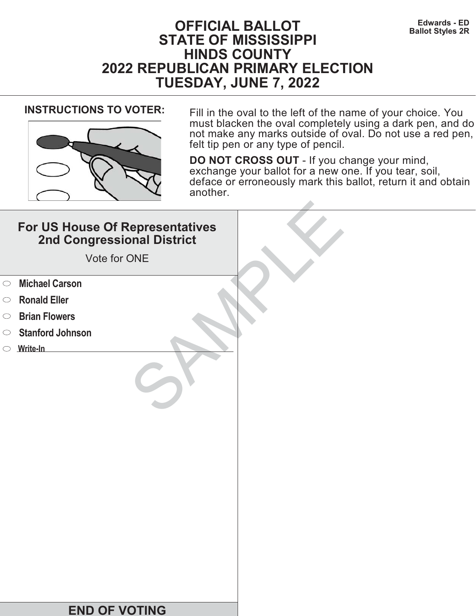# **Edwards - ED OFFICIAL BALLOT Ballot Styles 2R STATE OF MISSISSIPPI HINDS COUNTY 2022 REPUBLICAN PRIMARY ELECTION TUESDAY, JUNE 7, 2022**



**INSTRUCTIONS TO VOTER:** Fill in the oval to the left of the name of your choice. You must blacken the oval completely using a dark pen, and do not make any marks outside of oval. Do not use a red pen, felt tip pen or any type of pencil.

|            | For US House Of Representatives<br>2nd Congressional District<br>Vote for ONE |  |
|------------|-------------------------------------------------------------------------------|--|
| $\circ$    | <b>Michael Carson</b>                                                         |  |
| $\circ$    | <b>Ronald Eller</b>                                                           |  |
| $\bigcirc$ | <b>Brian Flowers</b>                                                          |  |
| $\bigcirc$ | <b>Stanford Johnson</b>                                                       |  |
|            | $\circ$ Write-In                                                              |  |
|            |                                                                               |  |
|            | <b>END OF VOTING</b>                                                          |  |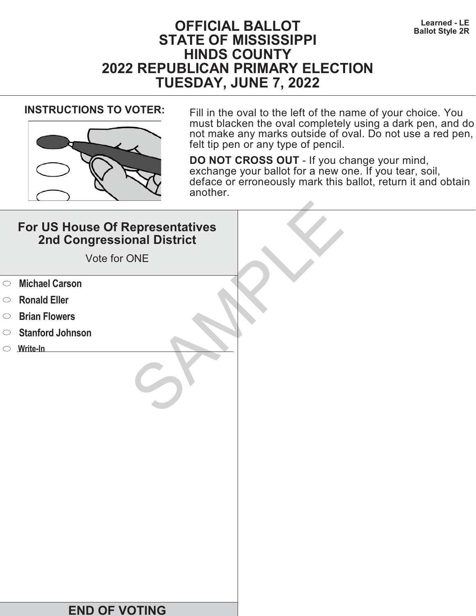# **Learned - LE OFFICIAL BALLOT Ballot Style 2R STATE OF MISSISSIPPI HINDS COUNTY 2022 REPUBLICAN PRIMARY ELECTION TUESDAY, JUNE 7, 2022**



**INSTRUCTIONS TO VOTER:** Fill in the oval to the left of the name of your choice. You must blacken the oval completely using a dark pen, and do not make any marks outside of oval. Do not use a red pen, felt tip pen or any type of pencil.

|            | For US House Of Representatives<br>2nd Congressional District<br>Vote for ONE |  |
|------------|-------------------------------------------------------------------------------|--|
| $\circ$    | <b>Michael Carson</b>                                                         |  |
| $\circ$    | <b>Ronald Eller</b>                                                           |  |
| $\bigcirc$ | <b>Brian Flowers</b>                                                          |  |
| $\bigcirc$ | <b>Stanford Johnson</b>                                                       |  |
|            | $\circ$ Write-In                                                              |  |
|            |                                                                               |  |
|            | <b>END OF VOTING</b>                                                          |  |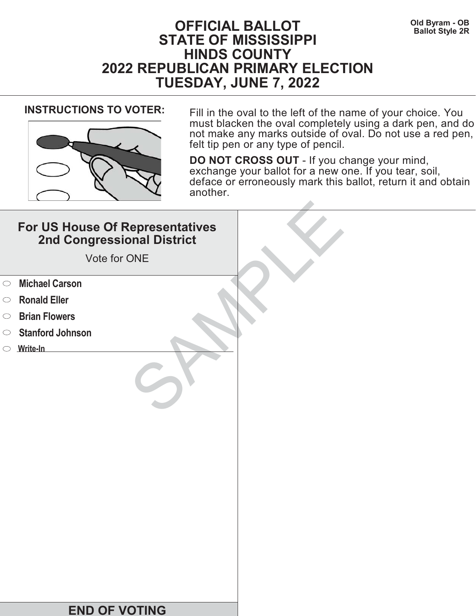# **OFFICIAL BALLOT** Old Byram - OB<br>Ballot Style 2R **STATE OF MISSISSIPPI HINDS COUNTY 2022 REPUBLICAN PRIMARY ELECTION TUESDAY, JUNE 7, 2022**



**INSTRUCTIONS TO VOTER:** Fill in the oval to the left of the name of your choice. You must blacken the oval completely using a dark pen, and do not make any marks outside of oval. Do not use a red pen, felt tip pen or any type of pencil.

|            | For US House Of Representatives<br>2nd Congressional District<br>Vote for ONE |  |
|------------|-------------------------------------------------------------------------------|--|
| $\circ$    | <b>Michael Carson</b>                                                         |  |
| $\circ$    | <b>Ronald Eller</b>                                                           |  |
| $\bigcirc$ | <b>Brian Flowers</b>                                                          |  |
| $\circ$    | <b>Stanford Johnson</b>                                                       |  |
|            | $\circ$ Write-In                                                              |  |
|            |                                                                               |  |
|            | <b>END OF VOTING</b>                                                          |  |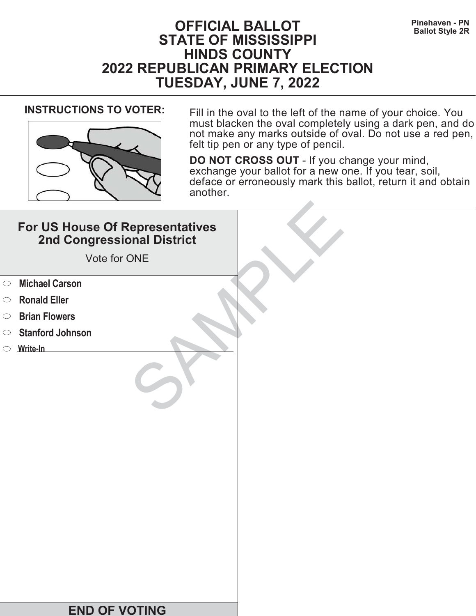# **Pinehaven - PN OFFICIAL BALLOT Ballot Style 2R STATE OF MISSISSIPPI HINDS COUNTY 2022 REPUBLICAN PRIMARY ELECTION TUESDAY, JUNE 7, 2022**



**INSTRUCTIONS TO VOTER:** Fill in the oval to the left of the name of your choice. You must blacken the oval completely using a dark pen, and do not make any marks outside of oval. Do not use a red pen, felt tip pen or any type of pencil.

|            | For US House Of Representatives<br>2nd Congressional District<br>Vote for ONE |  |
|------------|-------------------------------------------------------------------------------|--|
| $\circ$    | <b>Michael Carson</b>                                                         |  |
| $\circ$    | <b>Ronald Eller</b>                                                           |  |
| $\bigcirc$ | <b>Brian Flowers</b>                                                          |  |
| $\bigcirc$ | <b>Stanford Johnson</b>                                                       |  |
|            | $\circ$ Write-In                                                              |  |
|            |                                                                               |  |
|            | <b>END OF VOTING</b>                                                          |  |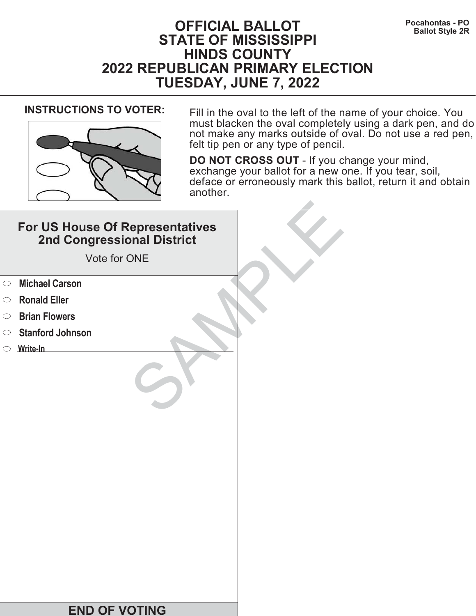# **Pocahontas - PO OFFICIAL BALLOT Ballot Style 2R STATE OF MISSISSIPPI HINDS COUNTY 2022 REPUBLICAN PRIMARY ELECTION TUESDAY, JUNE 7, 2022**



**INSTRUCTIONS TO VOTER:** Fill in the oval to the left of the name of your choice. You must blacken the oval completely using a dark pen, and do not make any marks outside of oval. Do not use a red pen, felt tip pen or any type of pencil.

|            | For US House Of Representatives<br>2nd Congressional District<br>Vote for ONE |  |
|------------|-------------------------------------------------------------------------------|--|
| $\circ$    | <b>Michael Carson</b>                                                         |  |
| $\circ$    | <b>Ronald Eller</b>                                                           |  |
| $\bigcirc$ | <b>Brian Flowers</b>                                                          |  |
| $\circ$    | <b>Stanford Johnson</b>                                                       |  |
|            | $\circ$ Write-In                                                              |  |
|            |                                                                               |  |
|            | <b>END OF VOTING</b>                                                          |  |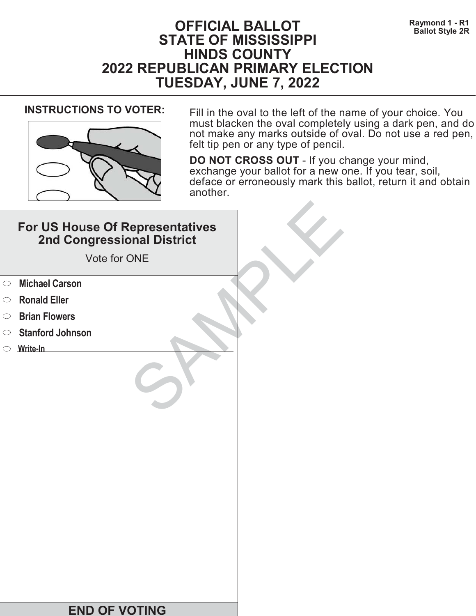# **Raymond 1 - R1 BALLOT BALLOT Ballot Style 2R STATE OF MISSISSIPPI HINDS COUNTY 2022 REPUBLICAN PRIMARY ELECTION TUESDAY, JUNE 7, 2022**



**INSTRUCTIONS TO VOTER:** Fill in the oval to the left of the name of your choice. You must blacken the oval completely using a dark pen, and do not make any marks outside of oval. Do not use a red pen, felt tip pen or any type of pencil.

|            | For US House Of Representatives<br>2nd Congressional District<br>Vote for ONE |  |
|------------|-------------------------------------------------------------------------------|--|
| $\circ$    | <b>Michael Carson</b>                                                         |  |
| $\circ$    | <b>Ronald Eller</b>                                                           |  |
| $\bigcirc$ | <b>Brian Flowers</b>                                                          |  |
| $\bigcirc$ | <b>Stanford Johnson</b>                                                       |  |
|            | $\circ$ Write-In                                                              |  |
|            |                                                                               |  |
|            | <b>END OF VOTING</b>                                                          |  |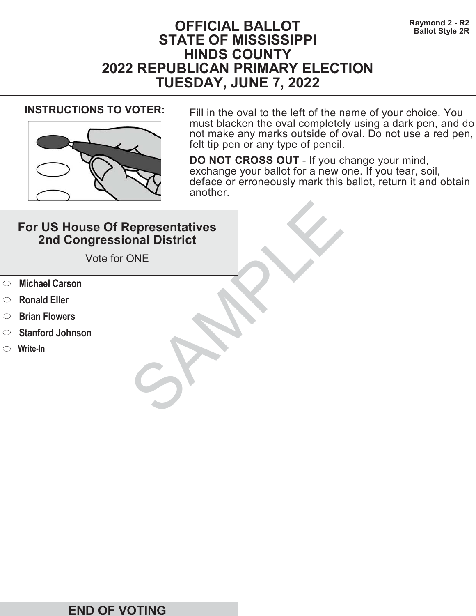# **Raymond 2 - R2**<br>Ballot Style 2R **STATE OF MISSISSIPPI HINDS COUNTY 2022 REPUBLICAN PRIMARY ELECTION TUESDAY, JUNE 7, 2022**



**INSTRUCTIONS TO VOTER:** Fill in the oval to the left of the name of your choice. You must blacken the oval completely using a dark pen, and do not make any marks outside of oval. Do not use a red pen, felt tip pen or any type of pencil.

|            | For US House Of Representatives<br>2nd Congressional District<br>Vote for ONE |  |
|------------|-------------------------------------------------------------------------------|--|
| $\circ$    | <b>Michael Carson</b>                                                         |  |
| $\circ$    | <b>Ronald Eller</b>                                                           |  |
| $\bigcirc$ | <b>Brian Flowers</b>                                                          |  |
| $\bigcirc$ | <b>Stanford Johnson</b>                                                       |  |
|            | $\circ$ Write-In                                                              |  |
|            |                                                                               |  |
|            | <b>END OF VOTING</b>                                                          |  |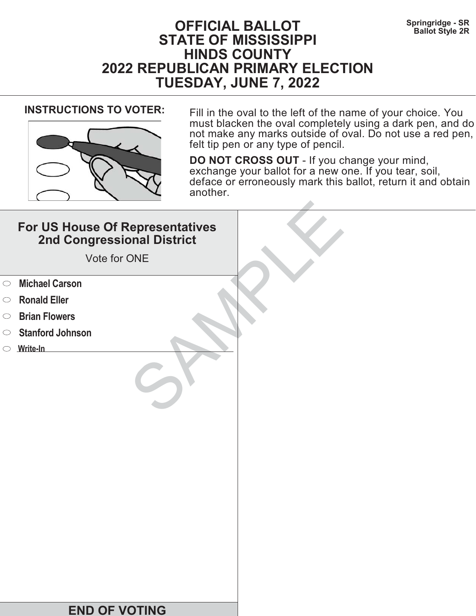# **Springridge - SR OFFICIAL BALLOT Ballot Style 2R STATE OF MISSISSIPPI HINDS COUNTY 2022 REPUBLICAN PRIMARY ELECTION TUESDAY, JUNE 7, 2022**



**INSTRUCTIONS TO VOTER:** Fill in the oval to the left of the name of your choice. You must blacken the oval completely using a dark pen, and do not make any marks outside of oval. Do not use a red pen, felt tip pen or any type of pencil.

|            | For US House Of Representatives<br>2nd Congressional District<br>Vote for ONE |  |
|------------|-------------------------------------------------------------------------------|--|
| $\circ$    | <b>Michael Carson</b>                                                         |  |
| $\circ$    | <b>Ronald Eller</b>                                                           |  |
| $\bigcirc$ | <b>Brian Flowers</b>                                                          |  |
| $\bigcirc$ | <b>Stanford Johnson</b>                                                       |  |
|            | $\circ$ Write-In                                                              |  |
|            |                                                                               |  |
|            | <b>END OF VOTING</b>                                                          |  |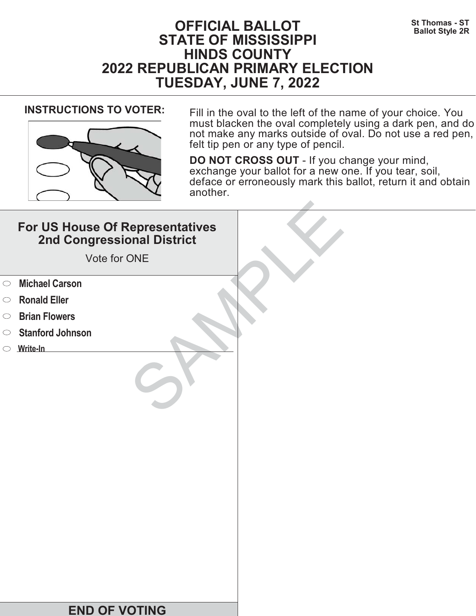# **St Thomas - ST OFFICIAL BALLOT Ballot Style 2R STATE OF MISSISSIPPI HINDS COUNTY 2022 REPUBLICAN PRIMARY ELECTION TUESDAY, JUNE 7, 2022**



**INSTRUCTIONS TO VOTER:** Fill in the oval to the left of the name of your choice. You must blacken the oval completely using a dark pen, and do not make any marks outside of oval. Do not use a red pen, felt tip pen or any type of pencil.

|            | For US House Of Representatives<br>2nd Congressional District<br>Vote for ONE |  |
|------------|-------------------------------------------------------------------------------|--|
| $\circ$    | <b>Michael Carson</b>                                                         |  |
| $\circ$    | <b>Ronald Eller</b>                                                           |  |
| $\bigcirc$ | <b>Brian Flowers</b>                                                          |  |
| $\circ$    | <b>Stanford Johnson</b>                                                       |  |
|            | $\circ$ Write-In                                                              |  |
|            |                                                                               |  |
|            | <b>END OF VOTING</b>                                                          |  |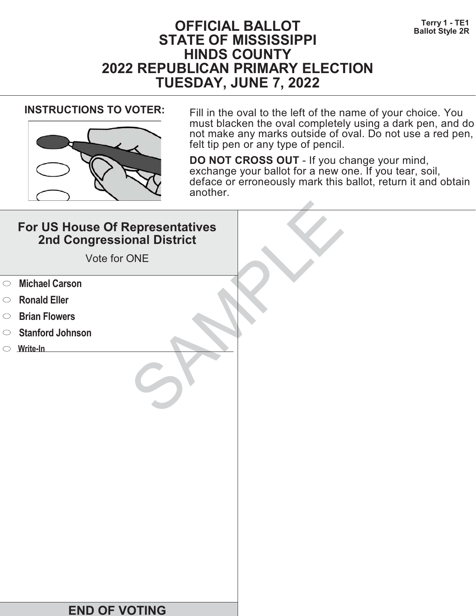# **Terry 1 - TE1 OFFICIAL BALLOT Ballot Style 2R STATE OF MISSISSIPPI HINDS COUNTY 2022 REPUBLICAN PRIMARY ELECTION TUESDAY, JUNE 7, 2022**



**INSTRUCTIONS TO VOTER:** Fill in the oval to the left of the name of your choice. You must blacken the oval completely using a dark pen, and do not make any marks outside of oval. Do not use a red pen, felt tip pen or any type of pencil.

|            | For US House Of Representatives<br>2nd Congressional District<br>Vote for ONE |  |
|------------|-------------------------------------------------------------------------------|--|
| $\circ$    | <b>Michael Carson</b>                                                         |  |
| $\circ$    | <b>Ronald Eller</b>                                                           |  |
| $\bigcirc$ | <b>Brian Flowers</b>                                                          |  |
| $\circ$    | <b>Stanford Johnson</b>                                                       |  |
|            | $\circ$ Write-In                                                              |  |
|            |                                                                               |  |
|            | <b>END OF VOTING</b>                                                          |  |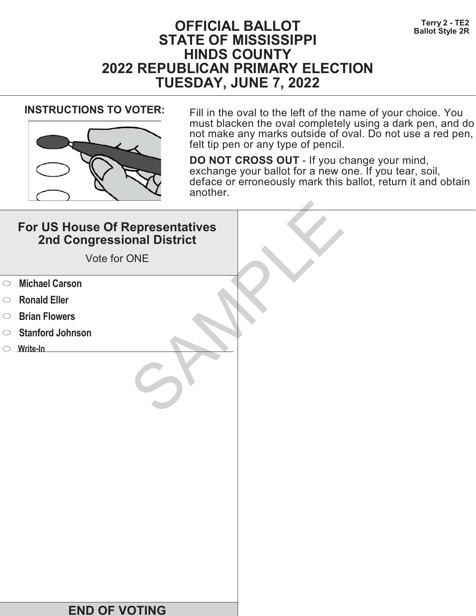# **Terry 2 - TE2**<br>Ballot Style 2R **STATE OF MISSISSIPPI HINDS COUNTY 2022 REPUBLICAN PRIMARY ELECTION TUESDAY, JUNE 7, 2022**



**INSTRUCTIONS TO VOTER:** Fill in the oval to the left of the name of your choice. You must blacken the oval completely using a dark pen, and do not make any marks outside of oval. Do not use a red pen, felt tip pen or any type of pencil.

|            | For US House Of Representatives<br>2nd Congressional District<br>Vote for ONE |  |
|------------|-------------------------------------------------------------------------------|--|
| $\circ$    | <b>Michael Carson</b>                                                         |  |
| $\circ$    | <b>Ronald Eller</b>                                                           |  |
| $\bigcirc$ | <b>Brian Flowers</b>                                                          |  |
| $\bigcirc$ | <b>Stanford Johnson</b>                                                       |  |
|            | $\circ$ Write-In                                                              |  |
|            |                                                                               |  |
|            | <b>END OF VOTING</b>                                                          |  |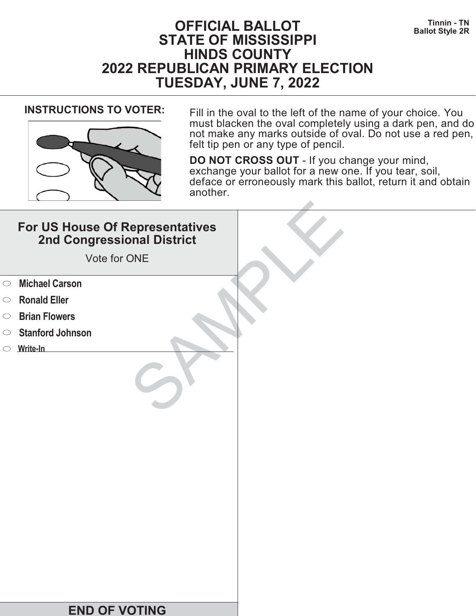# **THE SET OF FICIAL BALLOT STATE OF MISSISSIPPI HINDS COUNTY 2022 REPUBLICAN PRIMARY ELECTION TUESDAY, JUNE 7, 2022**



**INSTRUCTIONS TO VOTER:** Fill in the oval to the left of the name of your choice. You must blacken the oval completely using a dark pen, and do not make any marks outside of oval. Do not use a red pen, felt tip pen or any type of pencil.

|            | For US House Of Representatives<br>2nd Congressional District<br>Vote for ONE |  |
|------------|-------------------------------------------------------------------------------|--|
| $\circ$    | <b>Michael Carson</b>                                                         |  |
| $\circ$    | <b>Ronald Eller</b>                                                           |  |
| $\bigcirc$ | <b>Brian Flowers</b>                                                          |  |
| $\bigcirc$ | <b>Stanford Johnson</b>                                                       |  |
|            | $\circ$ Write-In                                                              |  |
|            |                                                                               |  |
|            | <b>END OF VOTING</b>                                                          |  |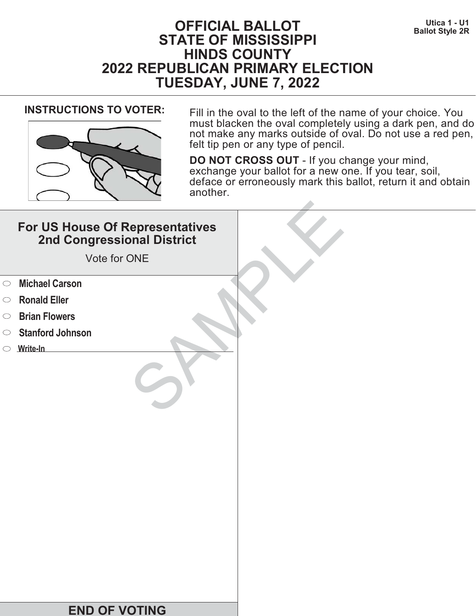# **Utica 1 - U1 U11 Discriming Units Control Control Control Control Control Control Control Control Control Control Control Control Control Control Control Control Control Control Control Control Control Control Control STATE OF MISSISSIPPI HINDS COUNTY 2022 REPUBLICAN PRIMARY ELECTION TUESDAY, JUNE 7, 2022**



**INSTRUCTIONS TO VOTER:** Fill in the oval to the left of the name of your choice. You must blacken the oval completely using a dark pen, and do not make any marks outside of oval. Do not use a red pen, felt tip pen or any type of pencil.

|            | For US House Of Representatives<br>2nd Congressional District<br>Vote for ONE |  |
|------------|-------------------------------------------------------------------------------|--|
| $\circ$    | <b>Michael Carson</b>                                                         |  |
| $\circ$    | <b>Ronald Eller</b>                                                           |  |
| $\bigcirc$ | <b>Brian Flowers</b>                                                          |  |
| $\circ$    | <b>Stanford Johnson</b>                                                       |  |
|            | $\circ$ Write-In                                                              |  |
|            |                                                                               |  |
|            | <b>END OF VOTING</b>                                                          |  |